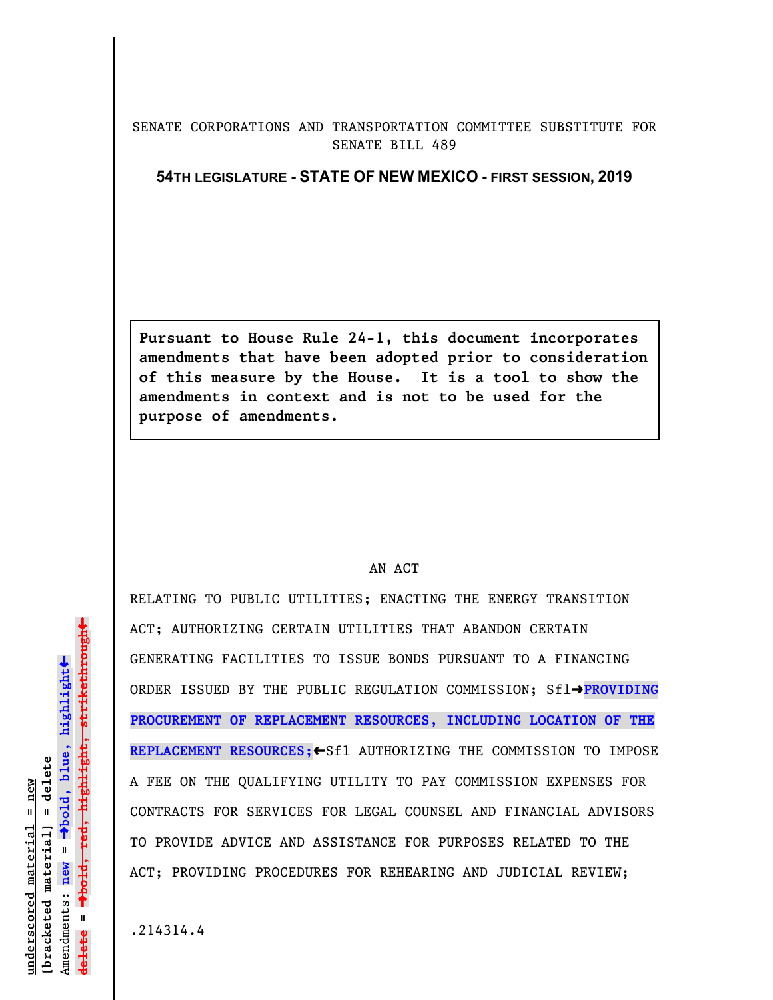## SENATE CORPORATIONS AND TRANSPORTATION COMMITTEE SUBSTITUTE FOR SENATE BILL 489

## **54TH LEGISLATURE - STATE OF NEW MEXICO - FIRST SESSION, 2019**

**Pursuant to House Rule 24-1, this document incorporates amendments that have been adopted prior to consideration of this measure by the House. It is a tool to show the amendments in context and is not to be used for the purpose of amendments.** 

## AN ACT

RELATING TO PUBLIC UTILITIES; ENACTING THE ENERGY TRANSITION ACT; AUTHORIZING CERTAIN UTILITIES THAT ABANDON CERTAIN GENERATING FACILITIES TO ISSUE BONDS PURSUANT TO A FINANCING ORDER ISSUED BY THE PUBLIC REGULATION COMMISSION; Sfl-PROVIDING **PROCUREMENT OF REPLACEMENT RESOURCES, INCLUDING LOCATION OF THE REPLACEMENT RESOURCES;**»Sfl AUTHORIZING THE COMMISSION TO IMPOSE A FEE ON THE QUALIFYING UTILITY TO PAY COMMISSION EXPENSES FOR CONTRACTS FOR SERVICES FOR LEGAL COUNSEL AND FINANCIAL ADVISORS TO PROVIDE ADVICE AND ASSISTANCE FOR PURPOSES RELATED TO THE ACT; PROVIDING PROCEDURES FOR REHEARING AND JUDICIAL REVIEW;

.214314.4

 $\ddag$ º**bold, red, highlight, strikethrough**  $\ddot{\bullet}$ º**bold, blue, highlight**  $[$ bracketed material] = delete **[bracketed material] = delete** inderscored material = new **underscored material = new** Amendments: **new** =  $\mathbf{I}$ **delete =** lelete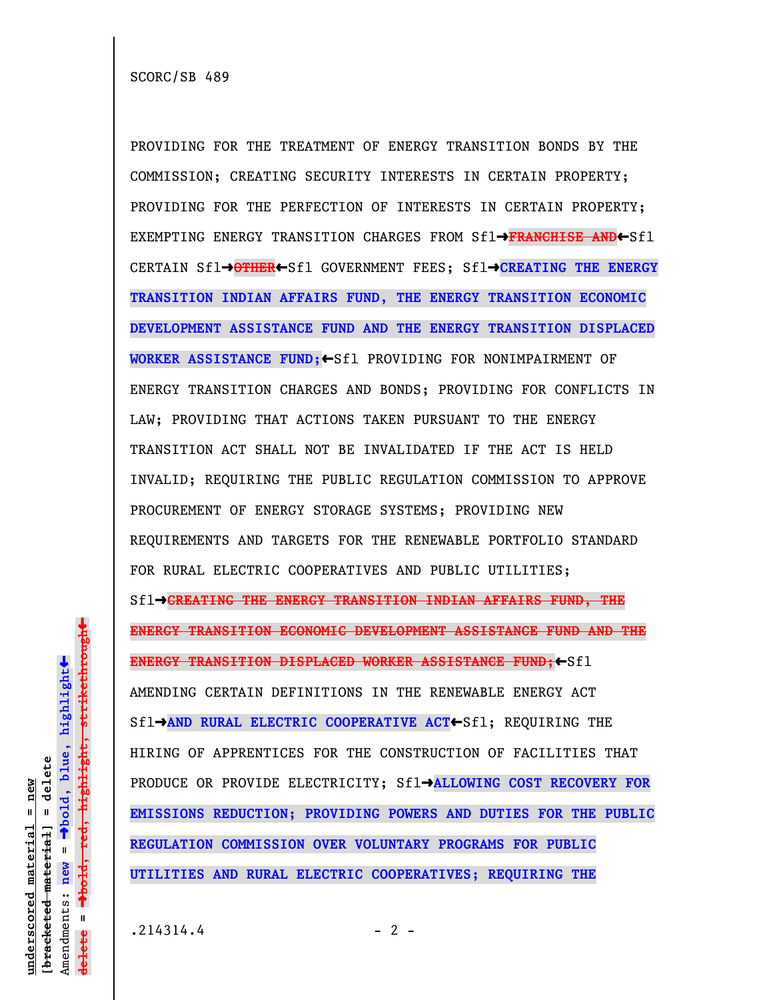SCORC/SB 489

PROVIDING FOR THE TREATMENT OF ENERGY TRANSITION BONDS BY THE COMMISSION; CREATING SECURITY INTERESTS IN CERTAIN PROPERTY; PROVIDING FOR THE PERFECTION OF INTERESTS IN CERTAIN PROPERTY; EXEMPTING ENERGY TRANSITION CHARGES FROM Sfl→FRANCHISE AND←Sfl CERTAIN Sfl→OTHER←Sfl GOVERNMENT FEES; Sfl→CREATING THE ENERGY **TRANSITION INDIAN AFFAIRS FUND, THE ENERGY TRANSITION ECONOMIC DEVELOPMENT ASSISTANCE FUND AND THE ENERGY TRANSITION DISPLACED** WORKER ASSISTANCE FUND; Sfl PROVIDING FOR NONIMPAIRMENT OF ENERGY TRANSITION CHARGES AND BONDS; PROVIDING FOR CONFLICTS IN LAW; PROVIDING THAT ACTIONS TAKEN PURSUANT TO THE ENERGY TRANSITION ACT SHALL NOT BE INVALIDATED IF THE ACT IS HELD INVALID; REQUIRING THE PUBLIC REGULATION COMMISSION TO APPROVE PROCUREMENT OF ENERGY STORAGE SYSTEMS; PROVIDING NEW REQUIREMENTS AND TARGETS FOR THE RENEWABLE PORTFOLIO STANDARD FOR RURAL ELECTRIC COOPERATIVES AND PUBLIC UTILITIES;  $Sf1 \rightarrow$  GREATING THE ENERGY TRANSITION INDIAN AFFAIRS FUND, THE **ENERGY TRANSITION ECONOMIC DEVELOPMENT ASSISTANCE FUND AND THE ENERGY TRANSITION DISPLACED WORKER ASSISTANCE FUND;**«Sfl AMENDING CERTAIN DEFINITIONS IN THE RENEWABLE ENERGY ACT Sfl**->AND RURAL ELECTRIC COOPERATIVE ACT←Sfl; REQUIRING THE** HIRING OF APPRENTICES FOR THE CONSTRUCTION OF FACILITIES THAT PRODUCE OR PROVIDE ELECTRICITY; Sflº**ALLOWING COST RECOVERY FOR EMISSIONS REDUCTION; PROVIDING POWERS AND DUTIES FOR THE PUBLIC REGULATION COMMISSION OVER VOLUNTARY PROGRAMS FOR PUBLIC UTILITIES AND RURAL ELECTRIC COOPERATIVES; REQUIRING THE**

**underscored material = new [bracketed material] = delete**

 $[$ bracketed material] = delete inderscored material = new

Amendments: **new** =

**delete =**

lelete

 $\mathbf{u}$ 

º**bold, blue, highlight**

º**bold, red, highlight, strikethrough**

 $\ddot{\bullet}$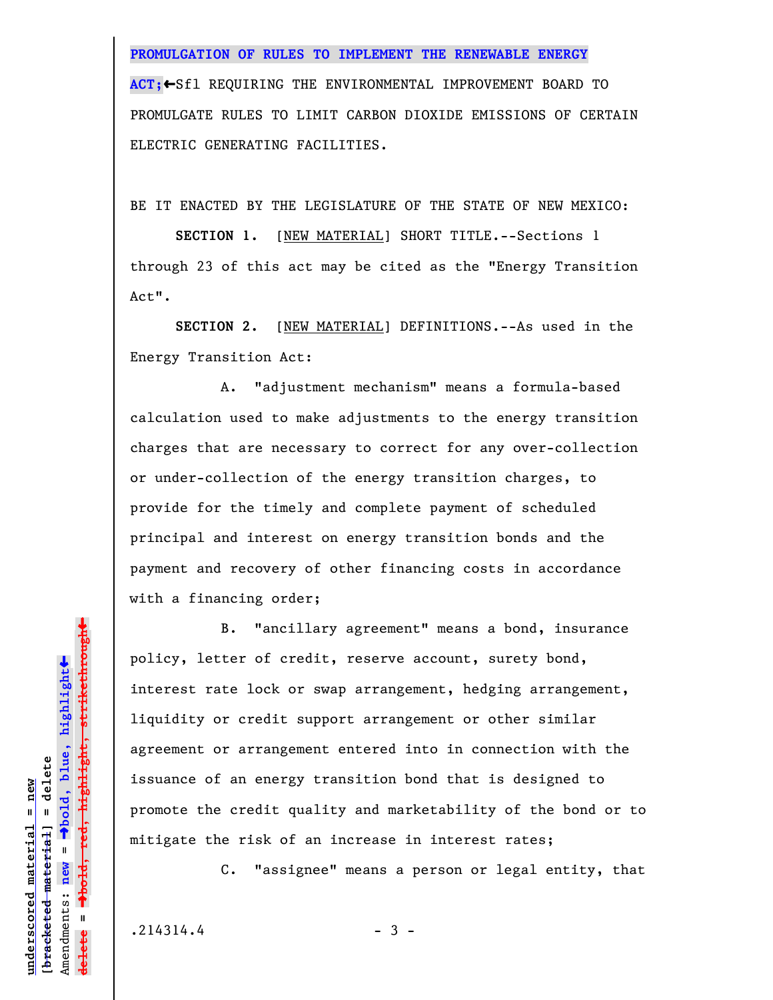**PROMULGATION OF RULES TO IMPLEMENT THE RENEWABLE ENERGY ACT;←Sfl REQUIRING THE ENVIRONMENTAL IMPROVEMENT BOARD TO** PROMULGATE RULES TO LIMIT CARBON DIOXIDE EMISSIONS OF CERTAIN ELECTRIC GENERATING FACILITIES.

BE IT ENACTED BY THE LEGISLATURE OF THE STATE OF NEW MEXICO:

**SECTION 1.** [NEW MATERIAL] SHORT TITLE.--Sections 1 through 23 of this act may be cited as the "Energy Transition Act".

**SECTION 2.** [NEW MATERIAL] DEFINITIONS.--As used in the Energy Transition Act:

A. "adjustment mechanism" means a formula-based calculation used to make adjustments to the energy transition charges that are necessary to correct for any over-collection or under-collection of the energy transition charges, to provide for the timely and complete payment of scheduled principal and interest on energy transition bonds and the payment and recovery of other financing costs in accordance with a financing order;

B. "ancillary agreement" means a bond, insurance policy, letter of credit, reserve account, surety bond, interest rate lock or swap arrangement, hedging arrangement, liquidity or credit support arrangement or other similar agreement or arrangement entered into in connection with the issuance of an energy transition bond that is designed to promote the credit quality and marketability of the bond or to mitigate the risk of an increase in interest rates;

C. "assignee" means a person or legal entity, that

 $.214314.4$  - 3 -

**underscored material = new [bracketed material] = delete**

 $b$ racketed material] = delete inderscored material = new

Amendments: **new** =

Amendments: new

 $\mathbf{I}$ 

**delete =**

<del>lelete</del>

º**bold, blue, highlight**

º**bold, red, highlight, strikethrough**

 $\ddot{\bullet}$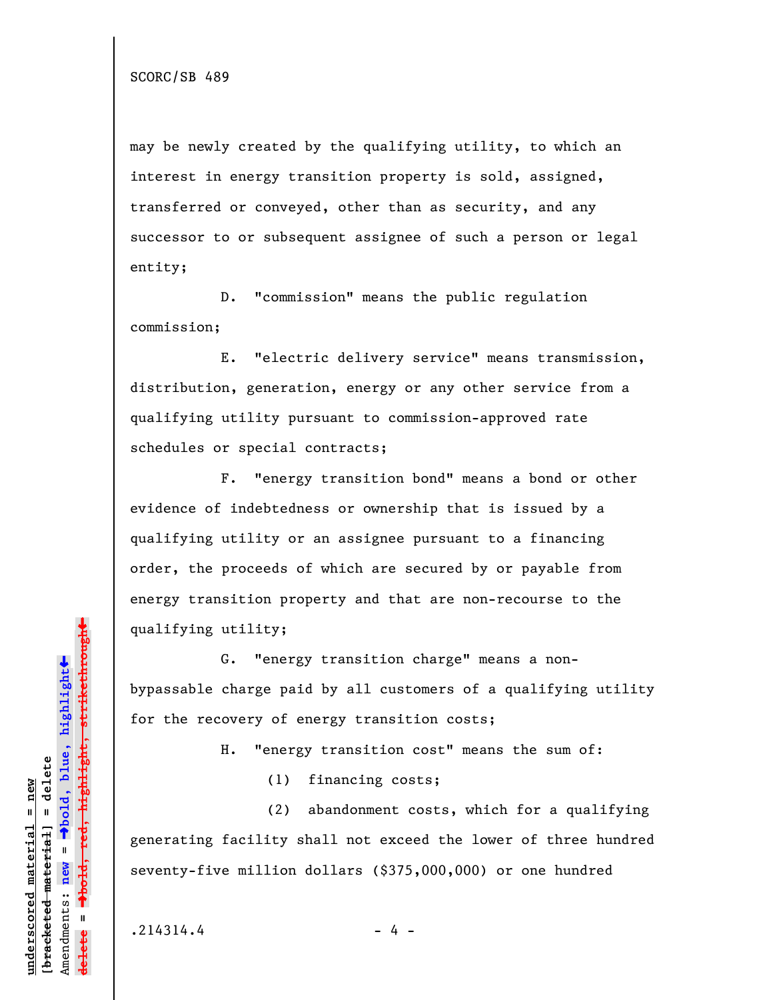may be newly created by the qualifying utility, to which an interest in energy transition property is sold, assigned, transferred or conveyed, other than as security, and any successor to or subsequent assignee of such a person or legal entity;

D. "commission" means the public regulation commission;

E. "electric delivery service" means transmission, distribution, generation, energy or any other service from a qualifying utility pursuant to commission-approved rate schedules or special contracts;

F. "energy transition bond" means a bond or other evidence of indebtedness or ownership that is issued by a qualifying utility or an assignee pursuant to a financing order, the proceeds of which are secured by or payable from energy transition property and that are non-recourse to the qualifying utility;

G. "energy transition charge" means a nonbypassable charge paid by all customers of a qualifying utility for the recovery of energy transition costs;

H. "energy transition cost" means the sum of:

(1) financing costs;

(2) abandonment costs, which for a qualifying generating facility shall not exceed the lower of three hundred seventy-five million dollars (\$375,000,000) or one hundred

 $.214314.4$  - 4 -

»º**bold, red, highlight, strikethrough** highlight, strikethrough  $\ddot{\bullet}$ º**bold, blue, highlight** bracketed material] = delete **[bracketed material] = delete** inderscored material = new **underscored material = new** Amendments: **new** =  $\mathbf{u}$ Amendments: new **delete =**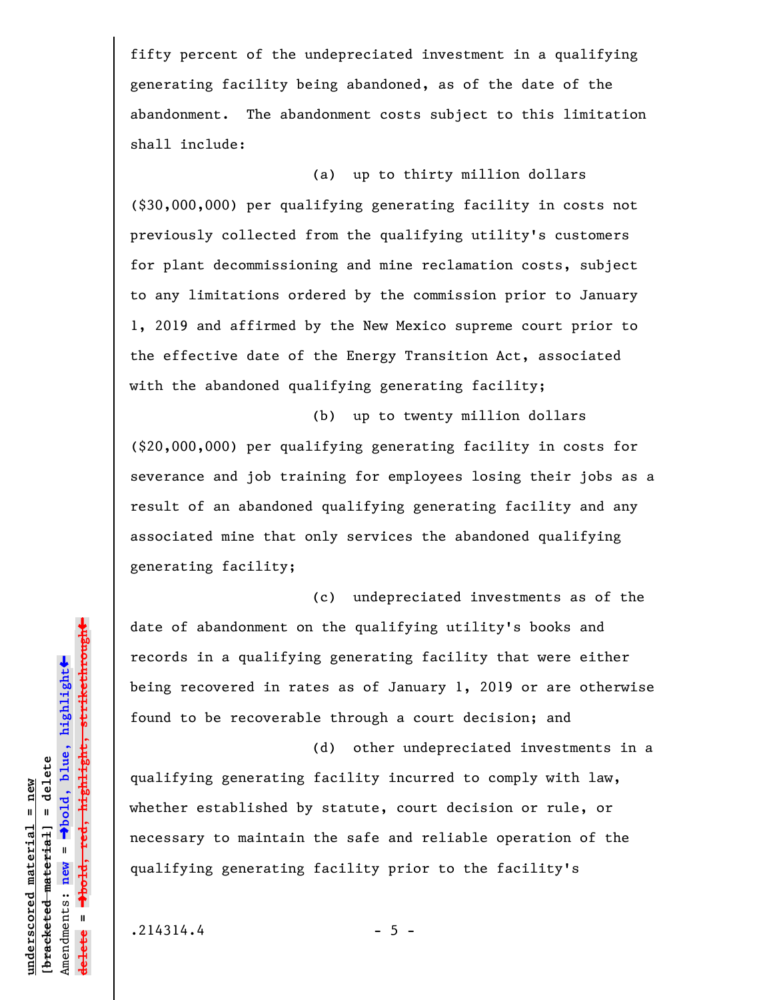fifty percent of the undepreciated investment in a qualifying generating facility being abandoned, as of the date of the abandonment. The abandonment costs subject to this limitation shall include:

(a) up to thirty million dollars (\$30,000,000) per qualifying generating facility in costs not previously collected from the qualifying utility's customers for plant decommissioning and mine reclamation costs, subject to any limitations ordered by the commission prior to January 1, 2019 and affirmed by the New Mexico supreme court prior to the effective date of the Energy Transition Act, associated with the abandoned qualifying generating facility;

(b) up to twenty million dollars (\$20,000,000) per qualifying generating facility in costs for severance and job training for employees losing their jobs as a result of an abandoned qualifying generating facility and any associated mine that only services the abandoned qualifying generating facility;

(c) undepreciated investments as of the date of abandonment on the qualifying utility's books and records in a qualifying generating facility that were either being recovered in rates as of January 1, 2019 or are otherwise found to be recoverable through a court decision; and

(d) other undepreciated investments in a

qualifying generating facility incurred to comply with law, whether established by statute, court decision or rule, or necessary to maintain the safe and reliable operation of the qualifying generating facility prior to the facility's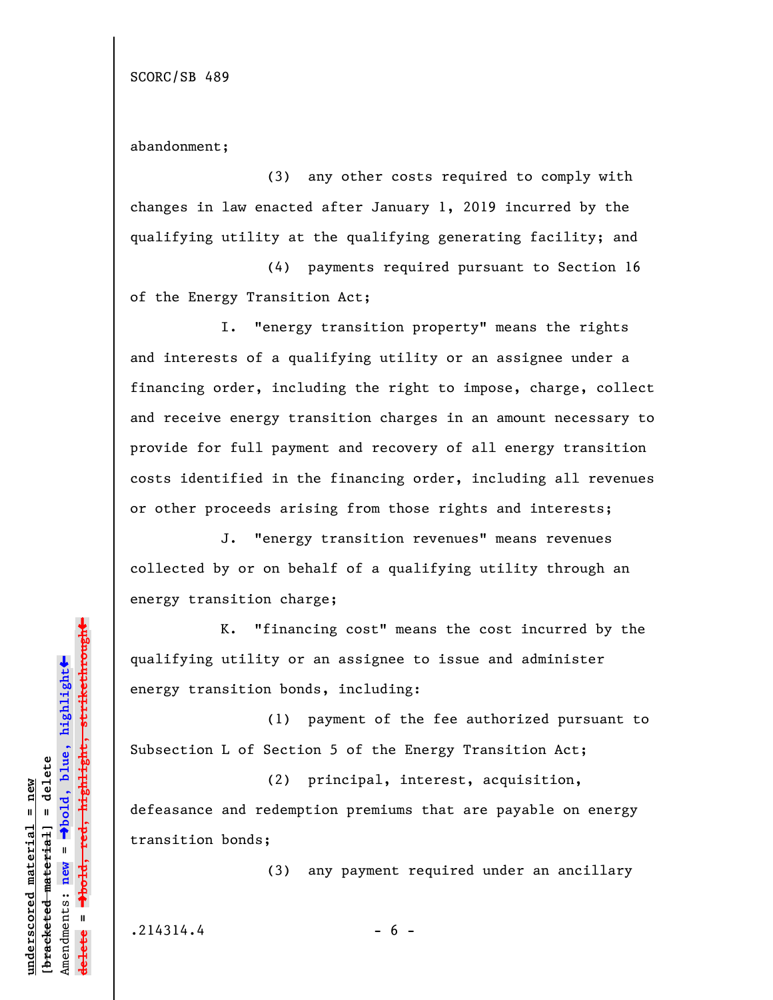SCORC/SB 489

abandonment;

(3) any other costs required to comply with changes in law enacted after January 1, 2019 incurred by the qualifying utility at the qualifying generating facility; and

(4) payments required pursuant to Section 16 of the Energy Transition Act;

I. "energy transition property" means the rights and interests of a qualifying utility or an assignee under a financing order, including the right to impose, charge, collect and receive energy transition charges in an amount necessary to provide for full payment and recovery of all energy transition costs identified in the financing order, including all revenues or other proceeds arising from those rights and interests;

J. "energy transition revenues" means revenues collected by or on behalf of a qualifying utility through an energy transition charge;

 K. "financing cost" means the cost incurred by the qualifying utility or an assignee to issue and administer energy transition bonds, including:

(1) payment of the fee authorized pursuant to Subsection L of Section 5 of the Energy Transition Act;

(2) principal, interest, acquisition, defeasance and redemption premiums that are payable on energy transition bonds;

(3) any payment required under an ancillary

 $.214314.4$  - 6 -

 $\ddag$ º**bold, red, highlight, strikethrough**  $\ddot{\bullet}$ º**bold, blue, highlight** bracketed material] = delete **[bracketed material] = delete** inderscored material = new **underscored material = new** Amendments: **new** =  $\mathbf{u}$ Amendments: new **delete =** lelete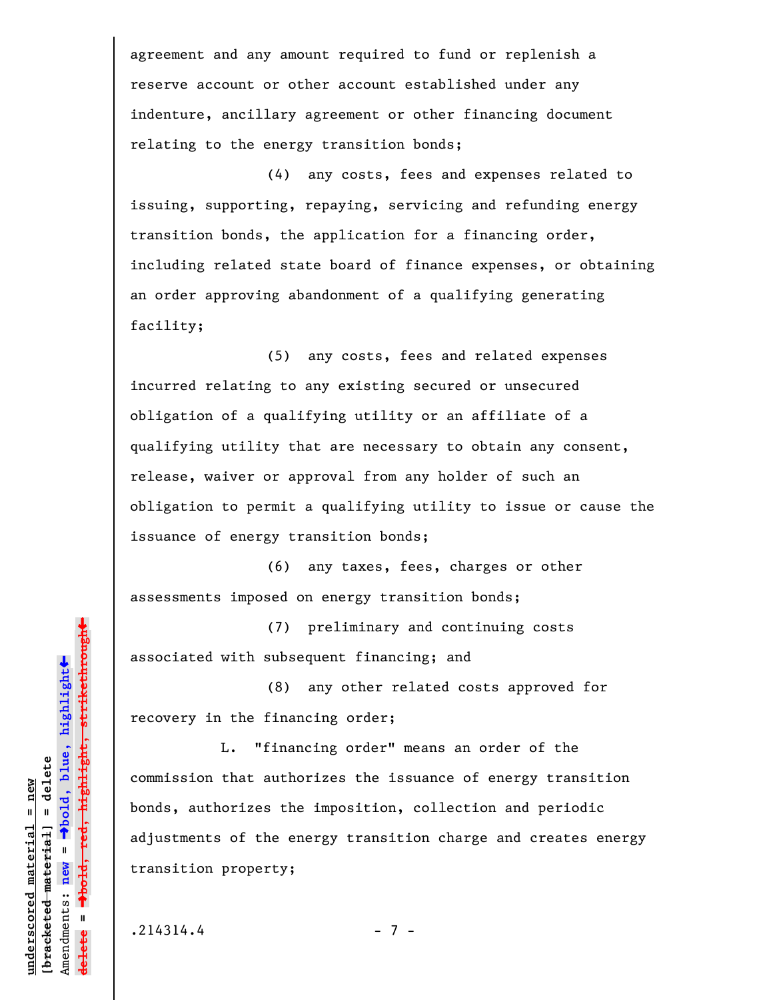agreement and any amount required to fund or replenish a reserve account or other account established under any indenture, ancillary agreement or other financing document relating to the energy transition bonds;

(4) any costs, fees and expenses related to issuing, supporting, repaying, servicing and refunding energy transition bonds, the application for a financing order, including related state board of finance expenses, or obtaining an order approving abandonment of a qualifying generating facility;

(5) any costs, fees and related expenses incurred relating to any existing secured or unsecured obligation of a qualifying utility or an affiliate of a qualifying utility that are necessary to obtain any consent, release, waiver or approval from any holder of such an obligation to permit a qualifying utility to issue or cause the issuance of energy transition bonds;

(6) any taxes, fees, charges or other assessments imposed on energy transition bonds;

(7) preliminary and continuing costs associated with subsequent financing; and

(8) any other related costs approved for recovery in the financing order;

L. "financing order" means an order of the commission that authorizes the issuance of energy transition bonds, authorizes the imposition, collection and periodic adjustments of the energy transition charge and creates energy transition property;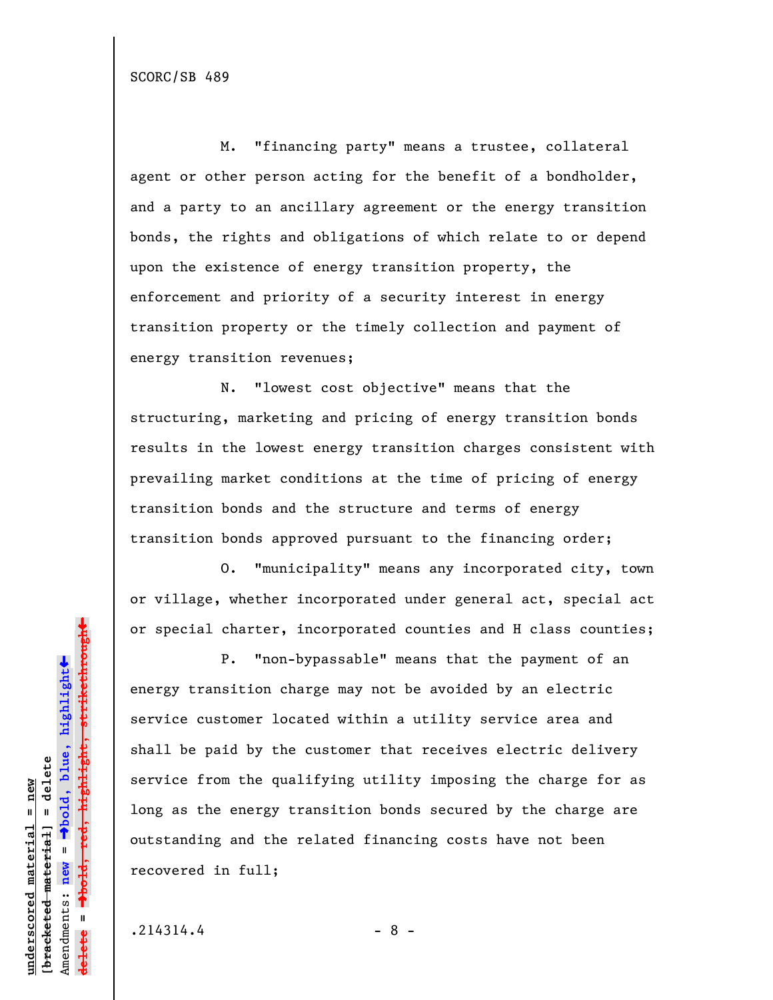M. "financing party" means a trustee, collateral agent or other person acting for the benefit of a bondholder, and a party to an ancillary agreement or the energy transition bonds, the rights and obligations of which relate to or depend upon the existence of energy transition property, the enforcement and priority of a security interest in energy transition property or the timely collection and payment of energy transition revenues;

N. "lowest cost objective" means that the structuring, marketing and pricing of energy transition bonds results in the lowest energy transition charges consistent with prevailing market conditions at the time of pricing of energy transition bonds and the structure and terms of energy transition bonds approved pursuant to the financing order;

O. "municipality" means any incorporated city, town or village, whether incorporated under general act, special act or special charter, incorporated counties and H class counties;

P. "non-bypassable" means that the payment of an energy transition charge may not be avoided by an electric service customer located within a utility service area and shall be paid by the customer that receives electric delivery service from the qualifying utility imposing the charge for as long as the energy transition bonds secured by the charge are outstanding and the related financing costs have not been recovered in full;

 $.214314.4$  - 8 -

**underscored material = new [bracketed material] = delete**

bracketed material] = delete inderscored material = new

Amendments: **new** =

Amendments: new =

**delete =**

lelete

º**bold, blue, highlight**

º**bold, red, highlight, strikethrough**

 $\ddot{\bullet}$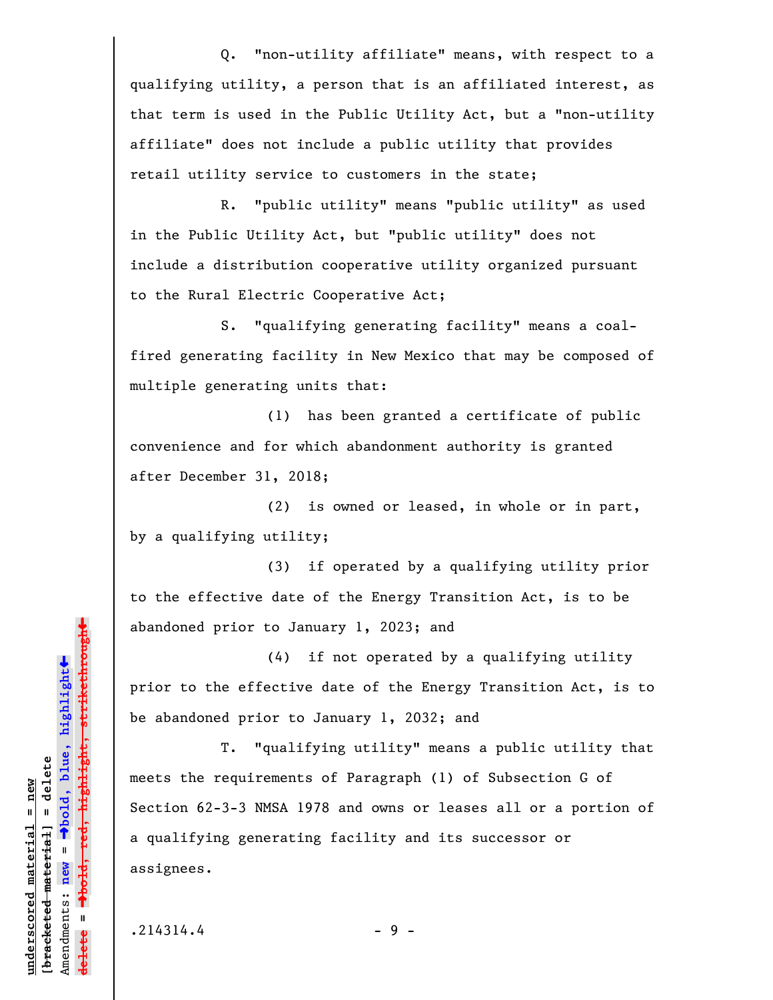Q. "non-utility affiliate" means, with respect to a qualifying utility, a person that is an affiliated interest, as that term is used in the Public Utility Act, but a "non-utility affiliate" does not include a public utility that provides retail utility service to customers in the state;

R. "public utility" means "public utility" as used in the Public Utility Act, but "public utility" does not include a distribution cooperative utility organized pursuant to the Rural Electric Cooperative Act;

S. "qualifying generating facility" means a coalfired generating facility in New Mexico that may be composed of multiple generating units that:

(1) has been granted a certificate of public convenience and for which abandonment authority is granted after December 31, 2018;

(2) is owned or leased, in whole or in part, by a qualifying utility;

(3) if operated by a qualifying utility prior to the effective date of the Energy Transition Act, is to be abandoned prior to January 1, 2023; and

(4) if not operated by a qualifying utility prior to the effective date of the Energy Transition Act, is to be abandoned prior to January 1, 2032; and

T. "qualifying utility" means a public utility that meets the requirements of Paragraph (1) of Subsection G of Section 62-3-3 NMSA 1978 and owns or leases all or a portion of a qualifying generating facility and its successor or assignees.

 $.214314.4$  - 9 -

**underscored material = new [bracketed material] = delete**

 $b$ racketed material] = delete inderscored material = new

Amendments: **new** =

Amendments: new

 $\bar{\mathbf{u}}$ 

**delete =**

º**bold, blue, highlight**

º**bold, red, highlight, strikethrough**

 $\ddot{\bullet}$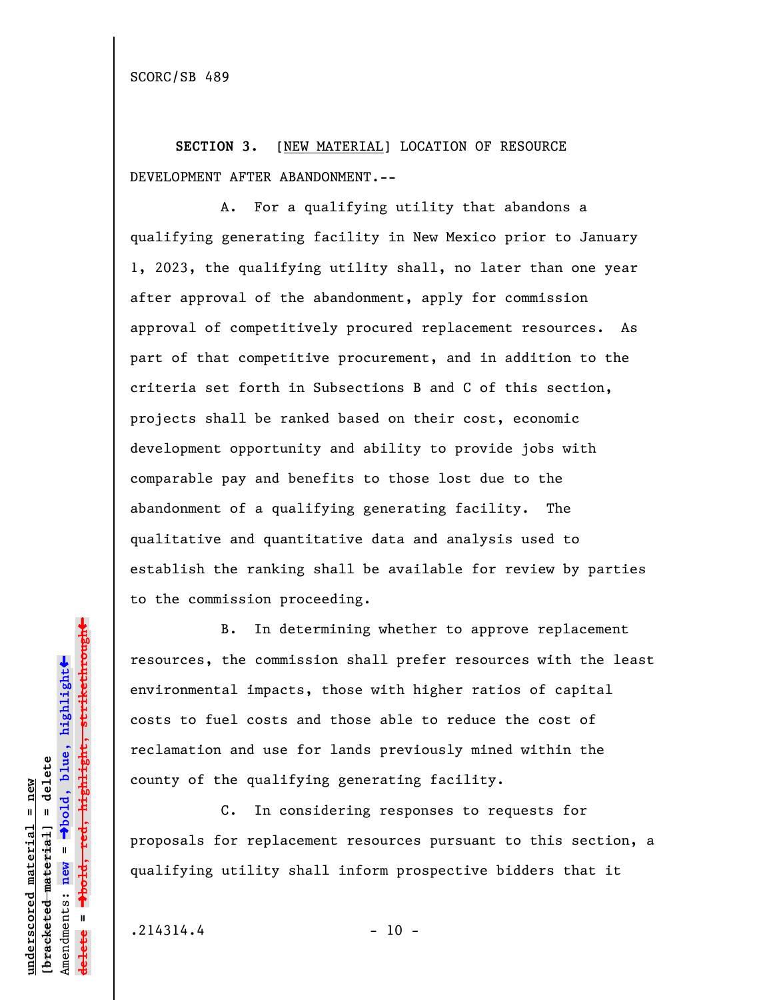SCORC/SB 489

**SECTION 3.** [NEW MATERIAL] LOCATION OF RESOURCE DEVELOPMENT AFTER ABANDONMENT.--

A. For a qualifying utility that abandons a qualifying generating facility in New Mexico prior to January 1, 2023, the qualifying utility shall, no later than one year after approval of the abandonment, apply for commission approval of competitively procured replacement resources. As part of that competitive procurement, and in addition to the criteria set forth in Subsections B and C of this section, projects shall be ranked based on their cost, economic development opportunity and ability to provide jobs with comparable pay and benefits to those lost due to the abandonment of a qualifying generating facility. The qualitative and quantitative data and analysis used to establish the ranking shall be available for review by parties to the commission proceeding.

B. In determining whether to approve replacement resources, the commission shall prefer resources with the least environmental impacts, those with higher ratios of capital costs to fuel costs and those able to reduce the cost of reclamation and use for lands previously mined within the county of the qualifying generating facility.

C. In considering responses to requests for proposals for replacement resources pursuant to this section, a qualifying utility shall inform prospective bidders that it

 $.214314.4$  - 10 -

**underscored material = new [bracketed material] = delete**

bracketed material] = delete inderscored material = new

Amendments: **new** =

Amendments: new

 $\bar{\mathbf{u}}$ 

**delete =**

º**bold, blue, highlight**

º**bold, red, highlight, strikethrough**

 $\ddot{\bullet}$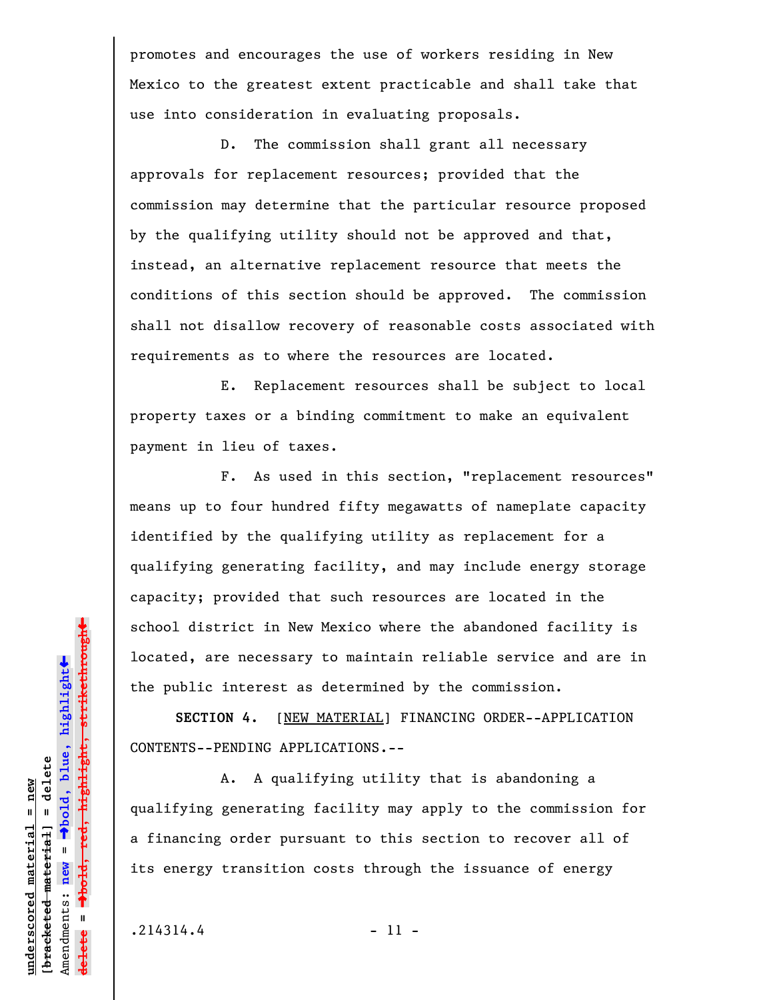promotes and encourages the use of workers residing in New Mexico to the greatest extent practicable and shall take that use into consideration in evaluating proposals.

D. The commission shall grant all necessary approvals for replacement resources; provided that the commission may determine that the particular resource proposed by the qualifying utility should not be approved and that, instead, an alternative replacement resource that meets the conditions of this section should be approved. The commission shall not disallow recovery of reasonable costs associated with requirements as to where the resources are located.

E. Replacement resources shall be subject to local property taxes or a binding commitment to make an equivalent payment in lieu of taxes.

F. As used in this section, "replacement resources" means up to four hundred fifty megawatts of nameplate capacity identified by the qualifying utility as replacement for a qualifying generating facility, and may include energy storage capacity; provided that such resources are located in the school district in New Mexico where the abandoned facility is located, are necessary to maintain reliable service and are in the public interest as determined by the commission.

**SECTION 4.** [NEW MATERIAL] FINANCING ORDER--APPLICATION CONTENTS--PENDING APPLICATIONS.--

A. A qualifying utility that is abandoning a qualifying generating facility may apply to the commission for a financing order pursuant to this section to recover all of its energy transition costs through the issuance of energy

 $.214314.4$  - 11 -

**underscored material = new [bracketed material] = delete**

 $b$ racketed material] = delete inderscored material = new

Amendments: **new** =

Amendments: new =

**delete =**

º**bold, blue, highlight**

º**bold, red, highlight, strikethrough**

 $\ddot{\bullet}$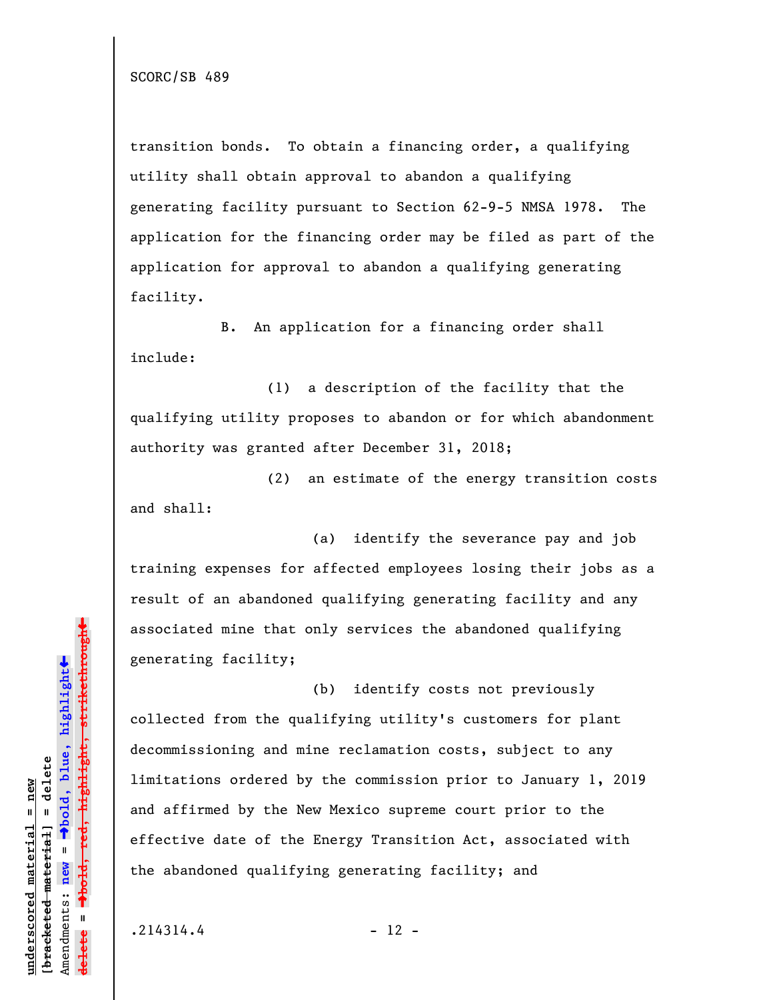SCORC/SB 489

transition bonds. To obtain a financing order, a qualifying utility shall obtain approval to abandon a qualifying generating facility pursuant to Section 62-9-5 NMSA 1978. The application for the financing order may be filed as part of the application for approval to abandon a qualifying generating facility.

B. An application for a financing order shall include:

(1) a description of the facility that the qualifying utility proposes to abandon or for which abandonment authority was granted after December 31, 2018;

(2) an estimate of the energy transition costs and shall:

(a) identify the severance pay and job training expenses for affected employees losing their jobs as a result of an abandoned qualifying generating facility and any associated mine that only services the abandoned qualifying generating facility;

(b) identify costs not previously collected from the qualifying utility's customers for plant decommissioning and mine reclamation costs, subject to any limitations ordered by the commission prior to January 1, 2019 and affirmed by the New Mexico supreme court prior to the effective date of the Energy Transition Act, associated with the abandoned qualifying generating facility; and

 $.214314.4$  - 12 -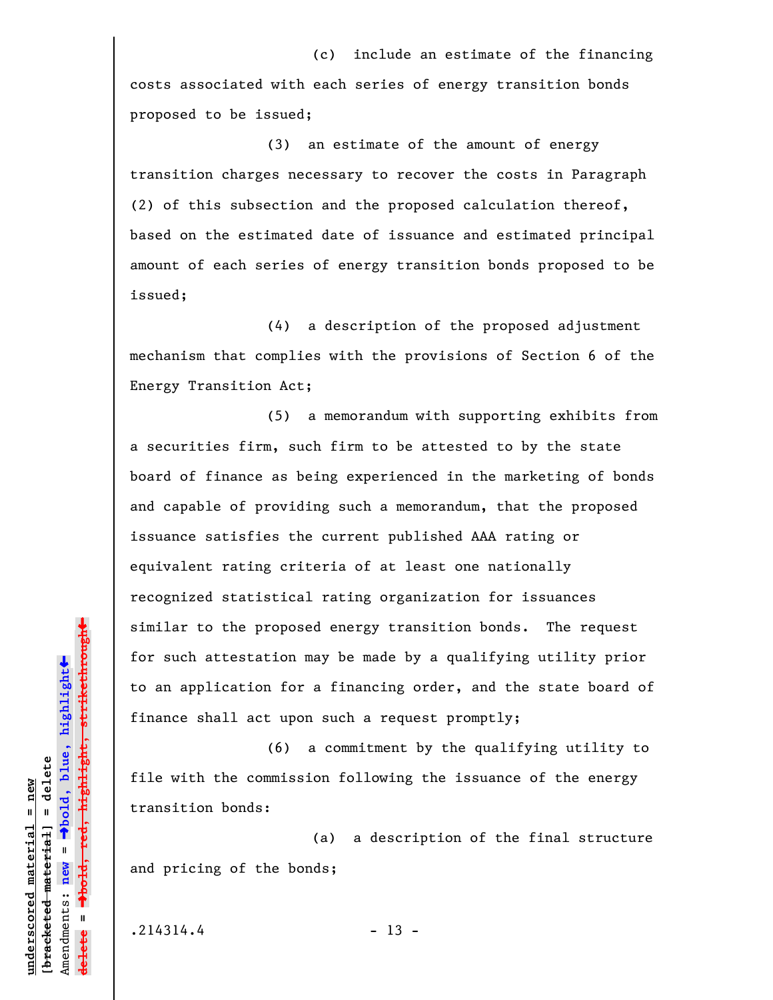(c) include an estimate of the financing costs associated with each series of energy transition bonds proposed to be issued;

(3) an estimate of the amount of energy transition charges necessary to recover the costs in Paragraph (2) of this subsection and the proposed calculation thereof, based on the estimated date of issuance and estimated principal amount of each series of energy transition bonds proposed to be issued;

(4) a description of the proposed adjustment mechanism that complies with the provisions of Section 6 of the Energy Transition Act;

(5) a memorandum with supporting exhibits from a securities firm, such firm to be attested to by the state board of finance as being experienced in the marketing of bonds and capable of providing such a memorandum, that the proposed issuance satisfies the current published AAA rating or equivalent rating criteria of at least one nationally recognized statistical rating organization for issuances similar to the proposed energy transition bonds. The request for such attestation may be made by a qualifying utility prior to an application for a financing order, and the state board of finance shall act upon such a request promptly;

(6) a commitment by the qualifying utility to file with the commission following the issuance of the energy transition bonds:

(a) a description of the final structure and pricing of the bonds;

 $.214314.4$  - 13 -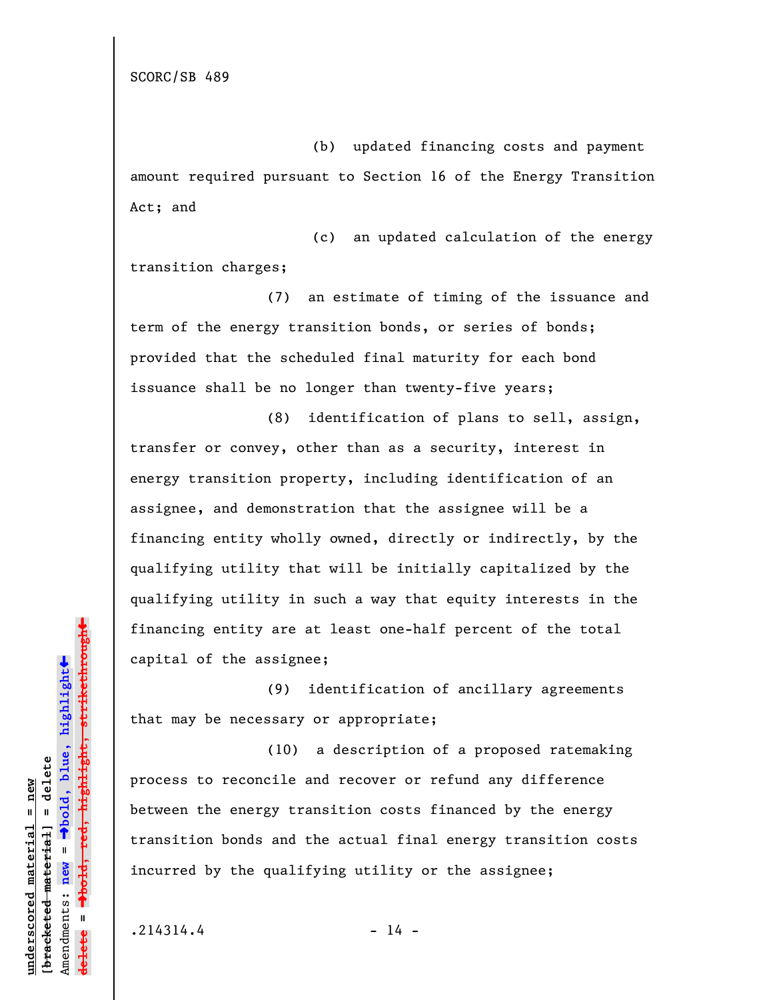SCORC/SB 489

(b) updated financing costs and payment amount required pursuant to Section 16 of the Energy Transition Act; and

(c) an updated calculation of the energy transition charges;

(7) an estimate of timing of the issuance and term of the energy transition bonds, or series of bonds; provided that the scheduled final maturity for each bond issuance shall be no longer than twenty-five years;

(8) identification of plans to sell, assign, transfer or convey, other than as a security, interest in energy transition property, including identification of an assignee, and demonstration that the assignee will be a financing entity wholly owned, directly or indirectly, by the qualifying utility that will be initially capitalized by the qualifying utility in such a way that equity interests in the financing entity are at least one-half percent of the total capital of the assignee;

(9) identification of ancillary agreements that may be necessary or appropriate;

(10) a description of a proposed ratemaking process to reconcile and recover or refund any difference between the energy transition costs financed by the energy transition bonds and the actual final energy transition costs incurred by the qualifying utility or the assignee;

 $.214314.4$  - 14 -

**underscored material = new [bracketed material] = delete**

bracketed material] = delete inderscored material = new

Amendments: **new** =

Amendments: new

 $\mathbf{u}$ 

**delete =**

º**bold, blue, highlight**

º**bold, red, highlight, strikethrough**

highlight, strikethrough

 $\ddot{\bullet}$ 

»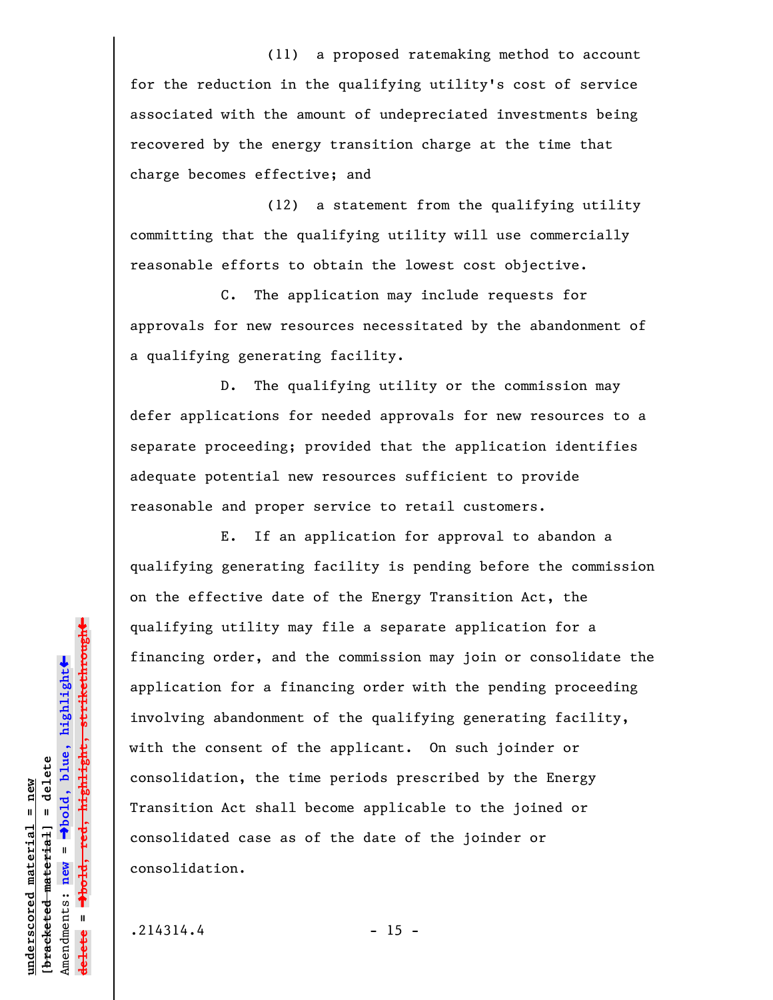(11) a proposed ratemaking method to account for the reduction in the qualifying utility's cost of service associated with the amount of undepreciated investments being recovered by the energy transition charge at the time that charge becomes effective; and

(12) a statement from the qualifying utility committing that the qualifying utility will use commercially reasonable efforts to obtain the lowest cost objective.

C. The application may include requests for approvals for new resources necessitated by the abandonment of a qualifying generating facility.

D. The qualifying utility or the commission may defer applications for needed approvals for new resources to a separate proceeding; provided that the application identifies adequate potential new resources sufficient to provide reasonable and proper service to retail customers.

E. If an application for approval to abandon a qualifying generating facility is pending before the commission on the effective date of the Energy Transition Act, the qualifying utility may file a separate application for a financing order, and the commission may join or consolidate the application for a financing order with the pending proceeding involving abandonment of the qualifying generating facility, with the consent of the applicant. On such joinder or consolidation, the time periods prescribed by the Energy Transition Act shall become applicable to the joined or consolidated case as of the date of the joinder or consolidation.

 $.214314.4$  - 15 -

**underscored material = new [bracketed material] = delete**

 $b$ racketed material] = delete inderscored material = new

Amendments: **new** =

Amendments: new

 $\mathbf{u}$ 

**delete =**

º**bold, blue, highlight**

º**bold, red, highlight, strikethrough**

 $\ddot{\bullet}$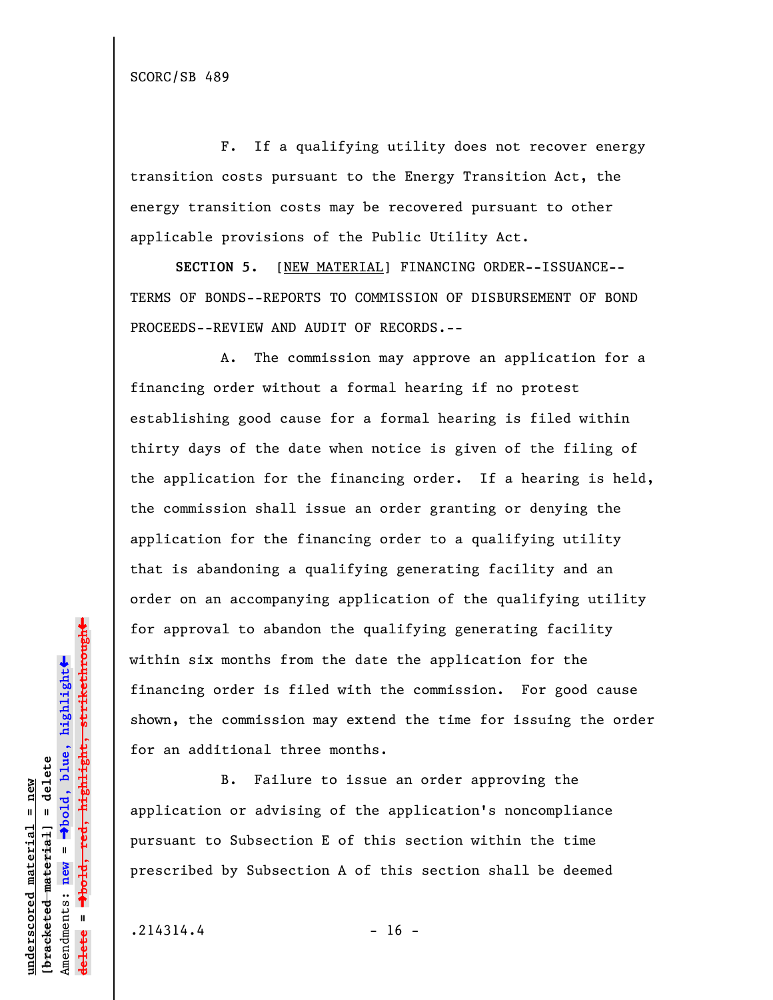F. If a qualifying utility does not recover energy transition costs pursuant to the Energy Transition Act, the energy transition costs may be recovered pursuant to other applicable provisions of the Public Utility Act.

**SECTION 5.** [NEW MATERIAL] FINANCING ORDER--ISSUANCE-- TERMS OF BONDS--REPORTS TO COMMISSION OF DISBURSEMENT OF BOND PROCEEDS--REVIEW AND AUDIT OF RECORDS.--

A. The commission may approve an application for a financing order without a formal hearing if no protest establishing good cause for a formal hearing is filed within thirty days of the date when notice is given of the filing of the application for the financing order. If a hearing is held, the commission shall issue an order granting or denying the application for the financing order to a qualifying utility that is abandoning a qualifying generating facility and an order on an accompanying application of the qualifying utility for approval to abandon the qualifying generating facility within six months from the date the application for the financing order is filed with the commission. For good cause shown, the commission may extend the time for issuing the order for an additional three months.

B. Failure to issue an order approving the application or advising of the application's noncompliance pursuant to Subsection E of this section within the time prescribed by Subsection A of this section shall be deemed

 $.214314.4$  - 16 -

**underscored material = new [bracketed material] = delete**

 $b$ racketed material] = delete inderscored material = new

Amendments: **new** =

Amendments: new

 $\mathbf{u}$ 

**delete =**

º**bold, blue, highlight**

º**bold, red, highlight, strikethrough**

 $\ddot{\bullet}$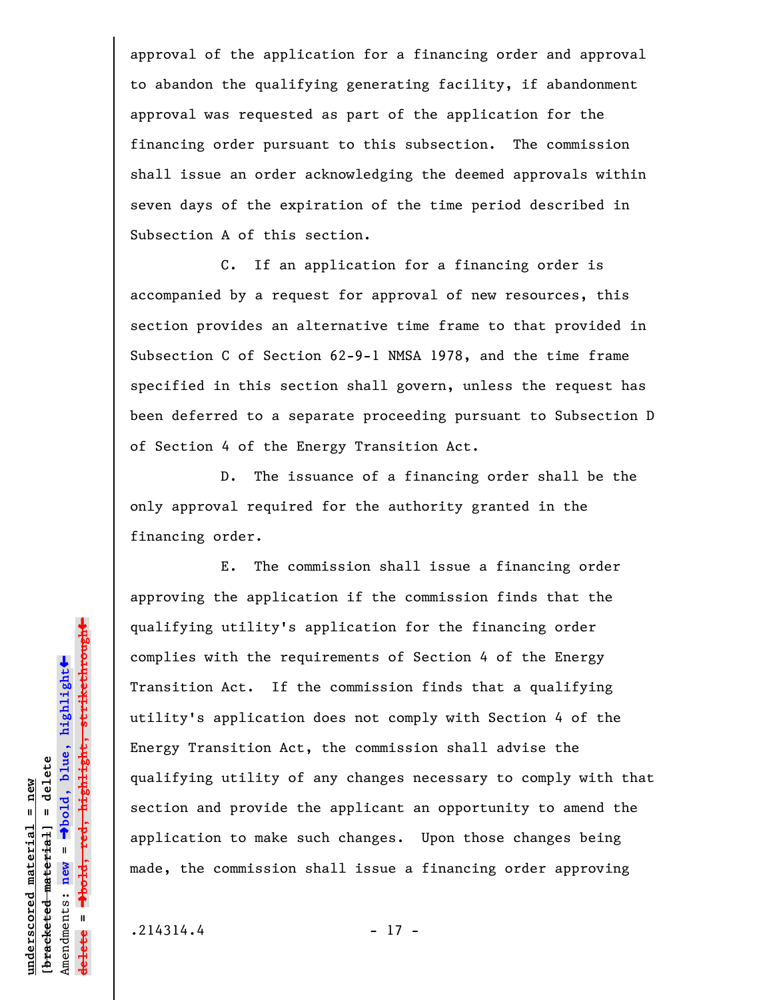approval of the application for a financing order and approval to abandon the qualifying generating facility, if abandonment approval was requested as part of the application for the financing order pursuant to this subsection. The commission shall issue an order acknowledging the deemed approvals within seven days of the expiration of the time period described in Subsection A of this section.

C. If an application for a financing order is accompanied by a request for approval of new resources, this section provides an alternative time frame to that provided in Subsection C of Section 62-9-1 NMSA 1978, and the time frame specified in this section shall govern, unless the request has been deferred to a separate proceeding pursuant to Subsection D of Section 4 of the Energy Transition Act.

D. The issuance of a financing order shall be the only approval required for the authority granted in the financing order.

E. The commission shall issue a financing order approving the application if the commission finds that the qualifying utility's application for the financing order complies with the requirements of Section 4 of the Energy Transition Act. If the commission finds that a qualifying utility's application does not comply with Section 4 of the Energy Transition Act, the commission shall advise the qualifying utility of any changes necessary to comply with that section and provide the applicant an opportunity to amend the application to make such changes. Upon those changes being made, the commission shall issue a financing order approving

 $.214314.4$  - 17 -

**underscored material = new [bracketed material] = delete**

 $b$ racketed material] = delete inderscored material = new

Amendments: **new** =

Amendments: new =

**delete =**

lelete

º**bold, blue, highlight**

º**bold, red, highlight, strikethrough**

 $\ddot{\bullet}$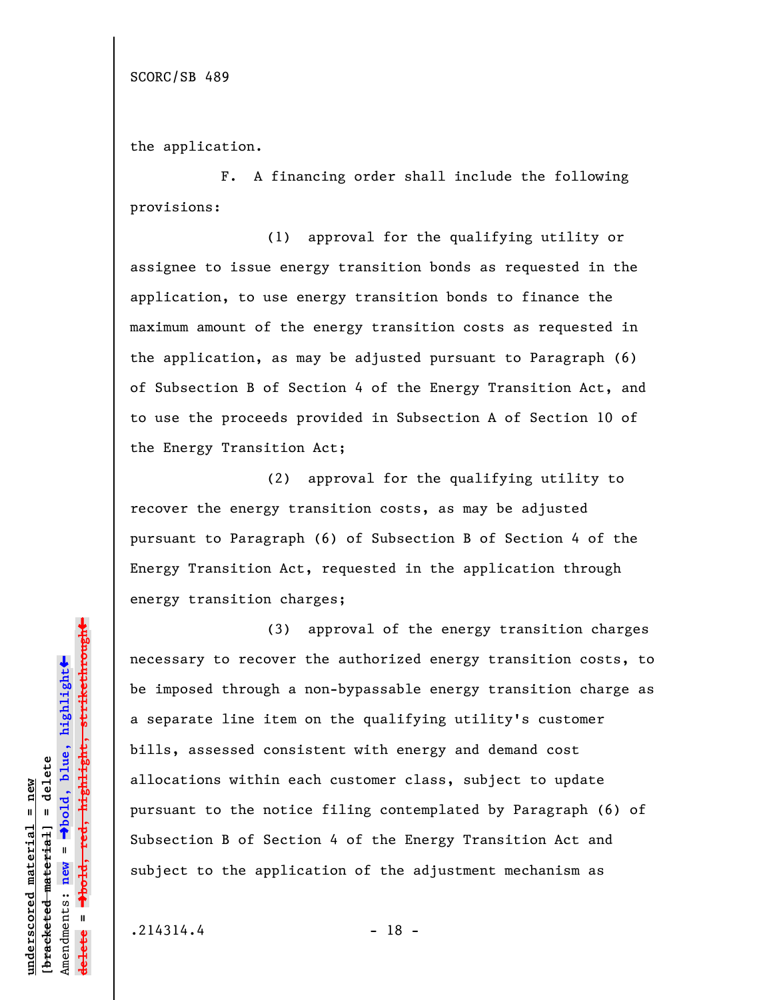SCORC/SB 489

the application.

F. A financing order shall include the following provisions:

(1) approval for the qualifying utility or assignee to issue energy transition bonds as requested in the application, to use energy transition bonds to finance the maximum amount of the energy transition costs as requested in the application, as may be adjusted pursuant to Paragraph (6) of Subsection B of Section 4 of the Energy Transition Act, and to use the proceeds provided in Subsection A of Section 10 of the Energy Transition Act;

(2) approval for the qualifying utility to recover the energy transition costs, as may be adjusted pursuant to Paragraph (6) of Subsection B of Section 4 of the Energy Transition Act, requested in the application through energy transition charges;

(3) approval of the energy transition charges necessary to recover the authorized energy transition costs, to be imposed through a non-bypassable energy transition charge as a separate line item on the qualifying utility's customer bills, assessed consistent with energy and demand cost allocations within each customer class, subject to update pursuant to the notice filing contemplated by Paragraph (6) of Subsection B of Section 4 of the Energy Transition Act and subject to the application of the adjustment mechanism as

 $.214314.4$  - 18 -

**underscored material = new [bracketed material] = delete**

bracketed material] = delete inderscored material = new

Amendments: **new** =

Amendments: new

 $\mathbf{u}$ 

**delete =**

º**bold, blue, highlight**

º**bold, red, highlight, strikethrough**

 $\ddot{\bullet}$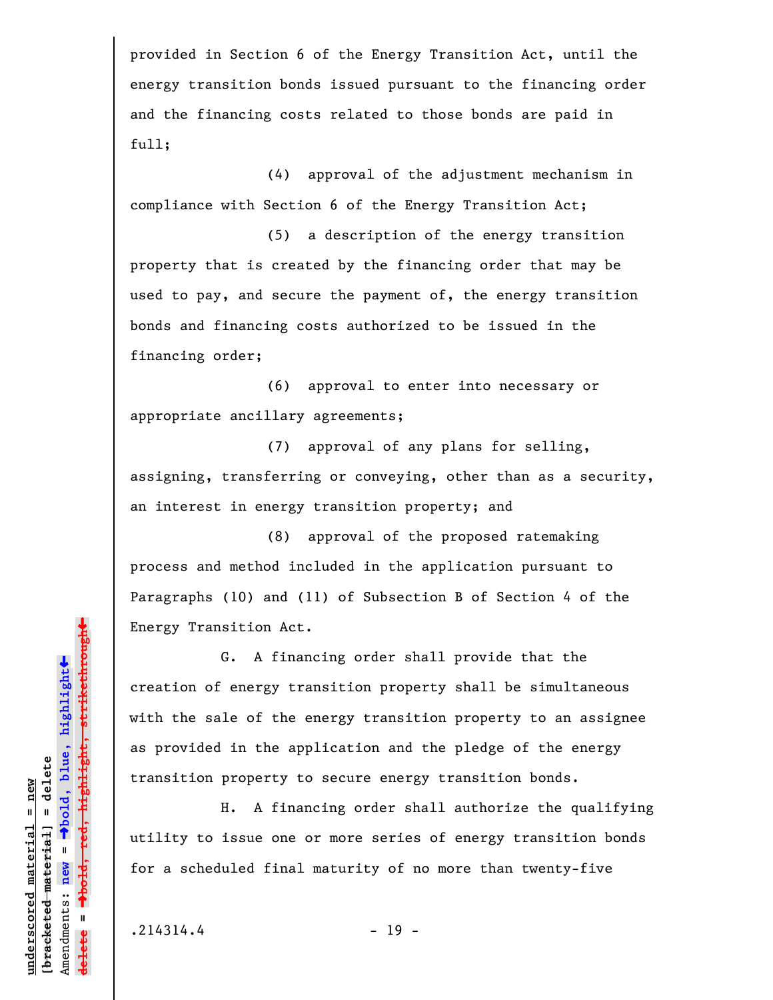provided in Section 6 of the Energy Transition Act, until the energy transition bonds issued pursuant to the financing order and the financing costs related to those bonds are paid in full;

(4) approval of the adjustment mechanism in compliance with Section 6 of the Energy Transition Act;

(5) a description of the energy transition property that is created by the financing order that may be used to pay, and secure the payment of, the energy transition bonds and financing costs authorized to be issued in the financing order;

(6) approval to enter into necessary or appropriate ancillary agreements;

(7) approval of any plans for selling, assigning, transferring or conveying, other than as a security, an interest in energy transition property; and

(8) approval of the proposed ratemaking process and method included in the application pursuant to Paragraphs (10) and (11) of Subsection B of Section 4 of the Energy Transition Act.

G. A financing order shall provide that the creation of energy transition property shall be simultaneous with the sale of the energy transition property to an assignee as provided in the application and the pledge of the energy transition property to secure energy transition bonds.

H. A financing order shall authorize the qualifying utility to issue one or more series of energy transition bonds for a scheduled final maturity of no more than twenty-five

 $.214314.4$  - 19 -

**underscored material = new [bracketed material] = delete**

 $b$ racketed material] = delete inderscored material = new

Amendments: **new** =

Amendments: new

 $\mathbf{u}$ 

**delete =**

º**bold, blue, highlight**

º**bold, red, highlight, strikethrough**

 $\ddot{\bullet}$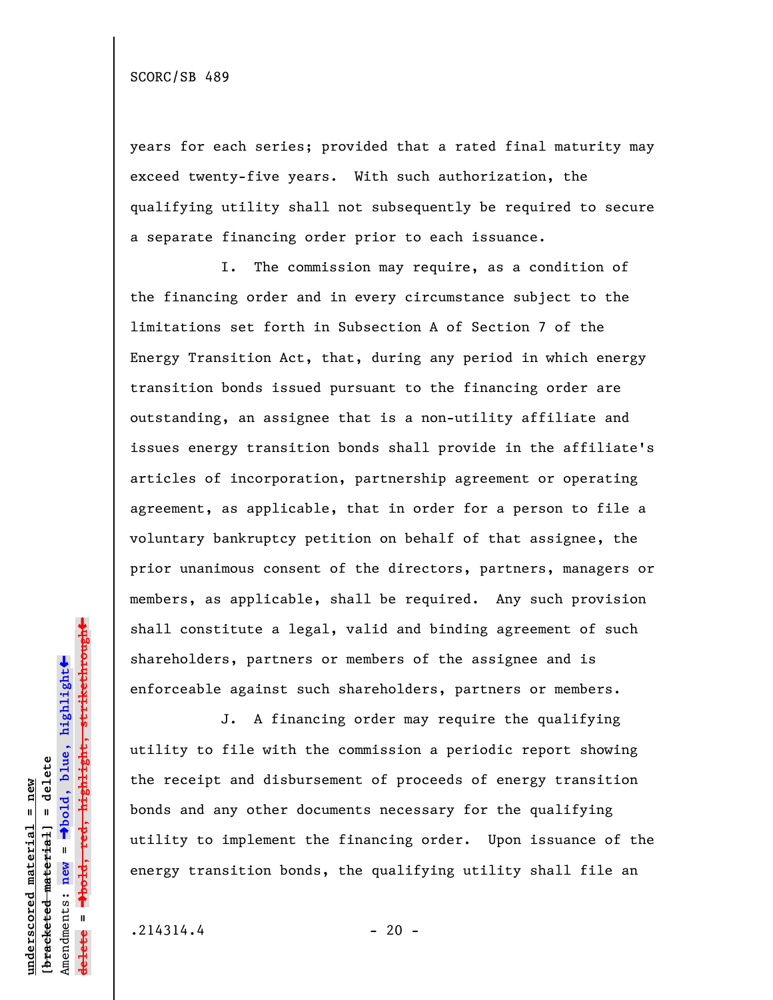years for each series; provided that a rated final maturity may exceed twenty-five years. With such authorization, the qualifying utility shall not subsequently be required to secure a separate financing order prior to each issuance.

I. The commission may require, as a condition of the financing order and in every circumstance subject to the limitations set forth in Subsection A of Section 7 of the Energy Transition Act, that, during any period in which energy transition bonds issued pursuant to the financing order are outstanding, an assignee that is a non-utility affiliate and issues energy transition bonds shall provide in the affiliate's articles of incorporation, partnership agreement or operating agreement, as applicable, that in order for a person to file a voluntary bankruptcy petition on behalf of that assignee, the prior unanimous consent of the directors, partners, managers or members, as applicable, shall be required. Any such provision shall constitute a legal, valid and binding agreement of such shareholders, partners or members of the assignee and is enforceable against such shareholders, partners or members.

J. A financing order may require the qualifying utility to file with the commission a periodic report showing the receipt and disbursement of proceeds of energy transition bonds and any other documents necessary for the qualifying utility to implement the financing order. Upon issuance of the energy transition bonds, the qualifying utility shall file an

 $.214314.4$  - 20 -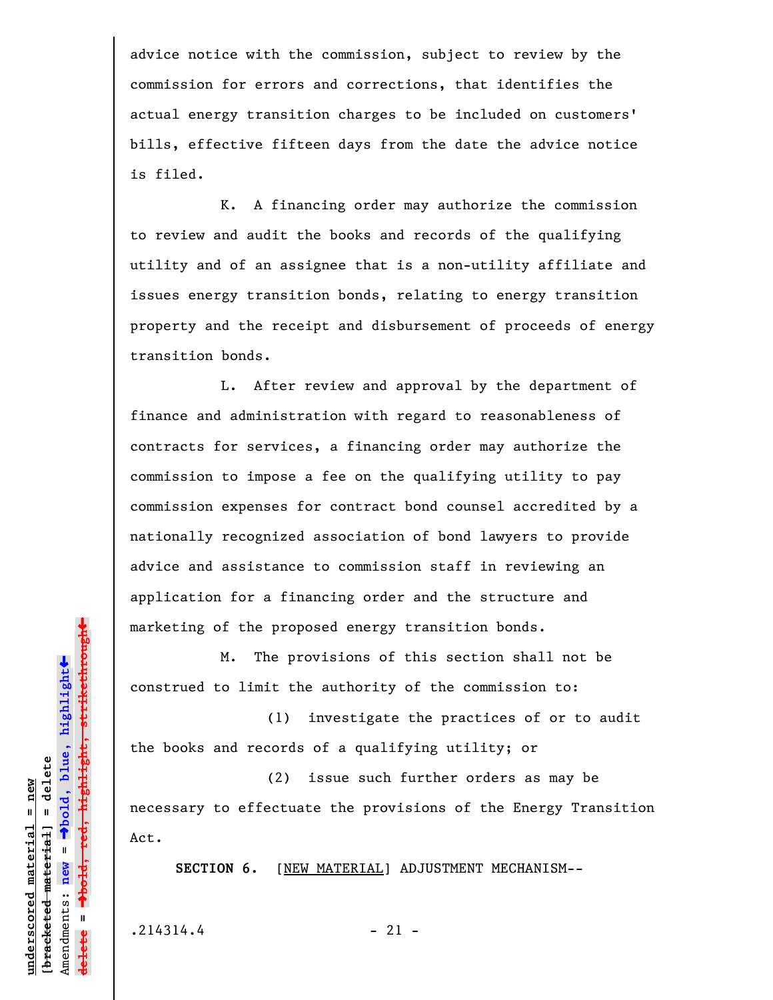advice notice with the commission, subject to review by the commission for errors and corrections, that identifies the actual energy transition charges to be included on customers' bills, effective fifteen days from the date the advice notice is filed.

K. A financing order may authorize the commission to review and audit the books and records of the qualifying utility and of an assignee that is a non-utility affiliate and issues energy transition bonds, relating to energy transition property and the receipt and disbursement of proceeds of energy transition bonds.

L. After review and approval by the department of finance and administration with regard to reasonableness of contracts for services, a financing order may authorize the commission to impose a fee on the qualifying utility to pay commission expenses for contract bond counsel accredited by a nationally recognized association of bond lawyers to provide advice and assistance to commission staff in reviewing an application for a financing order and the structure and marketing of the proposed energy transition bonds.

M. The provisions of this section shall not be construed to limit the authority of the commission to:

(1) investigate the practices of or to audit the books and records of a qualifying utility; or

(2) issue such further orders as may be necessary to effectuate the provisions of the Energy Transition Act.

SECTION 6. [NEW MATERIAL] ADJUSTMENT MECHANISM--

 $.214314.4$  - 21 -

º**bold, red, highlight, strikethrough**  $\ddot{\bullet}$ º**bold, blue, highlight**  $b$ racketed material] = delete **[bracketed material] = delete** inderscored material = new **underscored material = new** Amendments: **new** =  $\mathbf{u}$ Amendments: new **delete =** lelete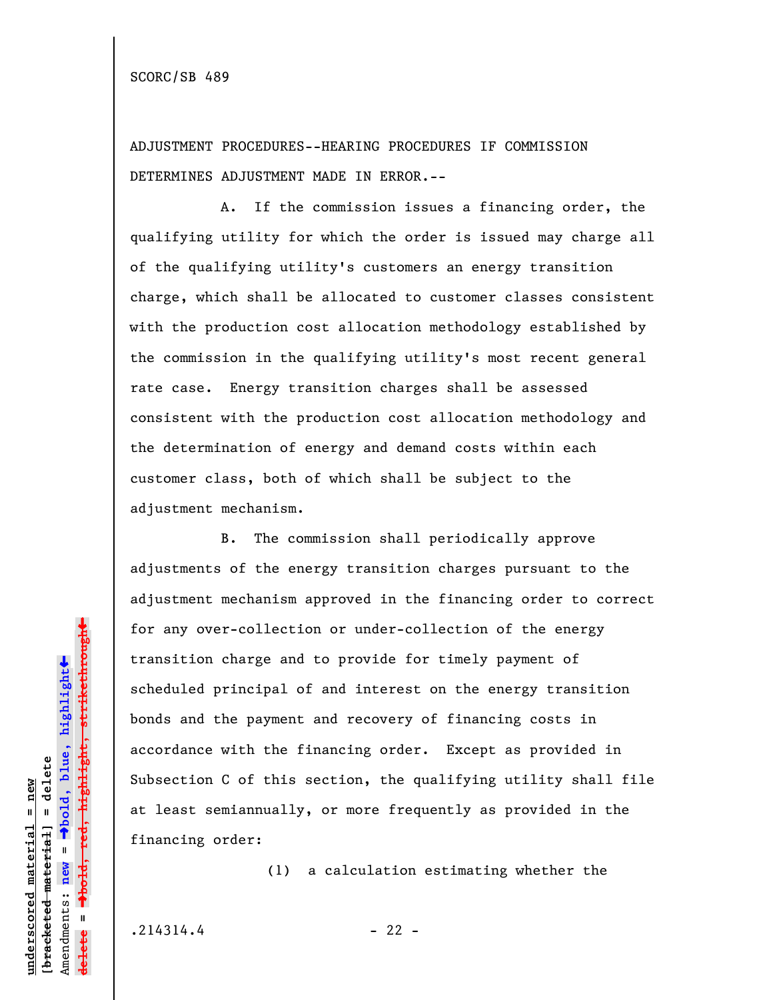ADJUSTMENT PROCEDURES--HEARING PROCEDURES IF COMMISSION DETERMINES ADJUSTMENT MADE IN ERROR.--

A. If the commission issues a financing order, the qualifying utility for which the order is issued may charge all of the qualifying utility's customers an energy transition charge, which shall be allocated to customer classes consistent with the production cost allocation methodology established by the commission in the qualifying utility's most recent general rate case. Energy transition charges shall be assessed consistent with the production cost allocation methodology and the determination of energy and demand costs within each customer class, both of which shall be subject to the adjustment mechanism.

B. The commission shall periodically approve adjustments of the energy transition charges pursuant to the adjustment mechanism approved in the financing order to correct for any over-collection or under-collection of the energy transition charge and to provide for timely payment of scheduled principal of and interest on the energy transition bonds and the payment and recovery of financing costs in accordance with the financing order. Except as provided in Subsection C of this section, the qualifying utility shall file at least semiannually, or more frequently as provided in the financing order:

(1) a calculation estimating whether the

 $.214314.4$  - 22 -

**underscored material = new [bracketed material] = delete**

 $b$ racketed material] = delete inderscored material = new

Amendments: **new** =

Amendments: new

 $\mathbf{I}$ 

**delete =**

lelete

º**bold, blue, highlight**

º**bold, red, highlight, strikethrough**

 $\ddot{\bullet}$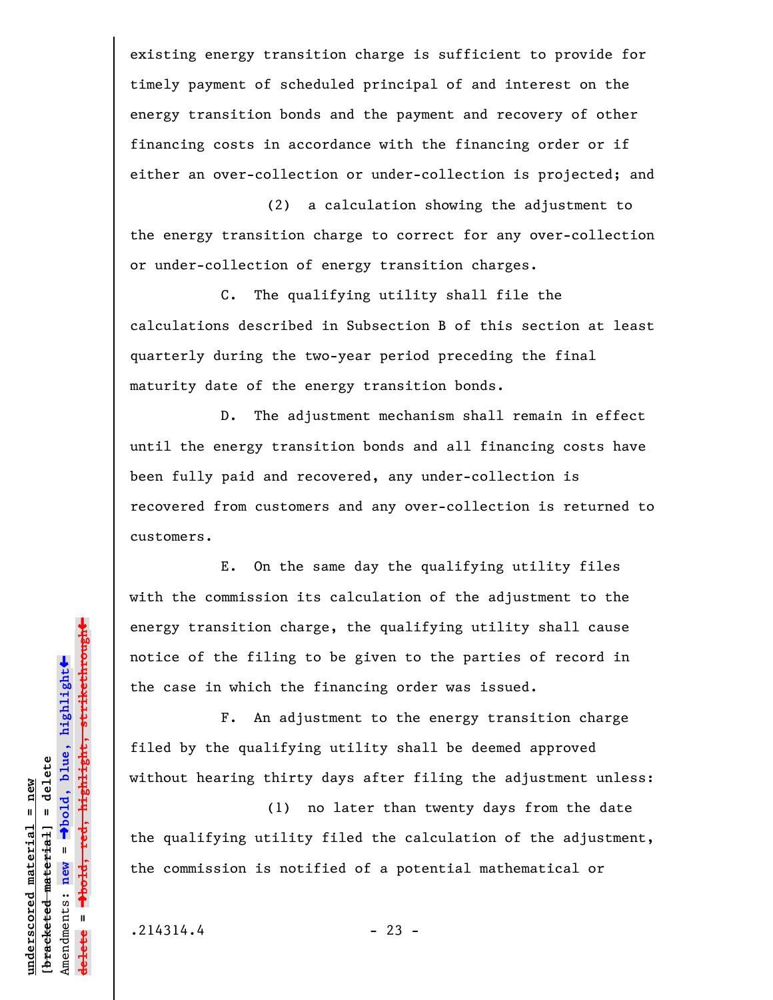existing energy transition charge is sufficient to provide for timely payment of scheduled principal of and interest on the energy transition bonds and the payment and recovery of other financing costs in accordance with the financing order or if either an over-collection or under-collection is projected; and

(2) a calculation showing the adjustment to the energy transition charge to correct for any over-collection or under-collection of energy transition charges.

C. The qualifying utility shall file the calculations described in Subsection B of this section at least quarterly during the two-year period preceding the final maturity date of the energy transition bonds.

D. The adjustment mechanism shall remain in effect until the energy transition bonds and all financing costs have been fully paid and recovered, any under-collection is recovered from customers and any over-collection is returned to customers.

E. On the same day the qualifying utility files with the commission its calculation of the adjustment to the energy transition charge, the qualifying utility shall cause notice of the filing to be given to the parties of record in the case in which the financing order was issued.

F. An adjustment to the energy transition charge filed by the qualifying utility shall be deemed approved without hearing thirty days after filing the adjustment unless:

(1) no later than twenty days from the date the qualifying utility filed the calculation of the adjustment, the commission is notified of a potential mathematical or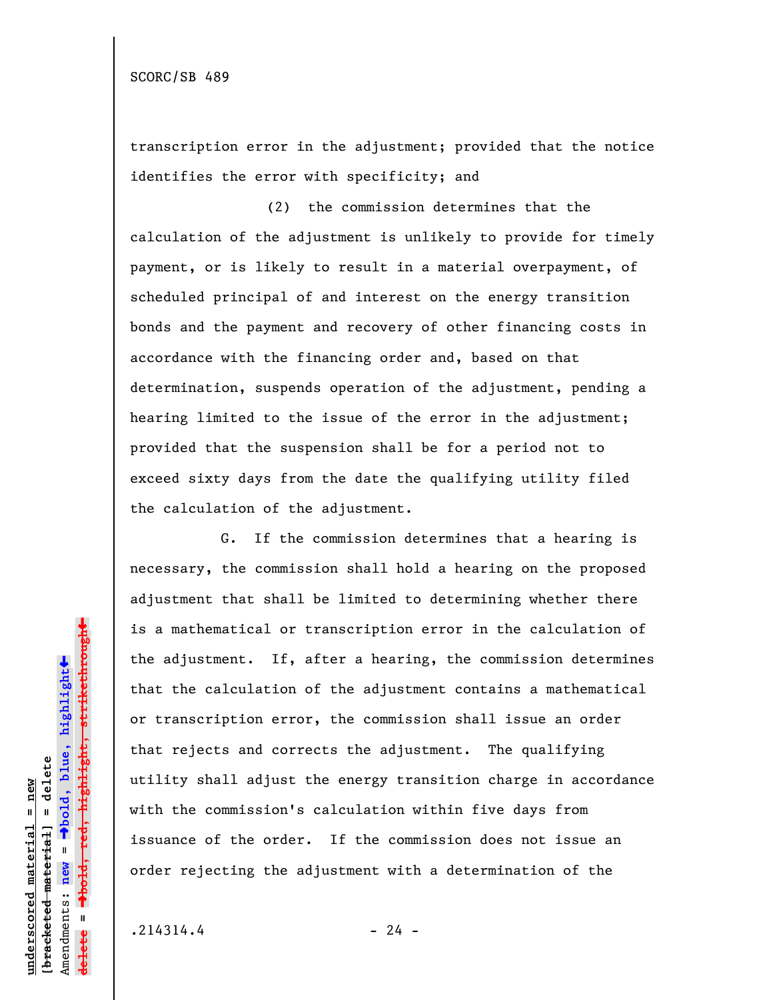transcription error in the adjustment; provided that the notice identifies the error with specificity; and

(2) the commission determines that the calculation of the adjustment is unlikely to provide for timely payment, or is likely to result in a material overpayment, of scheduled principal of and interest on the energy transition bonds and the payment and recovery of other financing costs in accordance with the financing order and, based on that determination, suspends operation of the adjustment, pending a hearing limited to the issue of the error in the adjustment; provided that the suspension shall be for a period not to exceed sixty days from the date the qualifying utility filed the calculation of the adjustment.

G. If the commission determines that a hearing is necessary, the commission shall hold a hearing on the proposed adjustment that shall be limited to determining whether there is a mathematical or transcription error in the calculation of the adjustment. If, after a hearing, the commission determines that the calculation of the adjustment contains a mathematical or transcription error, the commission shall issue an order that rejects and corrects the adjustment. The qualifying utility shall adjust the energy transition charge in accordance with the commission's calculation within five days from issuance of the order. If the commission does not issue an order rejecting the adjustment with a determination of the

 $.214314.4$  - 24 -

**underscored material = new [bracketed material] = delete**

 $b$ racketed material] = delete inderscored material = new

Amendments: **new** =

Amendments: new

 $\mathbf{I}$ 

**delete =**

lelete

º**bold, blue, highlight**

º**bold, red, highlight, strikethrough**

 $\ddot{\bullet}$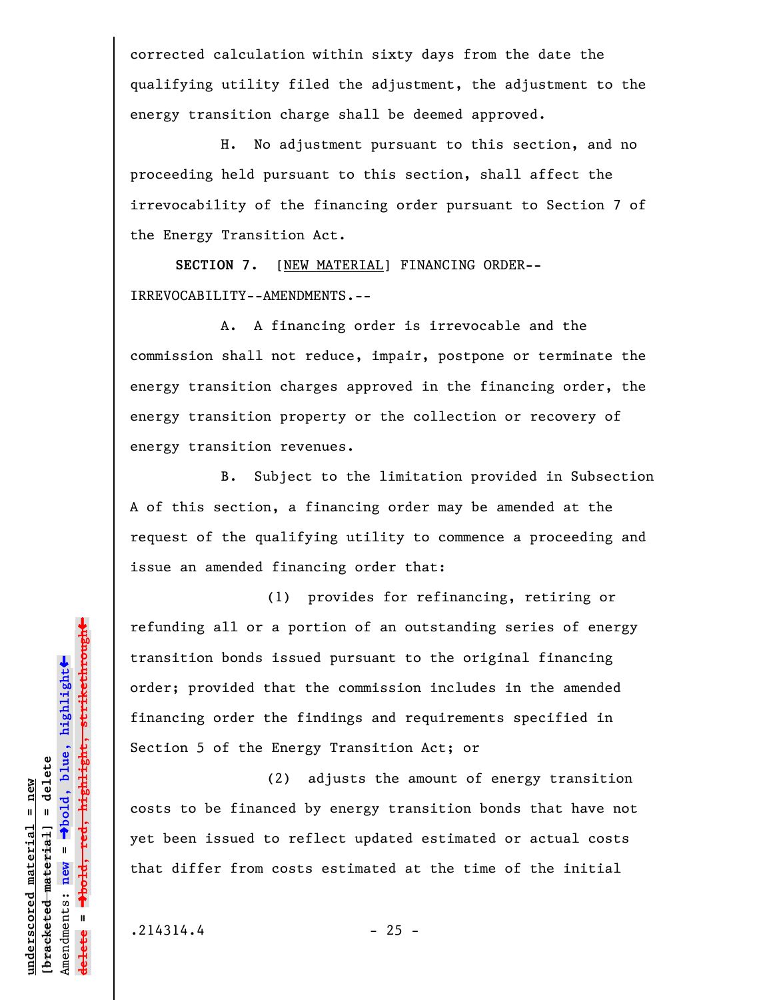corrected calculation within sixty days from the date the qualifying utility filed the adjustment, the adjustment to the energy transition charge shall be deemed approved.

H. No adjustment pursuant to this section, and no proceeding held pursuant to this section, shall affect the irrevocability of the financing order pursuant to Section 7 of the Energy Transition Act.

**SECTION 7.** [NEW MATERIAL] FINANCING ORDER-- IRREVOCABILITY--AMENDMENTS.--

A. A financing order is irrevocable and the commission shall not reduce, impair, postpone or terminate the energy transition charges approved in the financing order, the energy transition property or the collection or recovery of energy transition revenues.

B. Subject to the limitation provided in Subsection A of this section, a financing order may be amended at the request of the qualifying utility to commence a proceeding and issue an amended financing order that:

(1) provides for refinancing, retiring or refunding all or a portion of an outstanding series of energy transition bonds issued pursuant to the original financing order; provided that the commission includes in the amended financing order the findings and requirements specified in Section 5 of the Energy Transition Act; or

(2) adjusts the amount of energy transition costs to be financed by energy transition bonds that have not yet been issued to reflect updated estimated or actual costs that differ from costs estimated at the time of the initial

**underscored material = new [bracketed material] = delete**

 $b$ racketed material] = delete inderscored material = new

Amendments: **new** =

Amendments: new

 $\mathbf{I}$ 

**delete =**

º**bold, blue, highlight**

º**bold, red, highlight, strikethrough**

 $\ddot{\bullet}$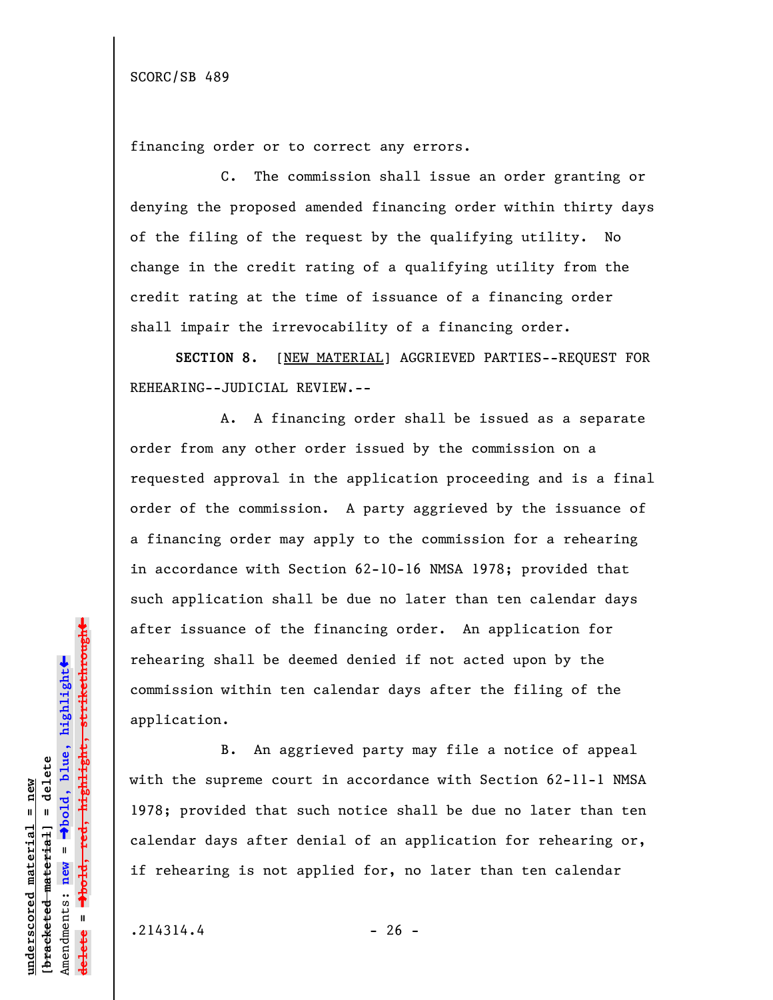financing order or to correct any errors.

C. The commission shall issue an order granting or denying the proposed amended financing order within thirty days of the filing of the request by the qualifying utility. No change in the credit rating of a qualifying utility from the credit rating at the time of issuance of a financing order shall impair the irrevocability of a financing order.

**SECTION 8.** [NEW MATERIAL] AGGRIEVED PARTIES--REQUEST FOR REHEARING--JUDICIAL REVIEW.--

A. A financing order shall be issued as a separate order from any other order issued by the commission on a requested approval in the application proceeding and is a final order of the commission. A party aggrieved by the issuance of a financing order may apply to the commission for a rehearing in accordance with Section 62-10-16 NMSA 1978; provided that such application shall be due no later than ten calendar days after issuance of the financing order. An application for rehearing shall be deemed denied if not acted upon by the commission within ten calendar days after the filing of the application.

B. An aggrieved party may file a notice of appeal with the supreme court in accordance with Section 62-11-1 NMSA 1978; provided that such notice shall be due no later than ten calendar days after denial of an application for rehearing or, if rehearing is not applied for, no later than ten calendar

 $.214314.4$  - 26 -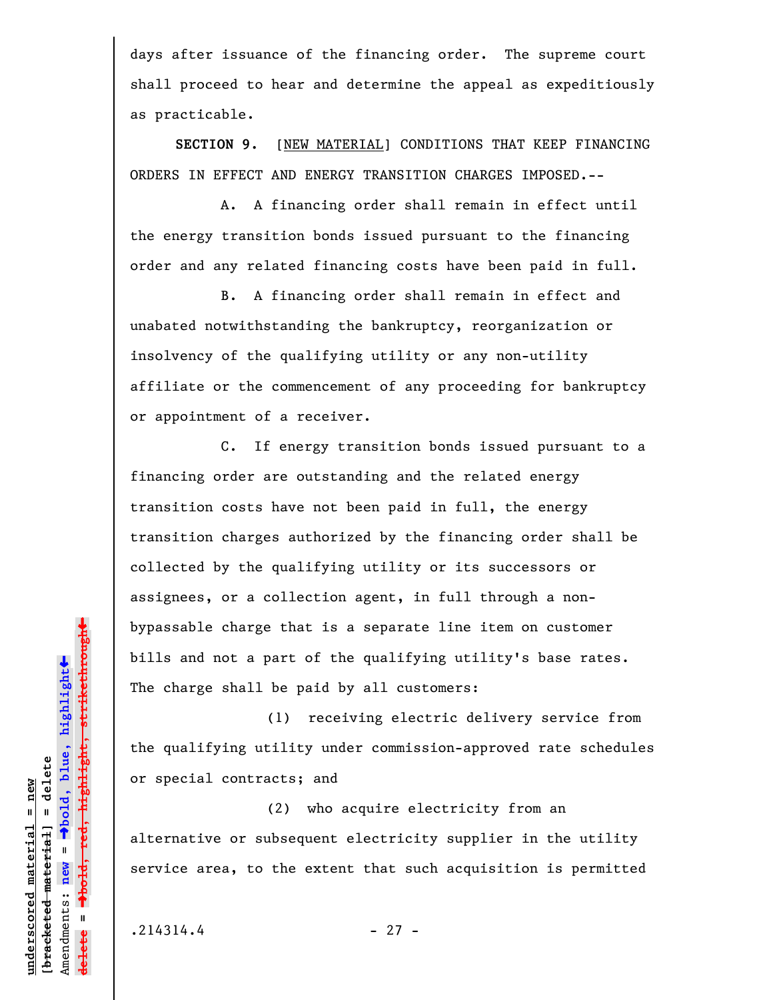days after issuance of the financing order. The supreme court shall proceed to hear and determine the appeal as expeditiously as practicable.

**SECTION 9.** [NEW MATERIAL] CONDITIONS THAT KEEP FINANCING ORDERS IN EFFECT AND ENERGY TRANSITION CHARGES IMPOSED.--

A. A financing order shall remain in effect until the energy transition bonds issued pursuant to the financing order and any related financing costs have been paid in full.

B. A financing order shall remain in effect and unabated notwithstanding the bankruptcy, reorganization or insolvency of the qualifying utility or any non-utility affiliate or the commencement of any proceeding for bankruptcy or appointment of a receiver.

C. If energy transition bonds issued pursuant to a financing order are outstanding and the related energy transition costs have not been paid in full, the energy transition charges authorized by the financing order shall be collected by the qualifying utility or its successors or assignees, or a collection agent, in full through a nonbypassable charge that is a separate line item on customer bills and not a part of the qualifying utility's base rates. The charge shall be paid by all customers:

(1) receiving electric delivery service from the qualifying utility under commission-approved rate schedules or special contracts; and

(2) who acquire electricity from an alternative or subsequent electricity supplier in the utility service area, to the extent that such acquisition is permitted

**underscored material = new [bracketed material] = delete**

 $b$ racketed material] = delete inderscored material = new

Amendments: **new** =

Amendments: new

 $\mathbf{I}$ 

**delete =**

lelete

º**bold, blue, highlight**

º**bold, red, highlight, strikethrough**

 $\ddot{\bullet}$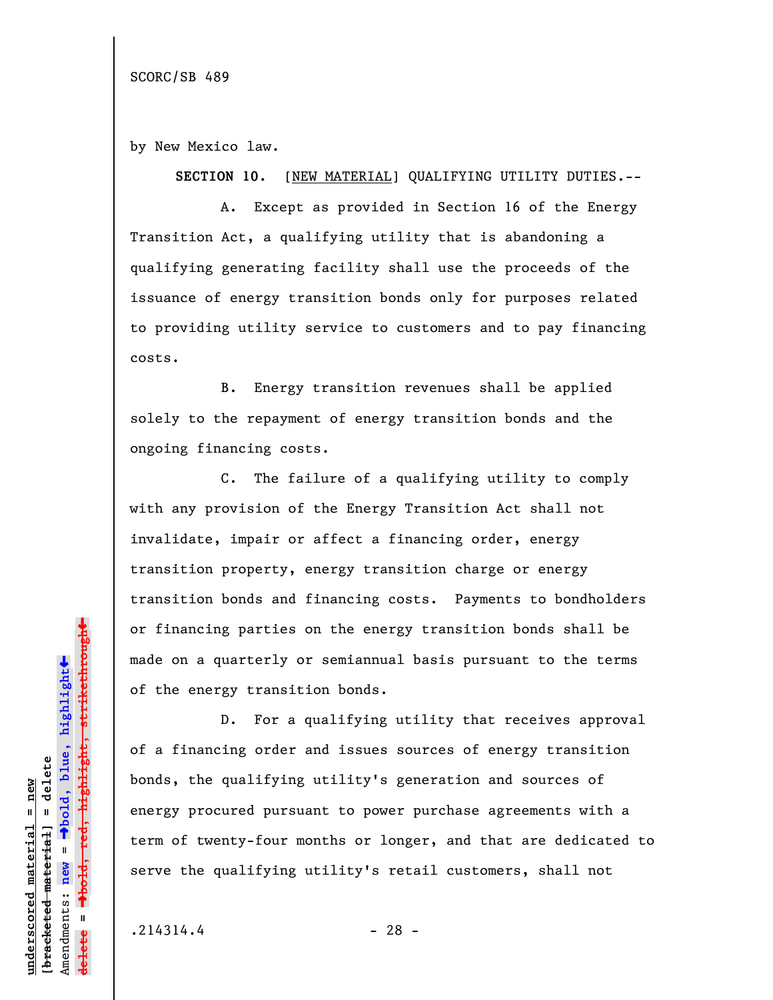by New Mexico law.

**SECTION 10.** [NEW MATERIAL] QUALIFYING UTILITY DUTIES.--

A. Except as provided in Section 16 of the Energy Transition Act, a qualifying utility that is abandoning a qualifying generating facility shall use the proceeds of the issuance of energy transition bonds only for purposes related to providing utility service to customers and to pay financing costs.

B. Energy transition revenues shall be applied solely to the repayment of energy transition bonds and the ongoing financing costs.

C. The failure of a qualifying utility to comply with any provision of the Energy Transition Act shall not invalidate, impair or affect a financing order, energy transition property, energy transition charge or energy transition bonds and financing costs. Payments to bondholders or financing parties on the energy transition bonds shall be made on a quarterly or semiannual basis pursuant to the terms of the energy transition bonds.

D. For a qualifying utility that receives approval of a financing order and issues sources of energy transition bonds, the qualifying utility's generation and sources of energy procured pursuant to power purchase agreements with a term of twenty-four months or longer, and that are dedicated to serve the qualifying utility's retail customers, shall not

 $.214314.4$  - 28 -

**underscored material = new [bracketed material] = delete**

bracketed material] = delete inderscored material = new

Amendments: **new** =

Amendments: new

 $\bar{\mathbf{u}}$ 

**delete =**

º**bold, blue, highlight**

º**bold, red, highlight, strikethrough**

 $\ddot{\bullet}$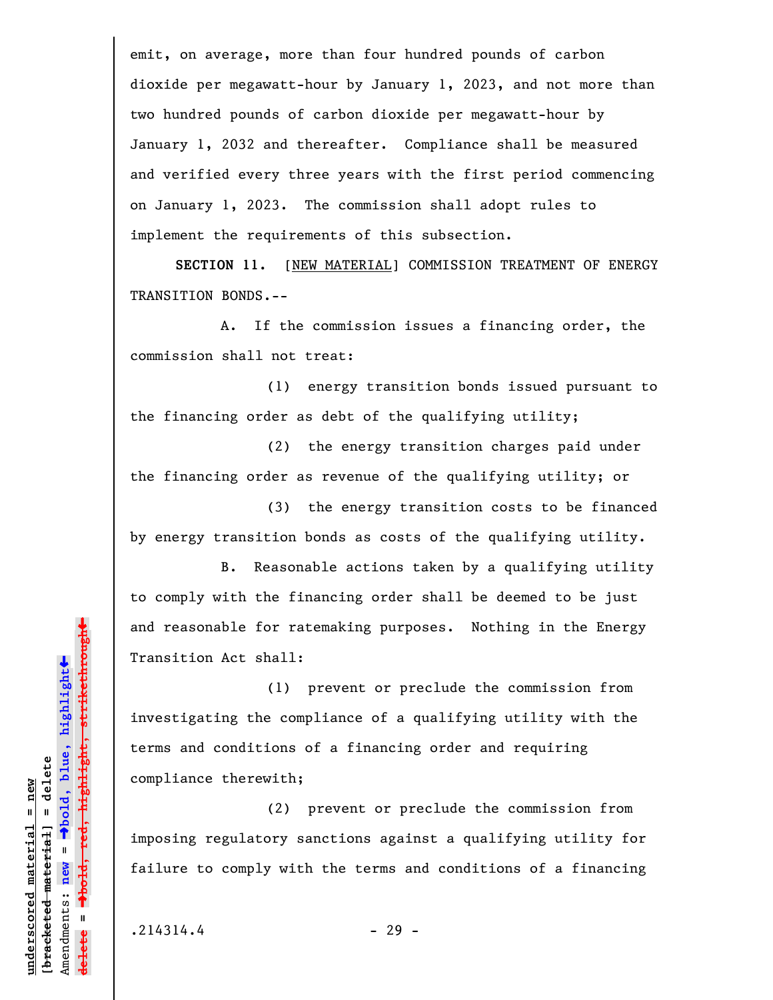emit, on average, more than four hundred pounds of carbon dioxide per megawatt-hour by January 1, 2023, and not more than two hundred pounds of carbon dioxide per megawatt-hour by January 1, 2032 and thereafter. Compliance shall be measured and verified every three years with the first period commencing on January 1, 2023. The commission shall adopt rules to implement the requirements of this subsection.

**SECTION 11.** [NEW MATERIAL] COMMISSION TREATMENT OF ENERGY TRANSITION BONDS.--

A. If the commission issues a financing order, the commission shall not treat:

(1) energy transition bonds issued pursuant to the financing order as debt of the qualifying utility;

(2) the energy transition charges paid under the financing order as revenue of the qualifying utility; or

(3) the energy transition costs to be financed by energy transition bonds as costs of the qualifying utility.

B. Reasonable actions taken by a qualifying utility to comply with the financing order shall be deemed to be just and reasonable for ratemaking purposes. Nothing in the Energy Transition Act shall:

(1) prevent or preclude the commission from investigating the compliance of a qualifying utility with the terms and conditions of a financing order and requiring compliance therewith;

(2) prevent or preclude the commission from imposing regulatory sanctions against a qualifying utility for failure to comply with the terms and conditions of a financing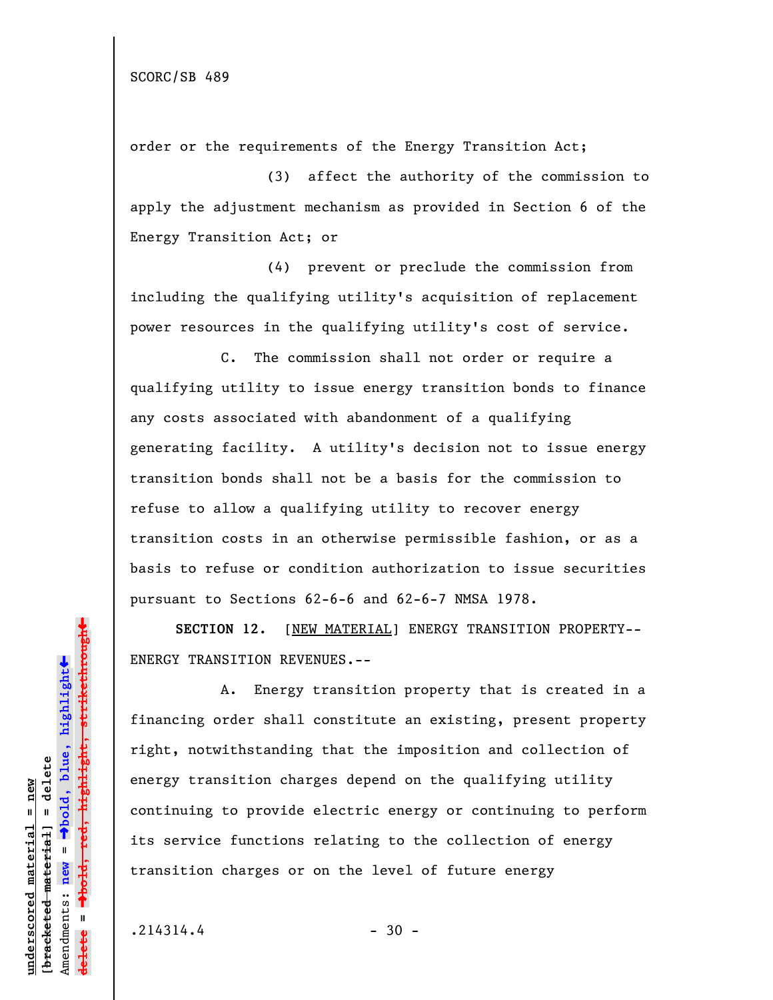order or the requirements of the Energy Transition Act;

(3) affect the authority of the commission to apply the adjustment mechanism as provided in Section 6 of the Energy Transition Act; or

(4) prevent or preclude the commission from including the qualifying utility's acquisition of replacement power resources in the qualifying utility's cost of service.

C. The commission shall not order or require a qualifying utility to issue energy transition bonds to finance any costs associated with abandonment of a qualifying generating facility. A utility's decision not to issue energy transition bonds shall not be a basis for the commission to refuse to allow a qualifying utility to recover energy transition costs in an otherwise permissible fashion, or as a basis to refuse or condition authorization to issue securities pursuant to Sections 62-6-6 and 62-6-7 NMSA 1978.

**SECTION 12.** [NEW MATERIAL] ENERGY TRANSITION PROPERTY-- ENERGY TRANSITION REVENUES.--

A. Energy transition property that is created in a financing order shall constitute an existing, present property right, notwithstanding that the imposition and collection of energy transition charges depend on the qualifying utility continuing to provide electric energy or continuing to perform its service functions relating to the collection of energy transition charges or on the level of future energy

 $.214314.4$  - 30 -

**underscored material = new [bracketed material] = delete**

bracketed material] = delete inderscored material = new

Amendments: **new** =

Amendments: new

 $\bar{\mathbf{u}}$ 

**delete =**

º**bold, blue, highlight**

º**bold, red, highlight, strikethrough**

 $\ddot{\bullet}$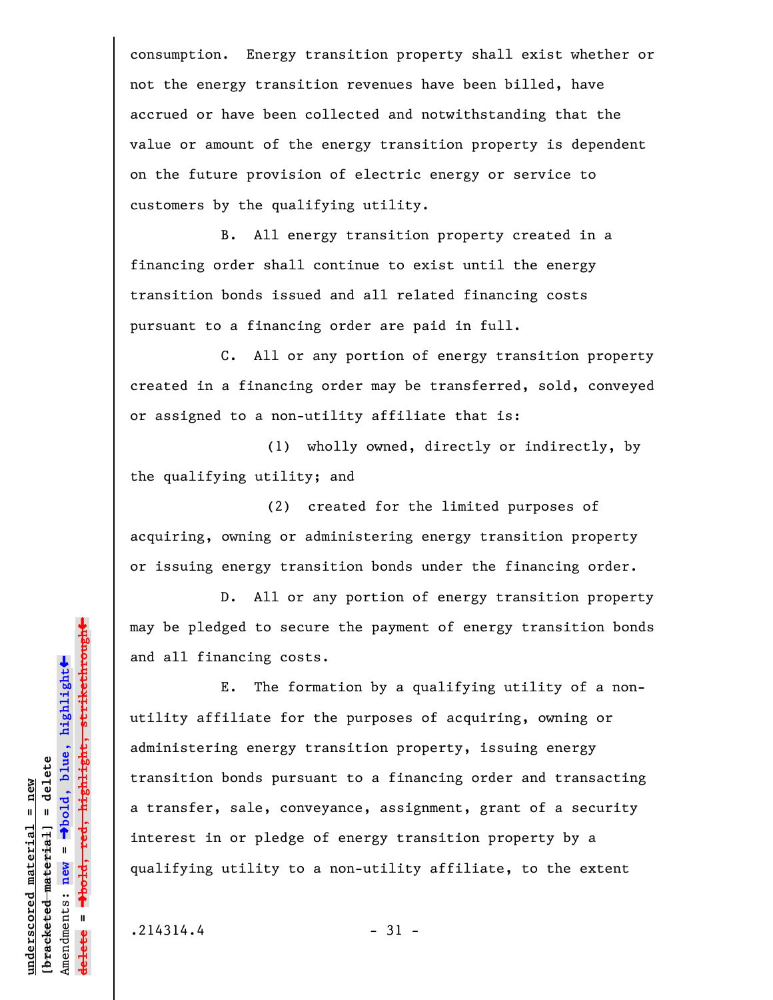consumption. Energy transition property shall exist whether or not the energy transition revenues have been billed, have accrued or have been collected and notwithstanding that the value or amount of the energy transition property is dependent on the future provision of electric energy or service to customers by the qualifying utility.

B. All energy transition property created in a financing order shall continue to exist until the energy transition bonds issued and all related financing costs pursuant to a financing order are paid in full.

C. All or any portion of energy transition property created in a financing order may be transferred, sold, conveyed or assigned to a non-utility affiliate that is:

(1) wholly owned, directly or indirectly, by the qualifying utility; and

(2) created for the limited purposes of acquiring, owning or administering energy transition property or issuing energy transition bonds under the financing order.

D. All or any portion of energy transition property may be pledged to secure the payment of energy transition bonds and all financing costs.

E. The formation by a qualifying utility of a nonutility affiliate for the purposes of acquiring, owning or administering energy transition property, issuing energy transition bonds pursuant to a financing order and transacting a transfer, sale, conveyance, assignment, grant of a security interest in or pledge of energy transition property by a qualifying utility to a non-utility affiliate, to the extent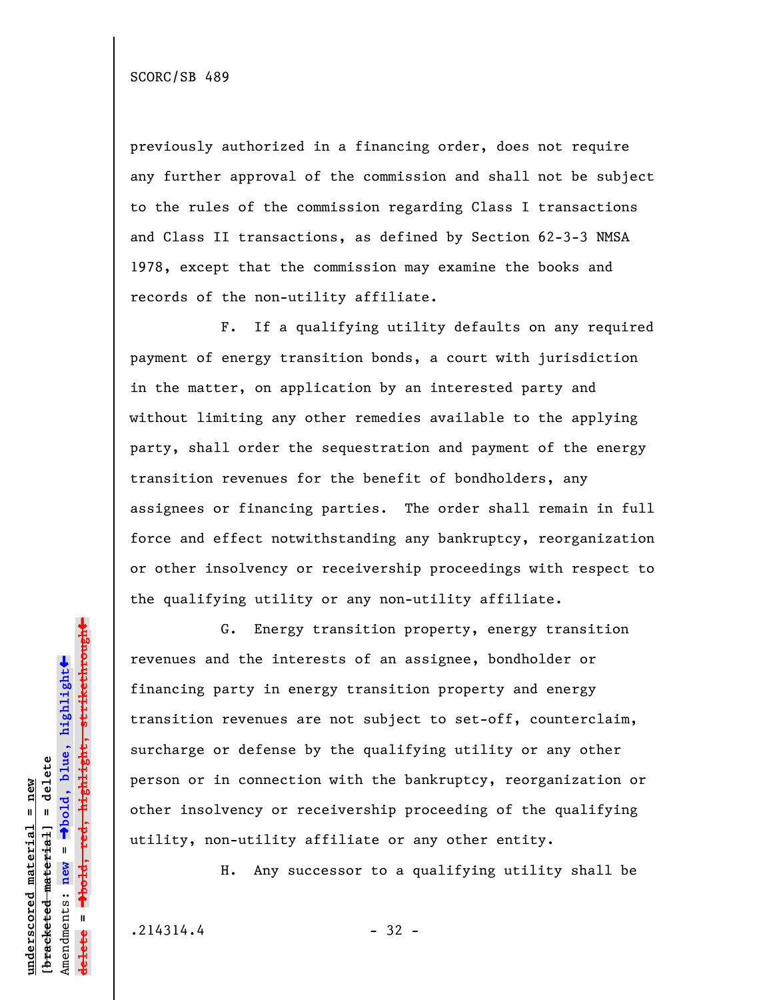previously authorized in a financing order, does not require any further approval of the commission and shall not be subject to the rules of the commission regarding Class I transactions and Class II transactions, as defined by Section 62-3-3 NMSA 1978, except that the commission may examine the books and records of the non-utility affiliate.

F. If a qualifying utility defaults on any required payment of energy transition bonds, a court with jurisdiction in the matter, on application by an interested party and without limiting any other remedies available to the applying party, shall order the sequestration and payment of the energy transition revenues for the benefit of bondholders, any assignees or financing parties. The order shall remain in full force and effect notwithstanding any bankruptcy, reorganization or other insolvency or receivership proceedings with respect to the qualifying utility or any non-utility affiliate.

G. Energy transition property, energy transition revenues and the interests of an assignee, bondholder or financing party in energy transition property and energy transition revenues are not subject to set-off, counterclaim, surcharge or defense by the qualifying utility or any other person or in connection with the bankruptcy, reorganization or other insolvency or receivership proceeding of the qualifying utility, non-utility affiliate or any other entity.

H. Any successor to a qualifying utility shall be

 $.214314.4$  - 32 -

**underscored material = new [bracketed material] = delete**

bracketed material] = delete inderscored material = new

Amendments: **new** =

Amendments: new

 $\mathbf{I}$ 

**delete =**

lelete

º**bold, blue, highlight**

º**bold, red, highlight, strikethrough**

 $\ddot{\bullet}$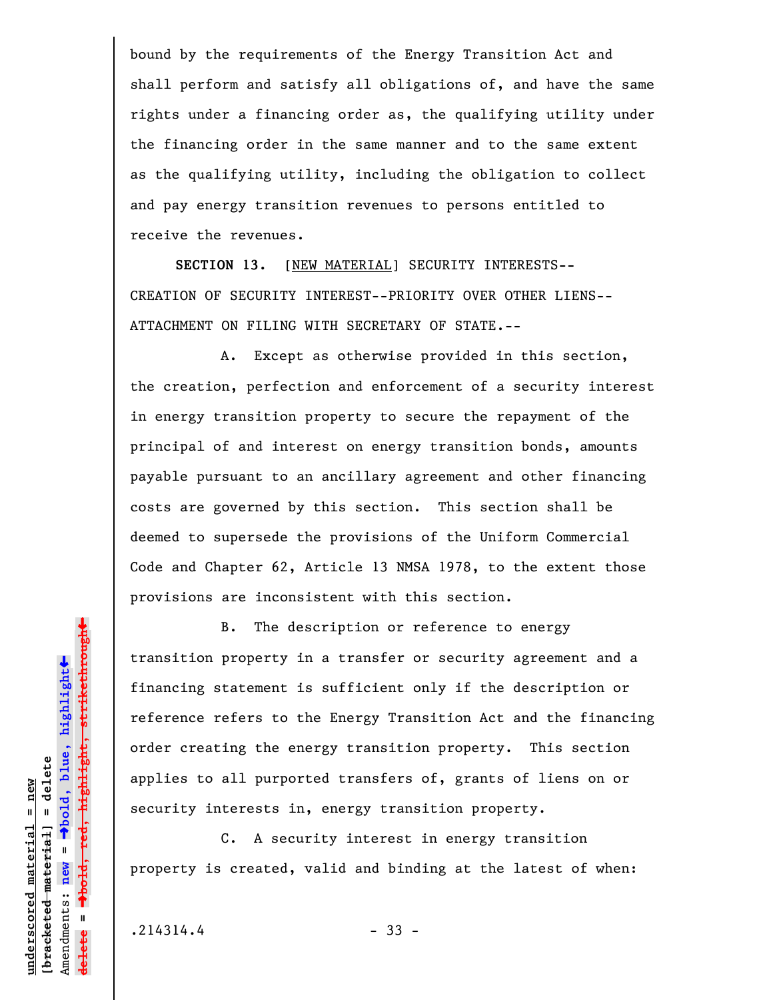bound by the requirements of the Energy Transition Act and shall perform and satisfy all obligations of, and have the same rights under a financing order as, the qualifying utility under the financing order in the same manner and to the same extent as the qualifying utility, including the obligation to collect and pay energy transition revenues to persons entitled to receive the revenues.

**SECTION 13.** [NEW MATERIAL] SECURITY INTERESTS-- CREATION OF SECURITY INTEREST--PRIORITY OVER OTHER LIENS-- ATTACHMENT ON FILING WITH SECRETARY OF STATE.--

A. Except as otherwise provided in this section, the creation, perfection and enforcement of a security interest in energy transition property to secure the repayment of the principal of and interest on energy transition bonds, amounts payable pursuant to an ancillary agreement and other financing costs are governed by this section. This section shall be deemed to supersede the provisions of the Uniform Commercial Code and Chapter 62, Article 13 NMSA 1978, to the extent those provisions are inconsistent with this section.

B. The description or reference to energy transition property in a transfer or security agreement and a financing statement is sufficient only if the description or reference refers to the Energy Transition Act and the financing order creating the energy transition property. This section applies to all purported transfers of, grants of liens on or security interests in, energy transition property.

C. A security interest in energy transition property is created, valid and binding at the latest of when:

 $.214314.4$  - 33 -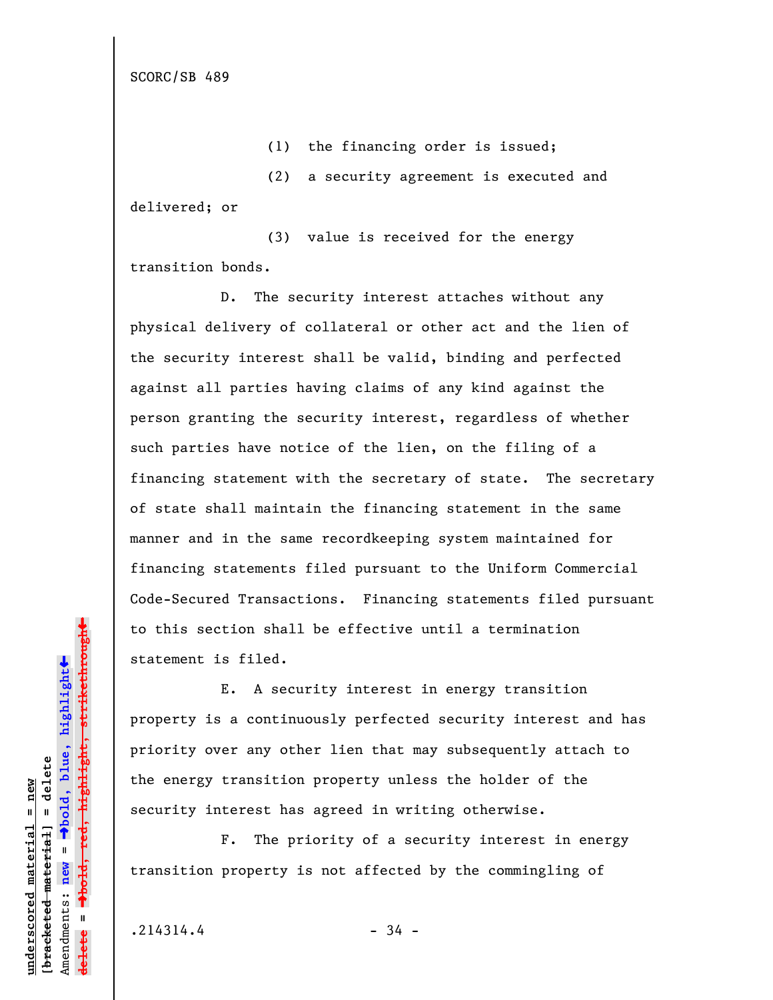SCORC/SB 489

(1) the financing order is issued;

(2) a security agreement is executed and delivered; or

(3) value is received for the energy transition bonds.

D. The security interest attaches without any physical delivery of collateral or other act and the lien of the security interest shall be valid, binding and perfected against all parties having claims of any kind against the person granting the security interest, regardless of whether such parties have notice of the lien, on the filing of a financing statement with the secretary of state. The secretary of state shall maintain the financing statement in the same manner and in the same recordkeeping system maintained for financing statements filed pursuant to the Uniform Commercial Code-Secured Transactions. Financing statements filed pursuant to this section shall be effective until a termination statement is filed.

E. A security interest in energy transition property is a continuously perfected security interest and has priority over any other lien that may subsequently attach to the energy transition property unless the holder of the security interest has agreed in writing otherwise.

F. The priority of a security interest in energy transition property is not affected by the commingling of

 $.214314.4$  - 34 -

**underscored material = new [bracketed material] = delete**

bracketed material] = delete inderscored material = new

Amendments: **new** =

Amendments: new

 $\mathbf{I}$ 

**delete =**

º**bold, blue, highlight**

º**bold, red, highlight, strikethrough**

 $\ddot{\bullet}$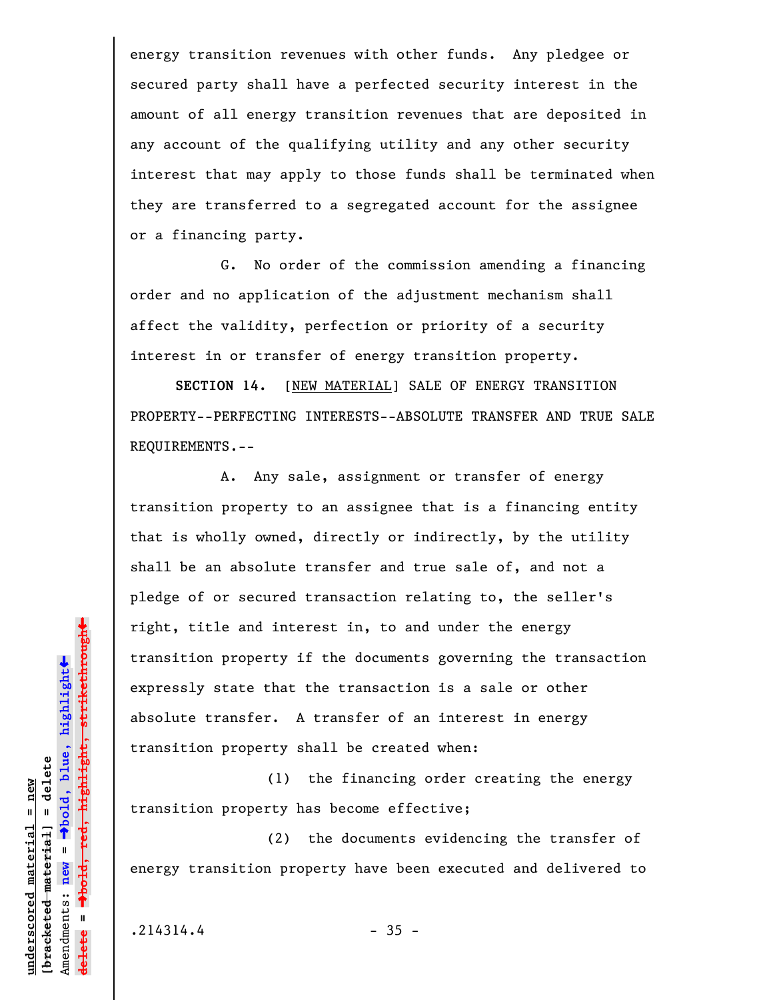energy transition revenues with other funds. Any pledgee or secured party shall have a perfected security interest in the amount of all energy transition revenues that are deposited in any account of the qualifying utility and any other security interest that may apply to those funds shall be terminated when they are transferred to a segregated account for the assignee or a financing party.

G. No order of the commission amending a financing order and no application of the adjustment mechanism shall affect the validity, perfection or priority of a security interest in or transfer of energy transition property.

**SECTION 14.** [NEW MATERIAL] SALE OF ENERGY TRANSITION PROPERTY--PERFECTING INTERESTS--ABSOLUTE TRANSFER AND TRUE SALE REQUIREMENTS.--

A. Any sale, assignment or transfer of energy transition property to an assignee that is a financing entity that is wholly owned, directly or indirectly, by the utility shall be an absolute transfer and true sale of, and not a pledge of or secured transaction relating to, the seller's right, title and interest in, to and under the energy transition property if the documents governing the transaction expressly state that the transaction is a sale or other absolute transfer. A transfer of an interest in energy transition property shall be created when:

(1) the financing order creating the energy transition property has become effective;

(2) the documents evidencing the transfer of energy transition property have been executed and delivered to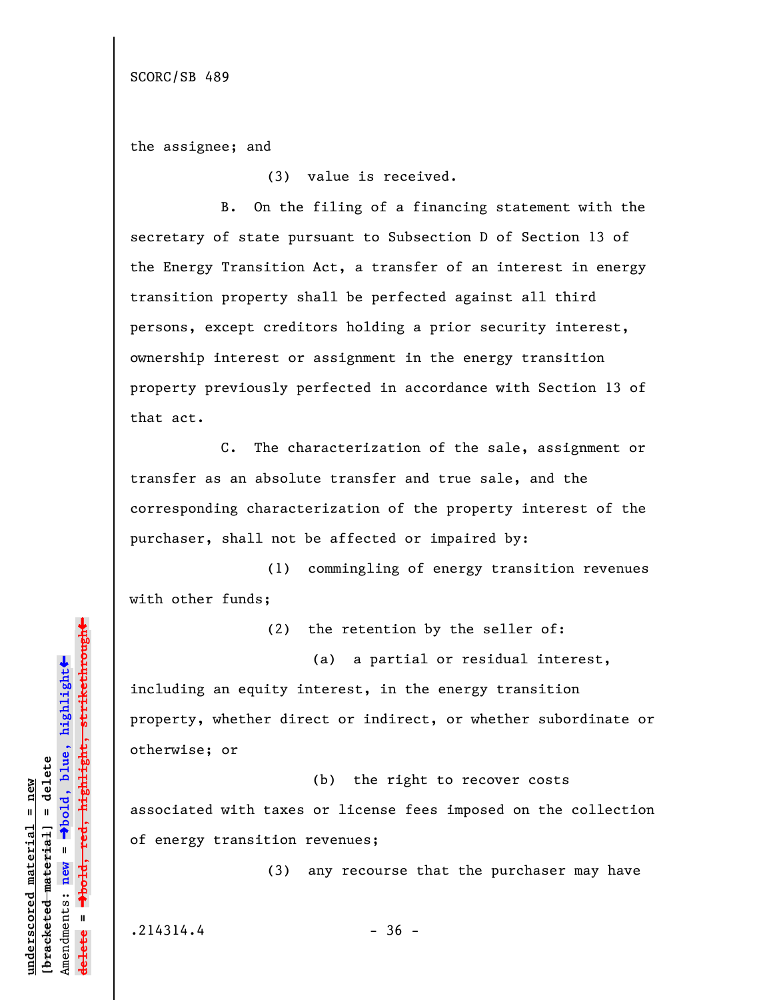the assignee; and

(3) value is received.

B. On the filing of a financing statement with the secretary of state pursuant to Subsection D of Section 13 of the Energy Transition Act, a transfer of an interest in energy transition property shall be perfected against all third persons, except creditors holding a prior security interest, ownership interest or assignment in the energy transition property previously perfected in accordance with Section 13 of that act.

C. The characterization of the sale, assignment or transfer as an absolute transfer and true sale, and the corresponding characterization of the property interest of the purchaser, shall not be affected or impaired by:

(1) commingling of energy transition revenues with other funds;

(2) the retention by the seller of:

(a) a partial or residual interest,

including an equity interest, in the energy transition property, whether direct or indirect, or whether subordinate or otherwise; or

(b) the right to recover costs associated with taxes or license fees imposed on the collection of energy transition revenues;

(3) any recourse that the purchaser may have

 $.214314.4$  - 36 -

**underscored material = new [bracketed material] = delete**

bracketed material] = delete inderscored material = new

Amendments: **new** =

Amendments: new

 $\mathbf{u}$ 

**delete =**

º**bold, blue, highlight**

º**bold, red, highlight, strikethrough**

highlight, strikethrough

 $\ddot{\bullet}$ 

»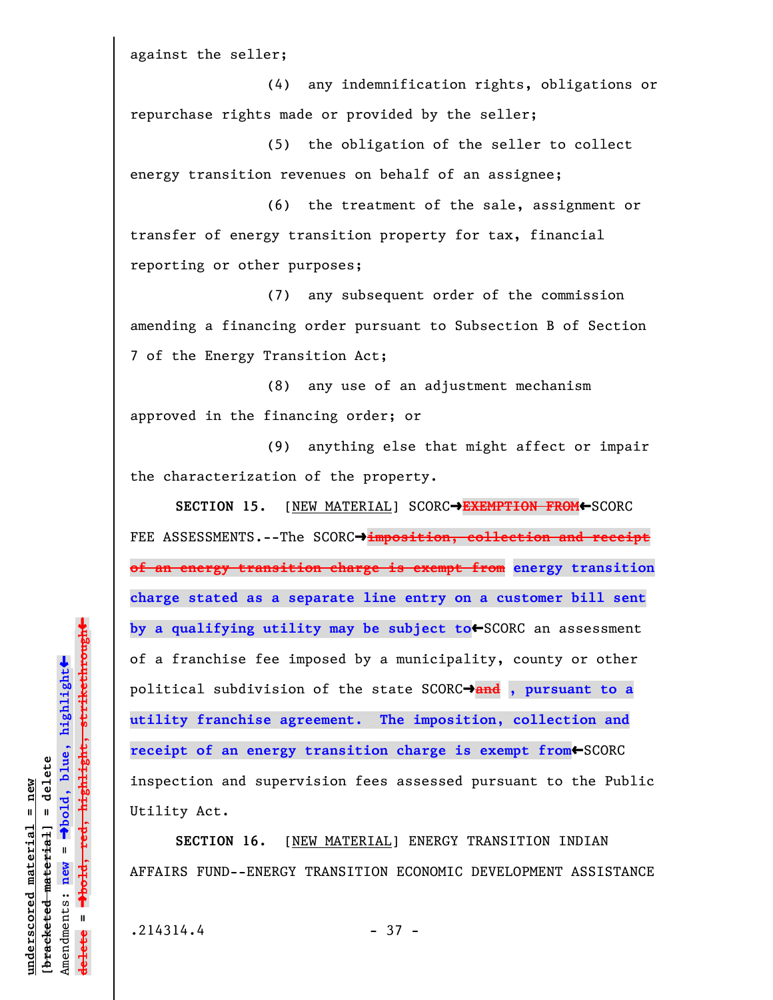against the seller;

(4) any indemnification rights, obligations or repurchase rights made or provided by the seller;

(5) the obligation of the seller to collect energy transition revenues on behalf of an assignee;

(6) the treatment of the sale, assignment or transfer of energy transition property for tax, financial reporting or other purposes;

(7) any subsequent order of the commission amending a financing order pursuant to Subsection B of Section 7 of the Energy Transition Act;

(8) any use of an adjustment mechanism approved in the financing order; or

(9) anything else that might affect or impair the characterization of the property.

**SECTION 15.** [NEW MATERIAL] SCORC $\rightarrow$ **EXEMPTION FROM**←SCORC FEE ASSESSMENTS.--The SCORC<sup>+</sup>imposition, collection and receipt **of an energy transition charge is exempt from energy transition charge stated as a separate line entry on a customer bill sent** by a qualifying utility may be subject to+SCORC an assessment of a franchise fee imposed by a municipality, county or other political subdivision of the state SCORCº**and , pursuant to a utility franchise agreement. The imposition, collection and** receipt of an energy transition charge is exempt from<sup>+</sup>SCORC inspection and supervision fees assessed pursuant to the Public Utility Act.

**SECTION 16.** [NEW MATERIAL] ENERGY TRANSITION INDIAN AFFAIRS FUND--ENERGY TRANSITION ECONOMIC DEVELOPMENT ASSISTANCE

 $.214314.4$  - 37 -

**underscored material = new [bracketed material] = delete**

 $b$ racketed material] = delete inderscored material = new

Amendments: **new** =

Amendments: new =  $\mathbf{I}$ 

**delete =**

lelete

º**bold, blue, highlight**

º**bold, red, highlight, strikethrough**

 $\ddot{\bullet}$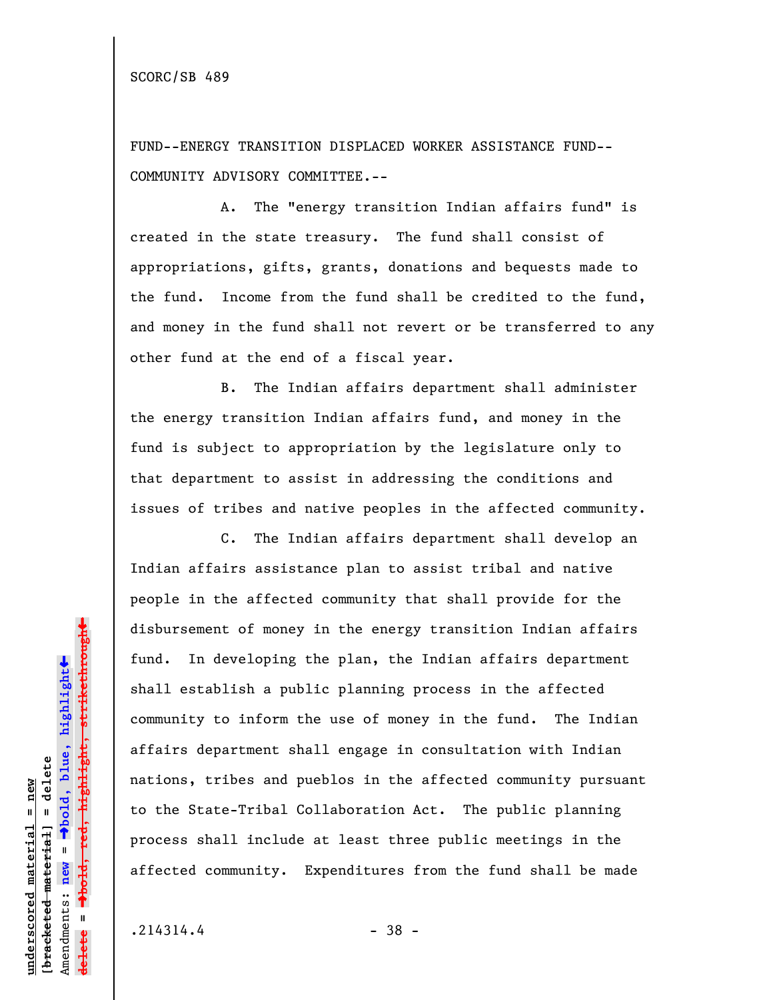FUND--ENERGY TRANSITION DISPLACED WORKER ASSISTANCE FUND-- COMMUNITY ADVISORY COMMITTEE.--

A. The "energy transition Indian affairs fund" is created in the state treasury. The fund shall consist of appropriations, gifts, grants, donations and bequests made to the fund. Income from the fund shall be credited to the fund, and money in the fund shall not revert or be transferred to any other fund at the end of a fiscal year.

B. The Indian affairs department shall administer the energy transition Indian affairs fund, and money in the fund is subject to appropriation by the legislature only to that department to assist in addressing the conditions and issues of tribes and native peoples in the affected community.

C. The Indian affairs department shall develop an Indian affairs assistance plan to assist tribal and native people in the affected community that shall provide for the disbursement of money in the energy transition Indian affairs fund. In developing the plan, the Indian affairs department shall establish a public planning process in the affected community to inform the use of money in the fund. The Indian affairs department shall engage in consultation with Indian nations, tribes and pueblos in the affected community pursuant to the State-Tribal Collaboration Act. The public planning process shall include at least three public meetings in the affected community. Expenditures from the fund shall be made

 $.214314.4$  - 38 -

**underscored material = new [bracketed material] = delete**

 $b$ racketed material] = delete inderscored material = new

Amendments: **new** =

Amendments: new =

**delete =**

lelete

º**bold, blue, highlight**

º**bold, red, highlight, strikethrough**

 $\ddot{\bullet}$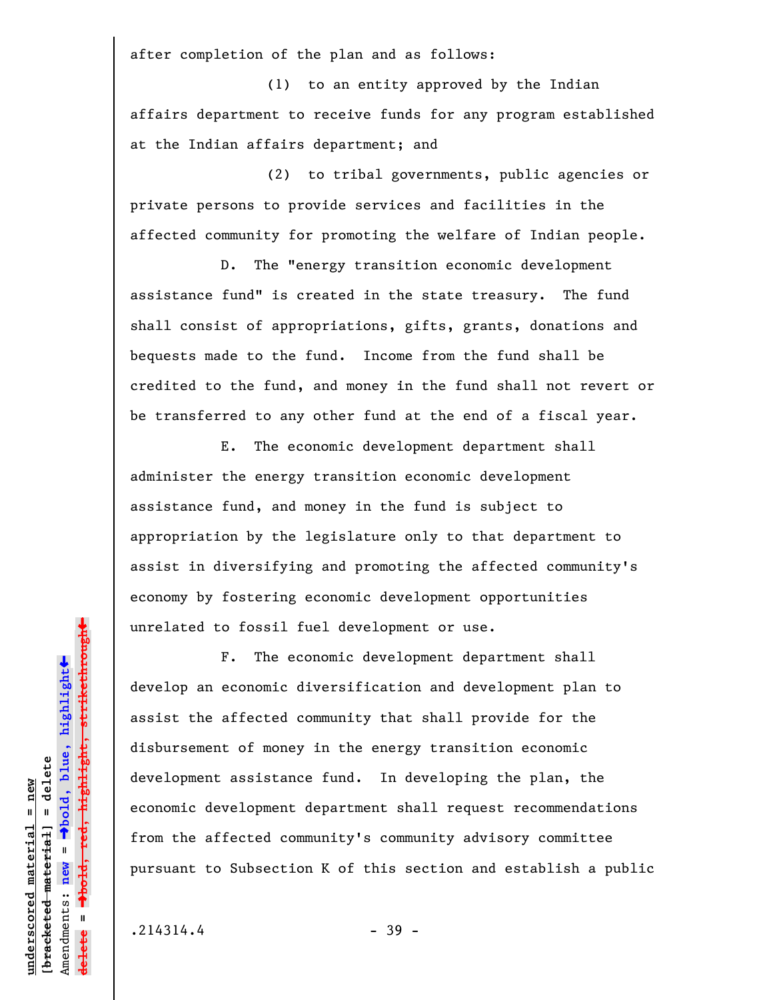after completion of the plan and as follows:

(1) to an entity approved by the Indian affairs department to receive funds for any program established at the Indian affairs department; and

(2) to tribal governments, public agencies or private persons to provide services and facilities in the affected community for promoting the welfare of Indian people.

D. The "energy transition economic development assistance fund" is created in the state treasury. The fund shall consist of appropriations, gifts, grants, donations and bequests made to the fund. Income from the fund shall be credited to the fund, and money in the fund shall not revert or be transferred to any other fund at the end of a fiscal year.

E. The economic development department shall administer the energy transition economic development assistance fund, and money in the fund is subject to appropriation by the legislature only to that department to assist in diversifying and promoting the affected community's economy by fostering economic development opportunities unrelated to fossil fuel development or use.

F. The economic development department shall develop an economic diversification and development plan to assist the affected community that shall provide for the disbursement of money in the energy transition economic development assistance fund. In developing the plan, the economic development department shall request recommendations from the affected community's community advisory committee pursuant to Subsection K of this section and establish a public

 $.214314.4$  - 39 -

**underscored material = new [bracketed material] = delete**

 $b$ racketed material] = delete inderscored material = new

Amendments: **new** =

Amendments: new =

**delete =**

lelete

º**bold, blue, highlight**

º**bold, red, highlight, strikethrough**

 $\ddot{\bullet}$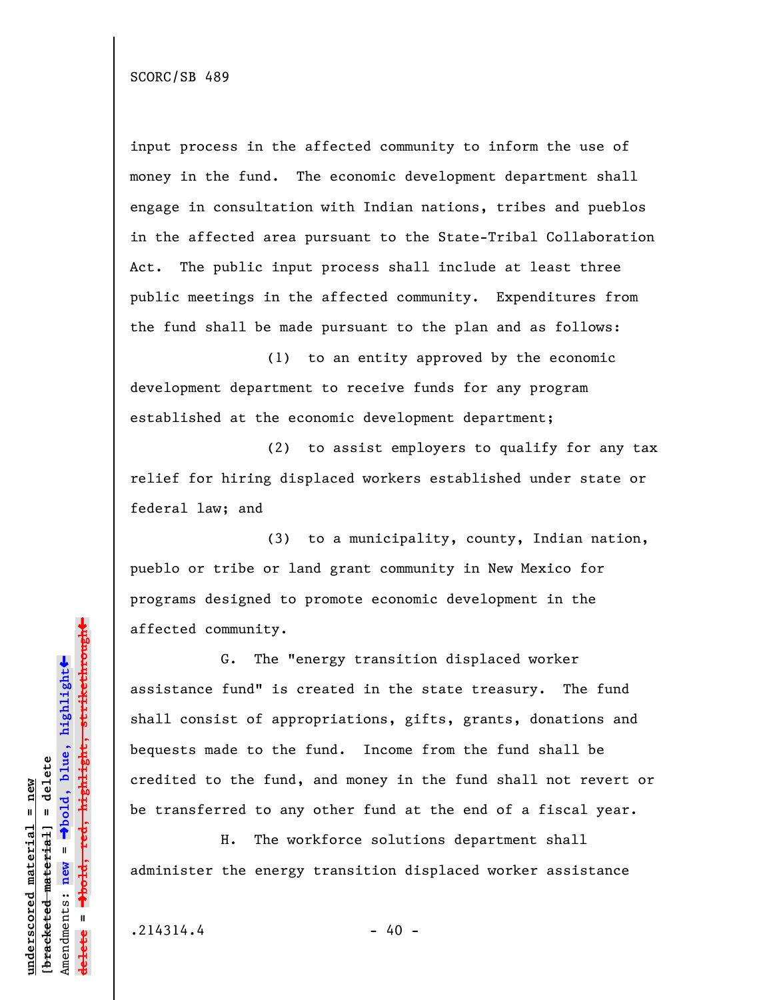input process in the affected community to inform the use of money in the fund. The economic development department shall engage in consultation with Indian nations, tribes and pueblos in the affected area pursuant to the State-Tribal Collaboration Act. The public input process shall include at least three public meetings in the affected community. Expenditures from the fund shall be made pursuant to the plan and as follows:

(1) to an entity approved by the economic development department to receive funds for any program established at the economic development department;

(2) to assist employers to qualify for any tax relief for hiring displaced workers established under state or federal law; and

(3) to a municipality, county, Indian nation, pueblo or tribe or land grant community in New Mexico for programs designed to promote economic development in the affected community.

G. The "energy transition displaced worker assistance fund" is created in the state treasury. The fund shall consist of appropriations, gifts, grants, donations and bequests made to the fund. Income from the fund shall be credited to the fund, and money in the fund shall not revert or be transferred to any other fund at the end of a fiscal year.

H. The workforce solutions department shall administer the energy transition displaced worker assistance

 $.214314.4$  - 40 -

**underscored material = new [bracketed material] = delete**

 $b$ racketed material] = delete inderscored material = new

Amendments: **new** =

Amendments: new

 $\mathbf{I}$ 

**delete =**

lelete

º**bold, blue, highlight**

º**bold, red, highlight, strikethrough**

 $\ddot{\bullet}$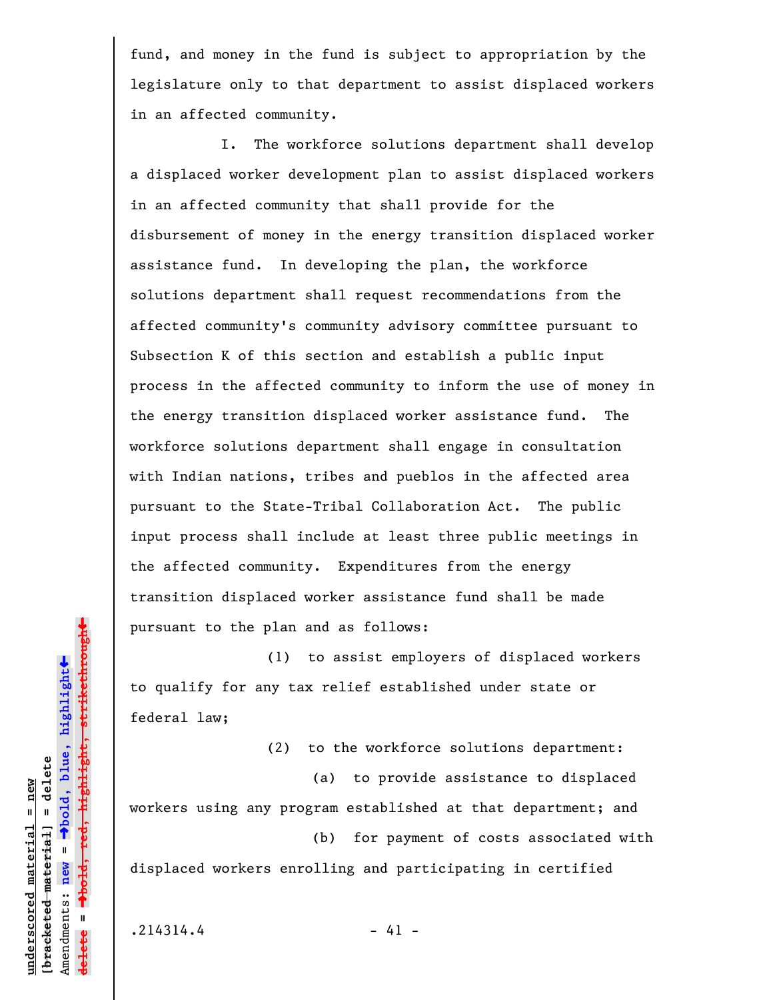fund, and money in the fund is subject to appropriation by the legislature only to that department to assist displaced workers in an affected community.

I. The workforce solutions department shall develop a displaced worker development plan to assist displaced workers in an affected community that shall provide for the disbursement of money in the energy transition displaced worker assistance fund. In developing the plan, the workforce solutions department shall request recommendations from the affected community's community advisory committee pursuant to Subsection K of this section and establish a public input process in the affected community to inform the use of money in the energy transition displaced worker assistance fund. The workforce solutions department shall engage in consultation with Indian nations, tribes and pueblos in the affected area pursuant to the State-Tribal Collaboration Act. The public input process shall include at least three public meetings in the affected community. Expenditures from the energy transition displaced worker assistance fund shall be made pursuant to the plan and as follows:

(1) to assist employers of displaced workers to qualify for any tax relief established under state or federal law;

(2) to the workforce solutions department:

(a) to provide assistance to displaced workers using any program established at that department; and (b) for payment of costs associated with

displaced workers enrolling and participating in certified

**underscored material = new [bracketed material] = delete**

 $b$ racketed material] = delete inderscored material = new

Amendments: **new** =

Amendments: new =  $\mathbf{I}$ 

**delete =**

lelete

º**bold, blue, highlight**

º**bold, red, highlight, strikethrough**

 $\ddot{\bullet}$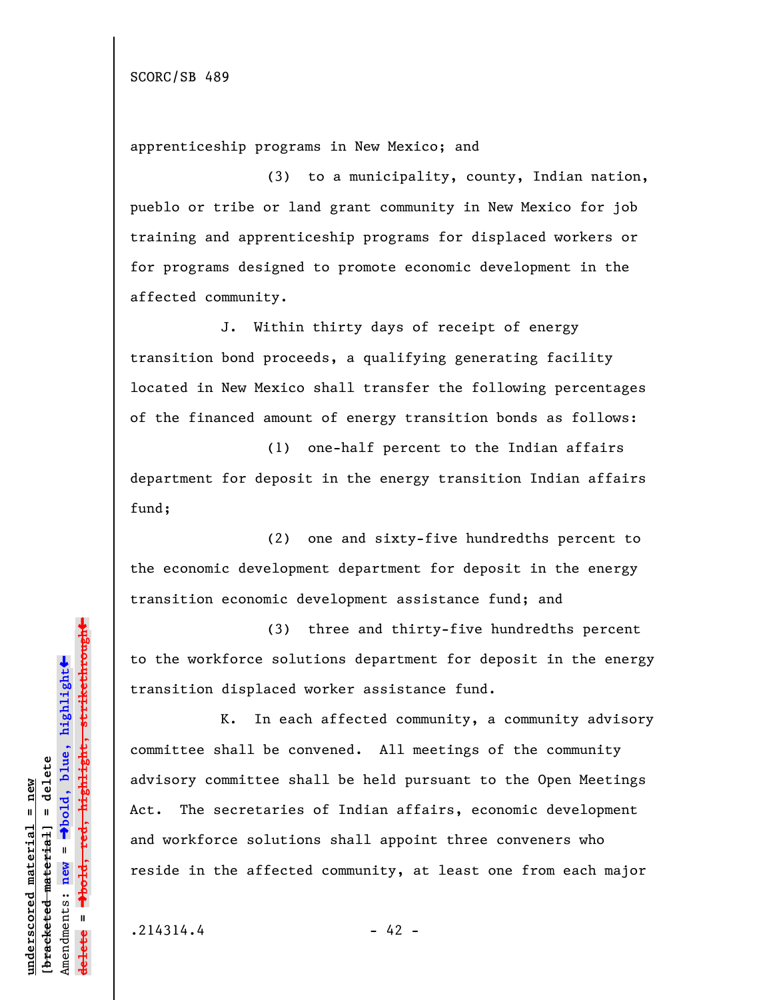apprenticeship programs in New Mexico; and

(3) to a municipality, county, Indian nation, pueblo or tribe or land grant community in New Mexico for job training and apprenticeship programs for displaced workers or for programs designed to promote economic development in the affected community.

J. Within thirty days of receipt of energy transition bond proceeds, a qualifying generating facility located in New Mexico shall transfer the following percentages of the financed amount of energy transition bonds as follows:

(1) one-half percent to the Indian affairs department for deposit in the energy transition Indian affairs fund;

(2) one and sixty-five hundredths percent to the economic development department for deposit in the energy transition economic development assistance fund; and

(3) three and thirty-five hundredths percent to the workforce solutions department for deposit in the energy transition displaced worker assistance fund.

K. In each affected community, a community advisory committee shall be convened. All meetings of the community advisory committee shall be held pursuant to the Open Meetings Act. The secretaries of Indian affairs, economic development and workforce solutions shall appoint three conveners who reside in the affected community, at least one from each major

**underscored material = new [bracketed material] = delete**

 $b$ racketed material] = delete inderscored material = new

Amendments: **new** =

Amendments: new

**delete =**

lelete

bold, red,  $\mathbf{I}$ 

º**bold, blue, highlight**

º**bold, red, highlight, strikethrough**

 $\ddot{\bullet}$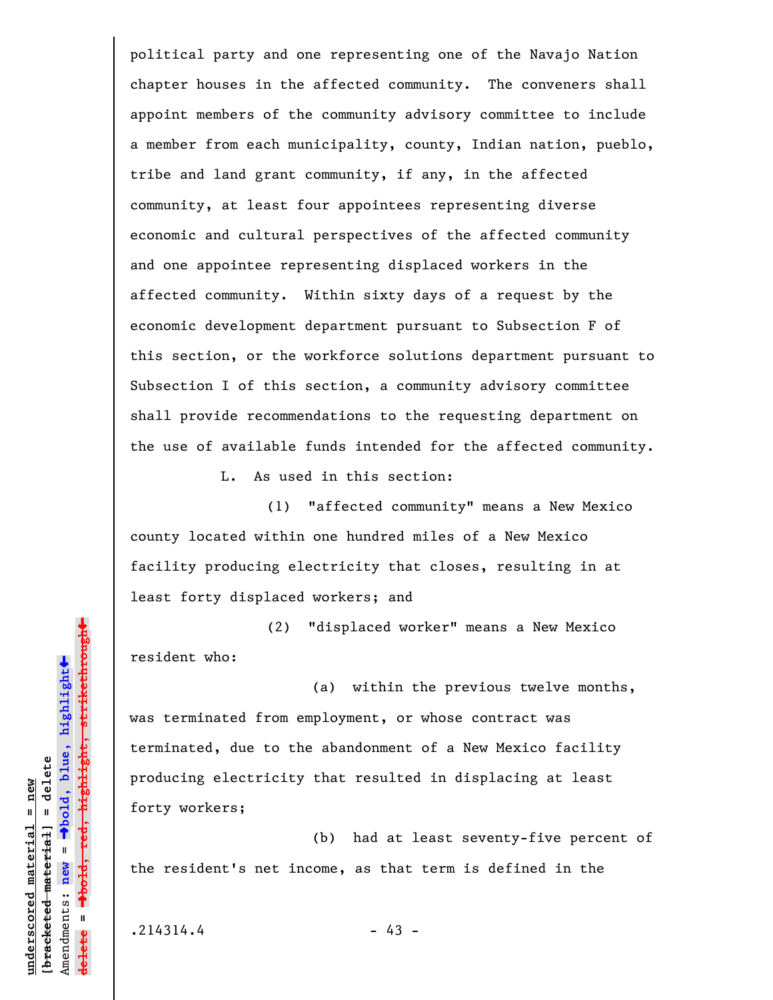political party and one representing one of the Navajo Nation chapter houses in the affected community. The conveners shall appoint members of the community advisory committee to include a member from each municipality, county, Indian nation, pueblo, tribe and land grant community, if any, in the affected community, at least four appointees representing diverse economic and cultural perspectives of the affected community and one appointee representing displaced workers in the affected community. Within sixty days of a request by the economic development department pursuant to Subsection F of this section, or the workforce solutions department pursuant to Subsection I of this section, a community advisory committee shall provide recommendations to the requesting department on the use of available funds intended for the affected community.

L. As used in this section:

(1) "affected community" means a New Mexico county located within one hundred miles of a New Mexico facility producing electricity that closes, resulting in at least forty displaced workers; and

(2) "displaced worker" means a New Mexico resident who:

(a) within the previous twelve months, was terminated from employment, or whose contract was terminated, due to the abandonment of a New Mexico facility producing electricity that resulted in displacing at least forty workers;

(b) had at least seventy-five percent of the resident's net income, as that term is defined in the

 $.214314.4$  - 43 -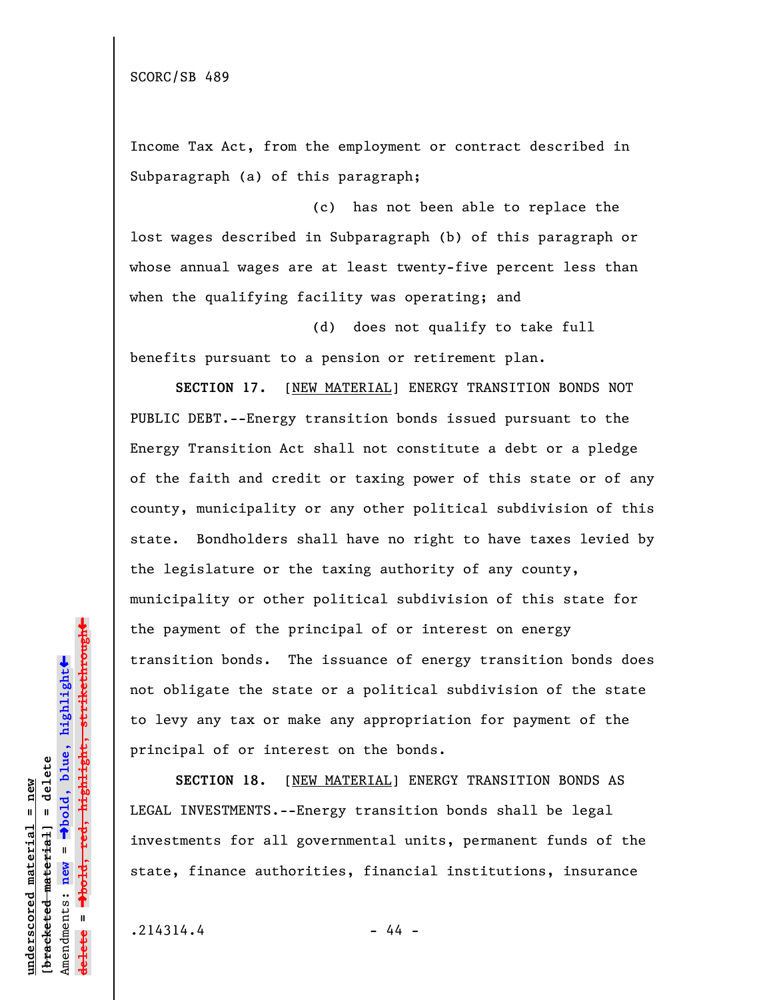Income Tax Act, from the employment or contract described in Subparagraph (a) of this paragraph;

(c) has not been able to replace the lost wages described in Subparagraph (b) of this paragraph or whose annual wages are at least twenty-five percent less than when the qualifying facility was operating; and

(d) does not qualify to take full benefits pursuant to a pension or retirement plan.

**SECTION 17.** [NEW MATERIAL] ENERGY TRANSITION BONDS NOT PUBLIC DEBT.--Energy transition bonds issued pursuant to the Energy Transition Act shall not constitute a debt or a pledge of the faith and credit or taxing power of this state or of any county, municipality or any other political subdivision of this state. Bondholders shall have no right to have taxes levied by the legislature or the taxing authority of any county, municipality or other political subdivision of this state for the payment of the principal of or interest on energy transition bonds. The issuance of energy transition bonds does not obligate the state or a political subdivision of the state to levy any tax or make any appropriation for payment of the principal of or interest on the bonds.

**SECTION 18.** [NEW MATERIAL] ENERGY TRANSITION BONDS AS LEGAL INVESTMENTS.--Energy transition bonds shall be legal investments for all governmental units, permanent funds of the state, finance authorities, financial institutions, insurance

 $.214314.4$  - 44 -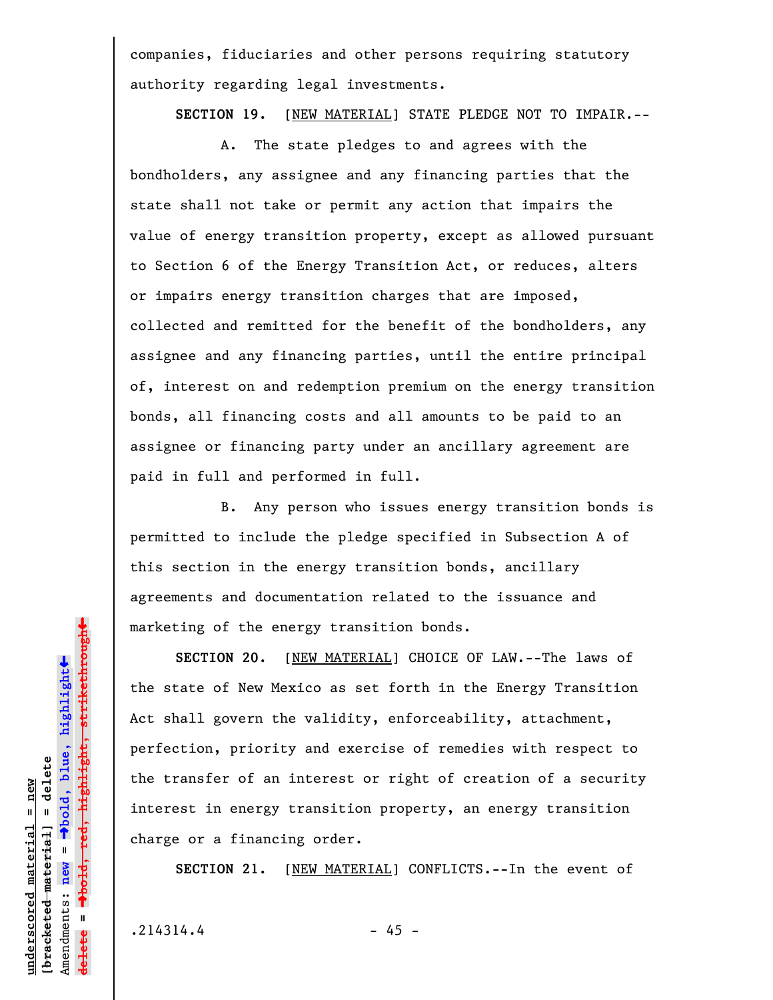companies, fiduciaries and other persons requiring statutory authority regarding legal investments.

**SECTION 19.** [NEW MATERIAL] STATE PLEDGE NOT TO IMPAIR.--

A. The state pledges to and agrees with the bondholders, any assignee and any financing parties that the state shall not take or permit any action that impairs the value of energy transition property, except as allowed pursuant to Section 6 of the Energy Transition Act, or reduces, alters or impairs energy transition charges that are imposed, collected and remitted for the benefit of the bondholders, any assignee and any financing parties, until the entire principal of, interest on and redemption premium on the energy transition bonds, all financing costs and all amounts to be paid to an assignee or financing party under an ancillary agreement are paid in full and performed in full.

B. Any person who issues energy transition bonds is permitted to include the pledge specified in Subsection A of this section in the energy transition bonds, ancillary agreements and documentation related to the issuance and marketing of the energy transition bonds.

**SECTION 20.** [NEW MATERIAL] CHOICE OF LAW.--The laws of the state of New Mexico as set forth in the Energy Transition Act shall govern the validity, enforceability, attachment, perfection, priority and exercise of remedies with respect to the transfer of an interest or right of creation of a security interest in energy transition property, an energy transition charge or a financing order.

**SECTION 21.** [NEW MATERIAL] CONFLICTS.--In the event of

 $.214314.4$  - 45 -

**underscored material = new [bracketed material] = delete**

 $b$ racketed material] = delete inderscored material = new

Amendments: **new** =

Amendments: new

 $\mathbf{u}$ 

**delete =**

lelete

º**bold, blue, highlight**

º**bold, red, highlight, strikethrough**

 $\ddot{\bullet}$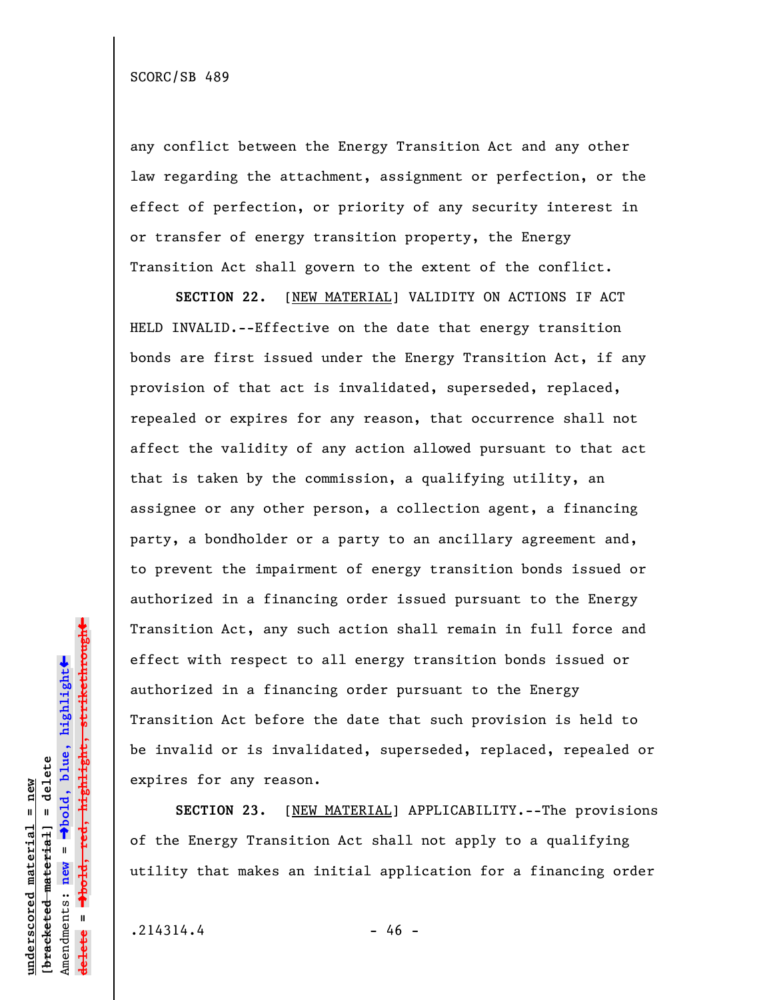any conflict between the Energy Transition Act and any other law regarding the attachment, assignment or perfection, or the effect of perfection, or priority of any security interest in or transfer of energy transition property, the Energy Transition Act shall govern to the extent of the conflict.

SECTION 22. [NEW MATERIAL] VALIDITY ON ACTIONS IF ACT HELD INVALID.--Effective on the date that energy transition bonds are first issued under the Energy Transition Act, if any provision of that act is invalidated, superseded, replaced, repealed or expires for any reason, that occurrence shall not affect the validity of any action allowed pursuant to that act that is taken by the commission, a qualifying utility, an assignee or any other person, a collection agent, a financing party, a bondholder or a party to an ancillary agreement and, to prevent the impairment of energy transition bonds issued or authorized in a financing order issued pursuant to the Energy Transition Act, any such action shall remain in full force and effect with respect to all energy transition bonds issued or authorized in a financing order pursuant to the Energy Transition Act before the date that such provision is held to be invalid or is invalidated, superseded, replaced, repealed or expires for any reason.

**SECTION 23.** [NEW MATERIAL] APPLICABILITY.--The provisions of the Energy Transition Act shall not apply to a qualifying utility that makes an initial application for a financing order

 $.214314.4$  - 46 -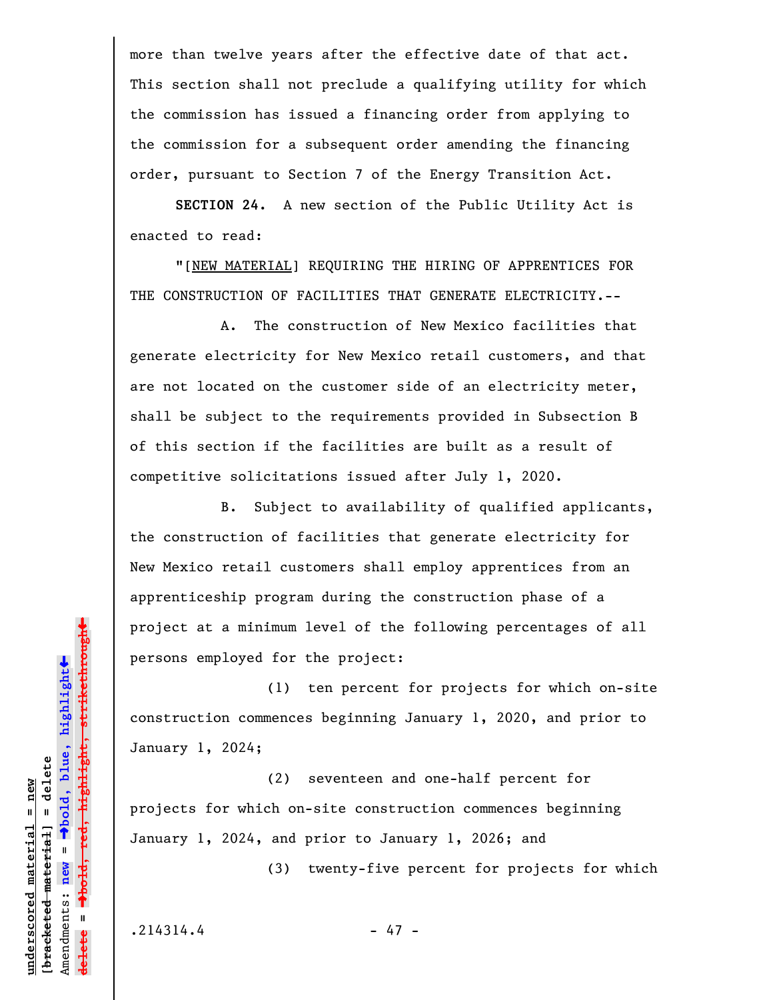more than twelve years after the effective date of that act. This section shall not preclude a qualifying utility for which the commission has issued a financing order from applying to the commission for a subsequent order amending the financing order, pursuant to Section 7 of the Energy Transition Act.

**SECTION 24.** A new section of the Public Utility Act is enacted to read:

"[NEW MATERIAL] REQUIRING THE HIRING OF APPRENTICES FOR THE CONSTRUCTION OF FACILITIES THAT GENERATE ELECTRICITY.--

A. The construction of New Mexico facilities that generate electricity for New Mexico retail customers, and that are not located on the customer side of an electricity meter, shall be subject to the requirements provided in Subsection B of this section if the facilities are built as a result of competitive solicitations issued after July 1, 2020.

B. Subject to availability of qualified applicants, the construction of facilities that generate electricity for New Mexico retail customers shall employ apprentices from an apprenticeship program during the construction phase of a project at a minimum level of the following percentages of all persons employed for the project:

(1) ten percent for projects for which on-site construction commences beginning January 1, 2020, and prior to January 1, 2024;

(2) seventeen and one-half percent for projects for which on-site construction commences beginning January 1, 2024, and prior to January 1, 2026; and

(3) twenty-five percent for projects for which

**underscored material = new [bracketed material] = delete**

 $b$ racketed material] = delete inderscored material = new

Amendments: **new** =

Amendments: new

 $\mathbf{u}$ 

**delete =**

º**bold, blue, highlight**

º**bold, red, highlight, strikethrough**

 $\ddot{\bullet}$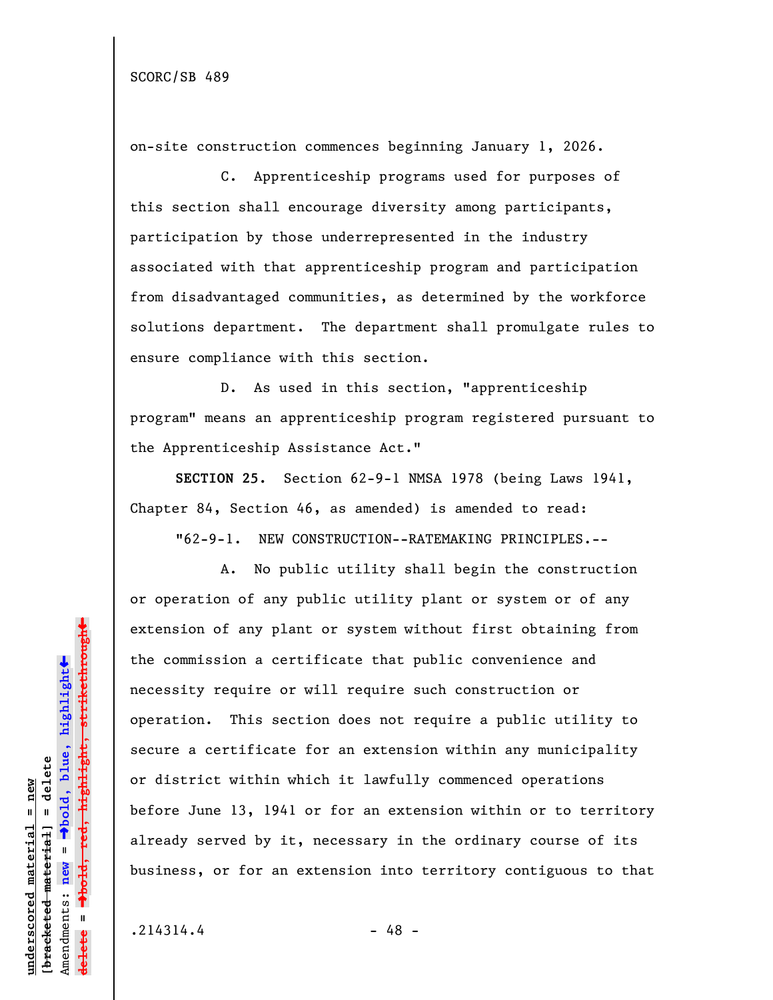on-site construction commences beginning January 1, 2026.

C. Apprenticeship programs used for purposes of this section shall encourage diversity among participants, participation by those underrepresented in the industry associated with that apprenticeship program and participation from disadvantaged communities, as determined by the workforce solutions department. The department shall promulgate rules to ensure compliance with this section.

D. As used in this section, "apprenticeship program" means an apprenticeship program registered pursuant to the Apprenticeship Assistance Act."

**SECTION 25.** Section 62-9-1 NMSA 1978 (being Laws 1941, Chapter 84, Section 46, as amended) is amended to read:

"62-9-1. NEW CONSTRUCTION--RATEMAKING PRINCIPLES.--

A. No public utility shall begin the construction or operation of any public utility plant or system or of any extension of any plant or system without first obtaining from the commission a certificate that public convenience and necessity require or will require such construction or operation. This section does not require a public utility to secure a certificate for an extension within any municipality or district within which it lawfully commenced operations before June 13, 1941 or for an extension within or to territory already served by it, necessary in the ordinary course of its business, or for an extension into territory contiguous to that

**underscored material = new [bracketed material] = delete**

bracketed material] = delete inderscored material = new

Amendments: **new** =

Amendments: new

 $\mathbf{u}$ 

**delete =**

lelete

º**bold, blue, highlight**

º**bold, red, highlight, strikethrough**

 $\ddot{\bullet}$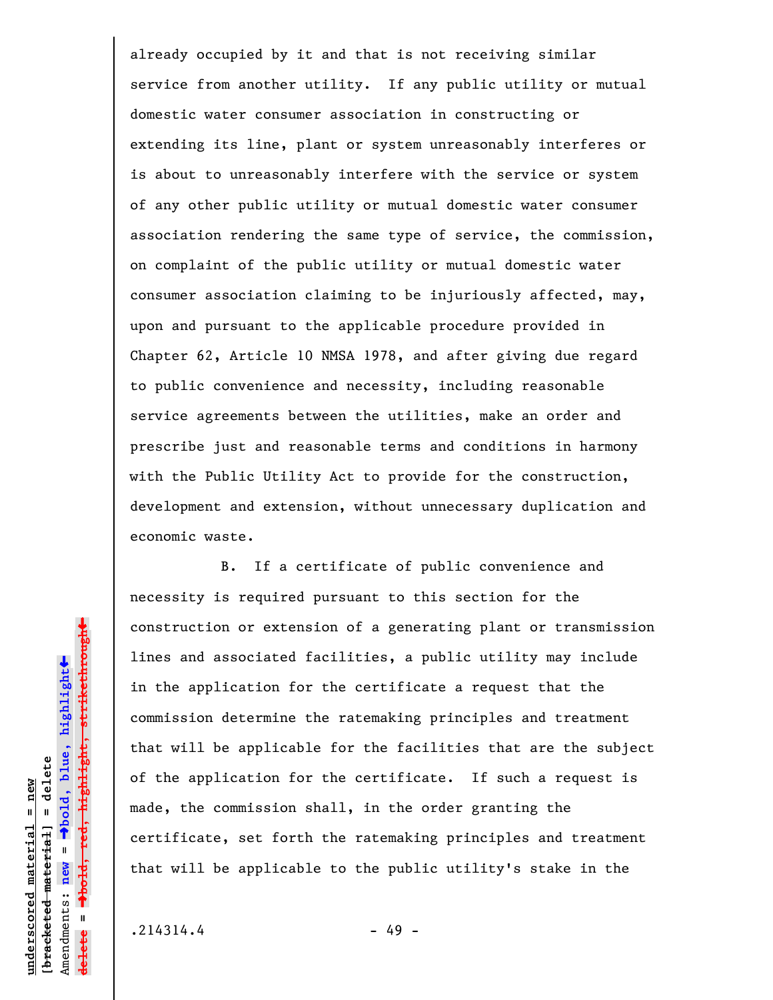already occupied by it and that is not receiving similar service from another utility. If any public utility or mutual domestic water consumer association in constructing or extending its line, plant or system unreasonably interferes or is about to unreasonably interfere with the service or system of any other public utility or mutual domestic water consumer association rendering the same type of service, the commission, on complaint of the public utility or mutual domestic water consumer association claiming to be injuriously affected, may, upon and pursuant to the applicable procedure provided in Chapter 62, Article 10 NMSA 1978, and after giving due regard to public convenience and necessity, including reasonable service agreements between the utilities, make an order and prescribe just and reasonable terms and conditions in harmony with the Public Utility Act to provide for the construction, development and extension, without unnecessary duplication and economic waste.

B. If a certificate of public convenience and necessity is required pursuant to this section for the construction or extension of a generating plant or transmission lines and associated facilities, a public utility may include in the application for the certificate a request that the commission determine the ratemaking principles and treatment that will be applicable for the facilities that are the subject of the application for the certificate. If such a request is made, the commission shall, in the order granting the certificate, set forth the ratemaking principles and treatment that will be applicable to the public utility's stake in the

 $.214314.4$  - 49 -

**underscored material = new [bracketed material] = delete**

 $b$ racketed material] = delete inderscored material = new

Amendments: **new** =

Amendments: new =

**delete =**

<del>lelete</del>

º**bold, blue, highlight**

º**bold, red, highlight, strikethrough**

 $\ddot{\bullet}$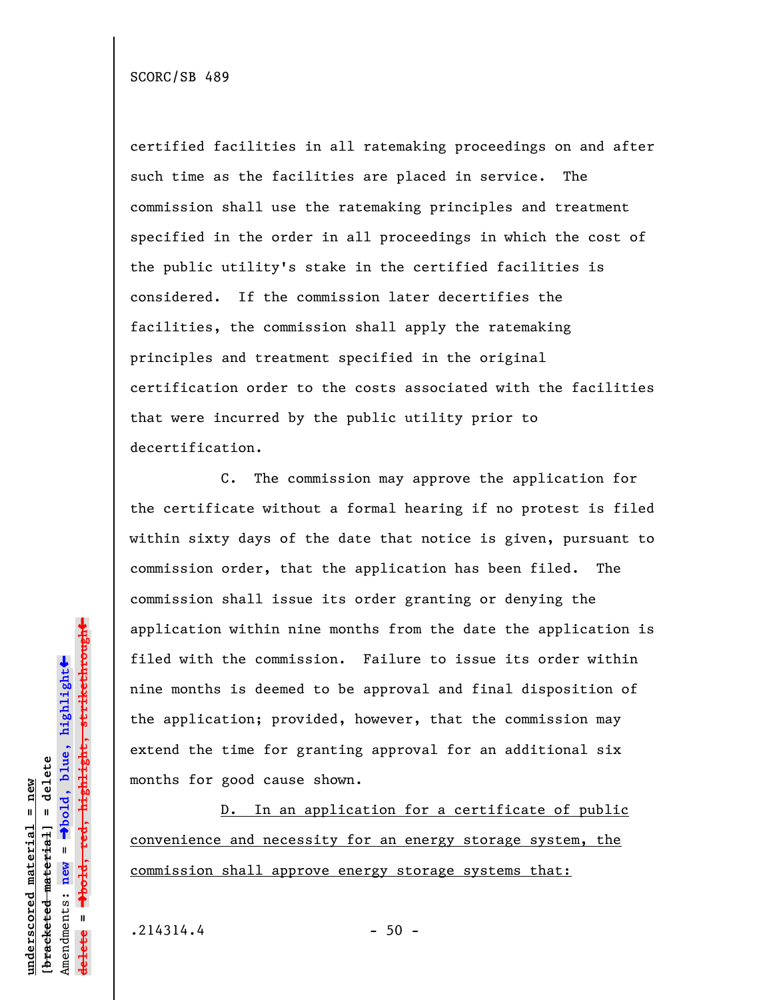certified facilities in all ratemaking proceedings on and after such time as the facilities are placed in service. The commission shall use the ratemaking principles and treatment specified in the order in all proceedings in which the cost of the public utility's stake in the certified facilities is considered. If the commission later decertifies the facilities, the commission shall apply the ratemaking principles and treatment specified in the original certification order to the costs associated with the facilities that were incurred by the public utility prior to decertification.

C. The commission may approve the application for the certificate without a formal hearing if no protest is filed within sixty days of the date that notice is given, pursuant to commission order, that the application has been filed. The commission shall issue its order granting or denying the application within nine months from the date the application is filed with the commission. Failure to issue its order within nine months is deemed to be approval and final disposition of the application; provided, however, that the commission may extend the time for granting approval for an additional six months for good cause shown.

D. In an application for a certificate of public convenience and necessity for an energy storage system, the commission shall approve energy storage systems that:

 $.214314.4$  - 50 -

**underscored material = new [bracketed material] = delete**

bracketed material] = delete inderscored material = new

Amendments: **new** =

Amendments: new

 $\mathbf{I}$ 

**delete =**

lelete

º**bold, blue, highlight**

º**bold, red, highlight, strikethrough**

 $\ddot{\bullet}$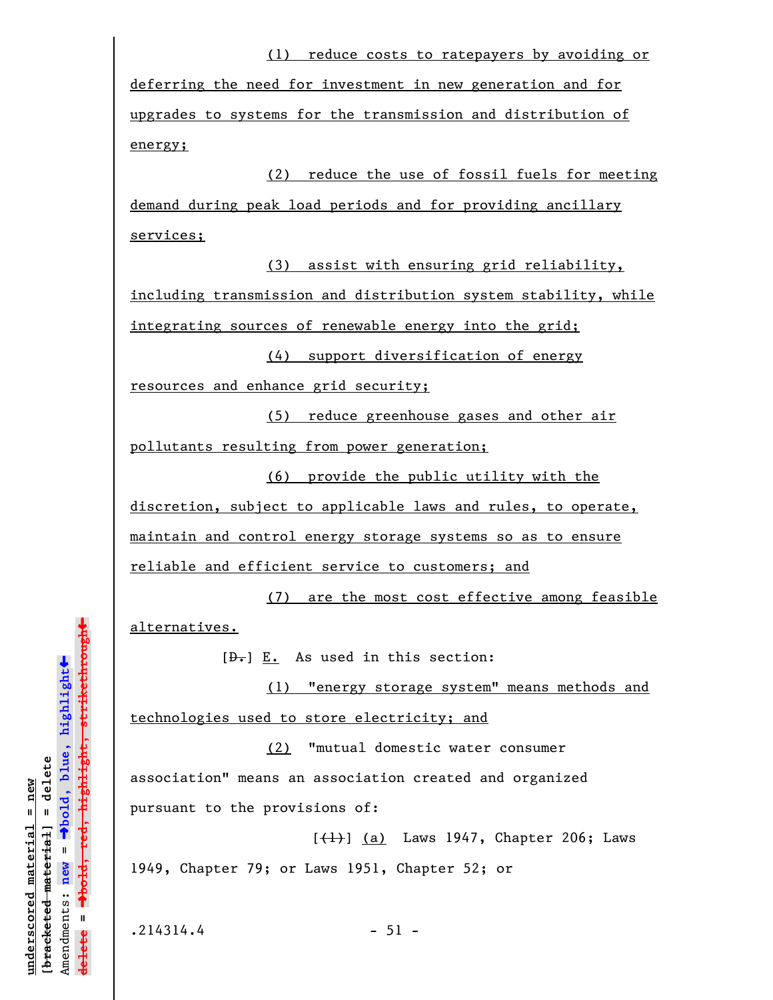deferring the need for investment in new generation and for upgrades to systems for the transmission and distribution of energy;

(2) reduce the use of fossil fuels for meeting demand during peak load periods and for providing ancillary services;

(3) assist with ensuring grid reliability, including transmission and distribution system stability, while integrating sources of renewable energy into the grid;

(4) support diversification of energy

resources and enhance grid security;

(5) reduce greenhouse gases and other air pollutants resulting from power generation;

(6) provide the public utility with the discretion, subject to applicable laws and rules, to operate, maintain and control energy storage systems so as to ensure reliable and efficient service to customers; and

(7) are the most cost effective among feasible alternatives.

 $[\frac{D-1}{2}]$   $\underline{E.}$  As used in this section:

(1) "energy storage system" means methods and technologies used to store electricity; and

(2) "mutual domestic water consumer association" means an association created and organized pursuant to the provisions of:

 $[\frac{1}{1}]$  (a) Laws 1947, Chapter 206; Laws 1949, Chapter 79; or Laws 1951, Chapter 52; or

**underscored material = new [bracketed material] = delete**

bracketed material] = delete inderscored material = new

Amendments: **new** =

Amendments: new =  $\mathbf{I}$ 

**delete =**

lelete

º**bold, blue, highlight**

º**bold, red, highlight, strikethrough**

 $\ddot{\bullet}$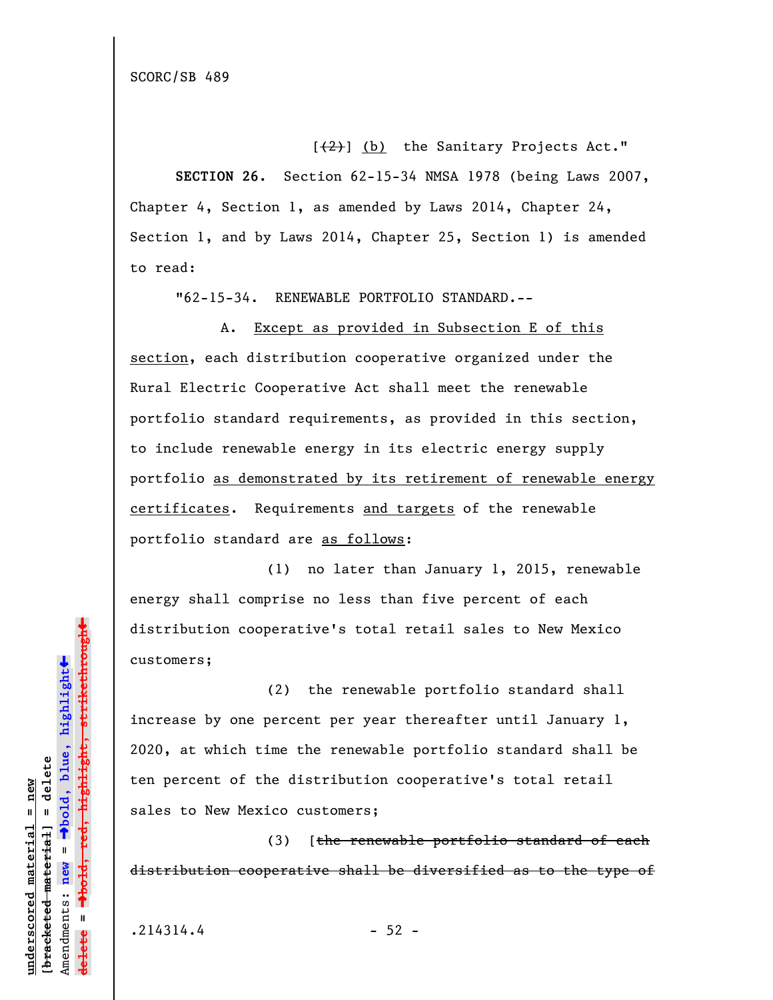[(2)] (b) the Sanitary Projects Act."

**SECTION 26.** Section 62-15-34 NMSA 1978 (being Laws 2007, Chapter 4, Section 1, as amended by Laws 2014, Chapter 24, Section 1, and by Laws 2014, Chapter 25, Section 1) is amended to read:

"62-15-34. RENEWABLE PORTFOLIO STANDARD.--

A. Except as provided in Subsection E of this section, each distribution cooperative organized under the Rural Electric Cooperative Act shall meet the renewable portfolio standard requirements, as provided in this section, to include renewable energy in its electric energy supply portfolio as demonstrated by its retirement of renewable energy certificates. Requirements and targets of the renewable portfolio standard are as follows:

(1) no later than January 1, 2015, renewable energy shall comprise no less than five percent of each distribution cooperative's total retail sales to New Mexico customers;

(2) the renewable portfolio standard shall increase by one percent per year thereafter until January 1, 2020, at which time the renewable portfolio standard shall be ten percent of the distribution cooperative's total retail sales to New Mexico customers;

(3) [the renewable portfolio standard of each distribution cooperative shall be diversified as to the type of

**underscored material = new [bracketed material] = delete**

bracketed material] = delete inderscored material = new

Amendments: **new** =

Amendments: new

 $\mathbf{u}$ 

**delete =**

º**bold, blue, highlight**

º**bold, red, highlight, strikethrough**

 $\ddot{\bullet}$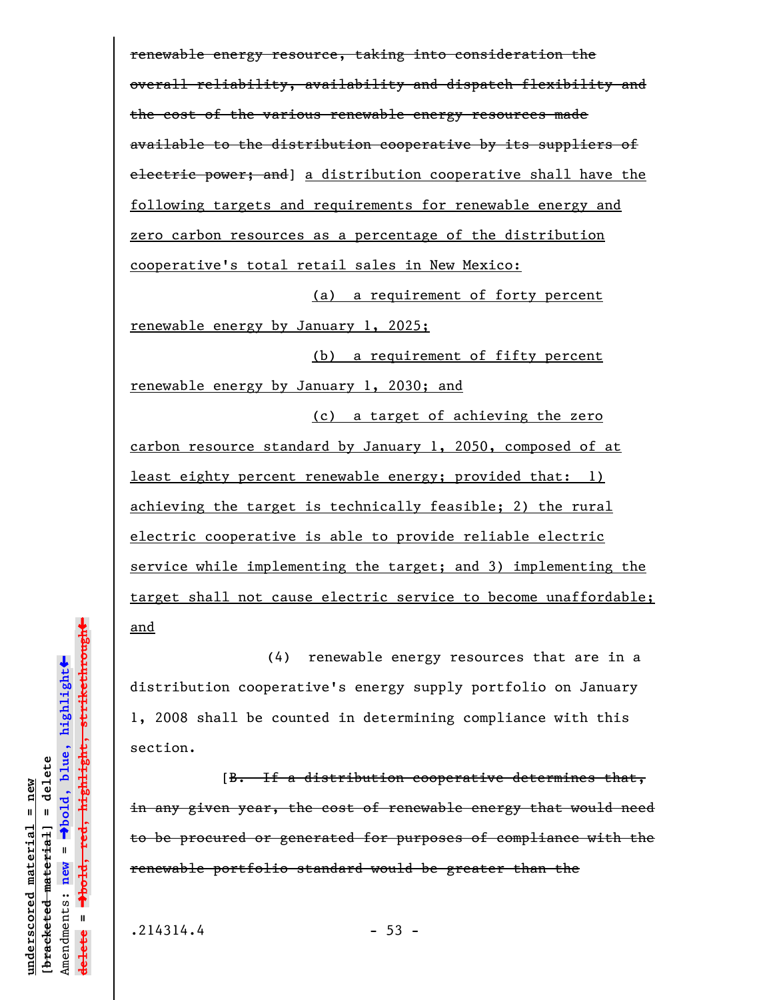renewable energy resource, taking into consideration the overall reliability, availability and dispatch flexibility and the cost of the various renewable energy resources made available to the distribution cooperative by its suppliers of electric power; and] a distribution cooperative shall have the following targets and requirements for renewable energy and zero carbon resources as a percentage of the distribution cooperative's total retail sales in New Mexico: (a) a requirement of forty percent

renewable energy by January 1, 2025;

(b) a requirement of fifty percent renewable energy by January 1, 2030; and

carbon resource standard by January 1, 2050, composed of at least eighty percent renewable energy; provided that: 1) achieving the target is technically feasible; 2) the rural electric cooperative is able to provide reliable electric service while implementing the target; and 3) implementing the target shall not cause electric service to become unaffordable; and

(c) a target of achieving the zero

(4) renewable energy resources that are in a distribution cooperative's energy supply portfolio on January 1, 2008 shall be counted in determining compliance with this section.

[B. If a distribution cooperative determines that, in any given year, the cost of renewable energy that would need to be procured or generated for purposes of compliance with the renewable portfolio standard would be greater than the

 $.214314.4$  - 53 -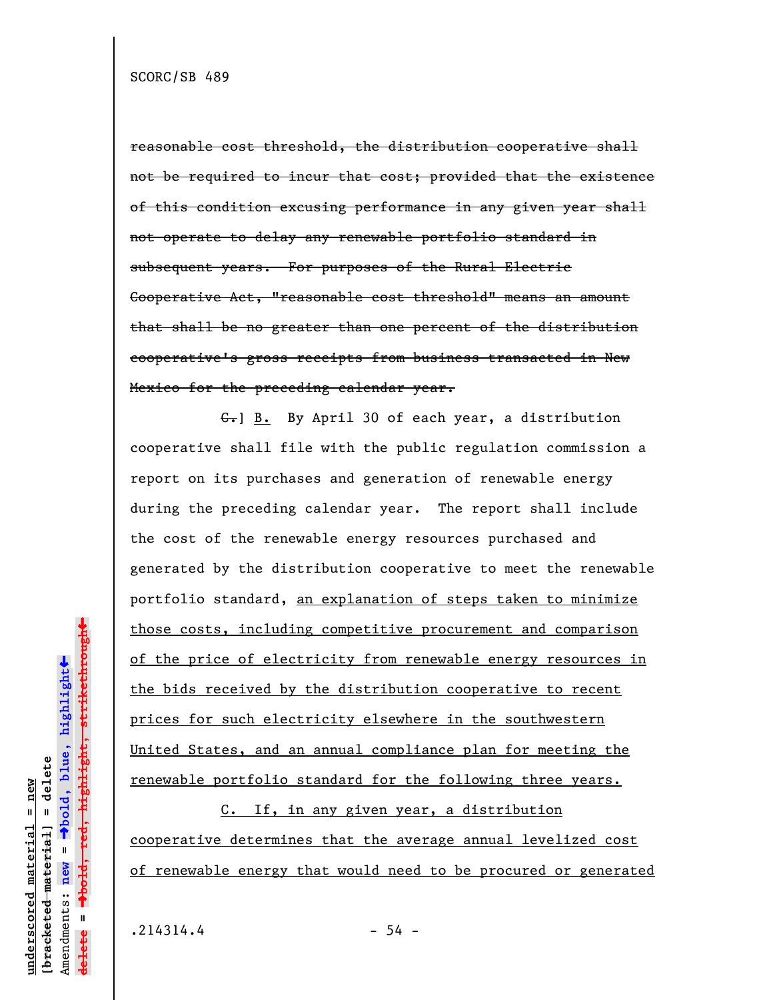reasonable cost threshold, the distribution cooperative shall not be required to incur that cost; provided that the existence of this condition excusing performance in any given year shall not operate to delay any renewable portfolio standard in subsequent years. For purposes of the Rural Electric Cooperative Act, "reasonable cost threshold" means an amount that shall be no greater than one percent of the distribution cooperative's gross receipts from business transacted in New Mexico for the preceding calendar year.

C.] B. By April 30 of each year, a distribution cooperative shall file with the public regulation commission a report on its purchases and generation of renewable energy during the preceding calendar year. The report shall include the cost of the renewable energy resources purchased and generated by the distribution cooperative to meet the renewable portfolio standard, an explanation of steps taken to minimize those costs, including competitive procurement and comparison of the price of electricity from renewable energy resources in the bids received by the distribution cooperative to recent prices for such electricity elsewhere in the southwestern United States, and an annual compliance plan for meeting the renewable portfolio standard for the following three years.

C. If, in any given year, a distribution cooperative determines that the average annual levelized cost of renewable energy that would need to be procured or generated

**underscored material = new [bracketed material] = delete**

bracketed material] = delete  $anderscored material = new$ 

Amendments: **new** =

Amendments: new

 $\mathbf{I}$ 

**delete =**

lelete

º**bold, blue, highlight**

º**bold, red, highlight, strikethrough**

 $\ddot{\bullet}$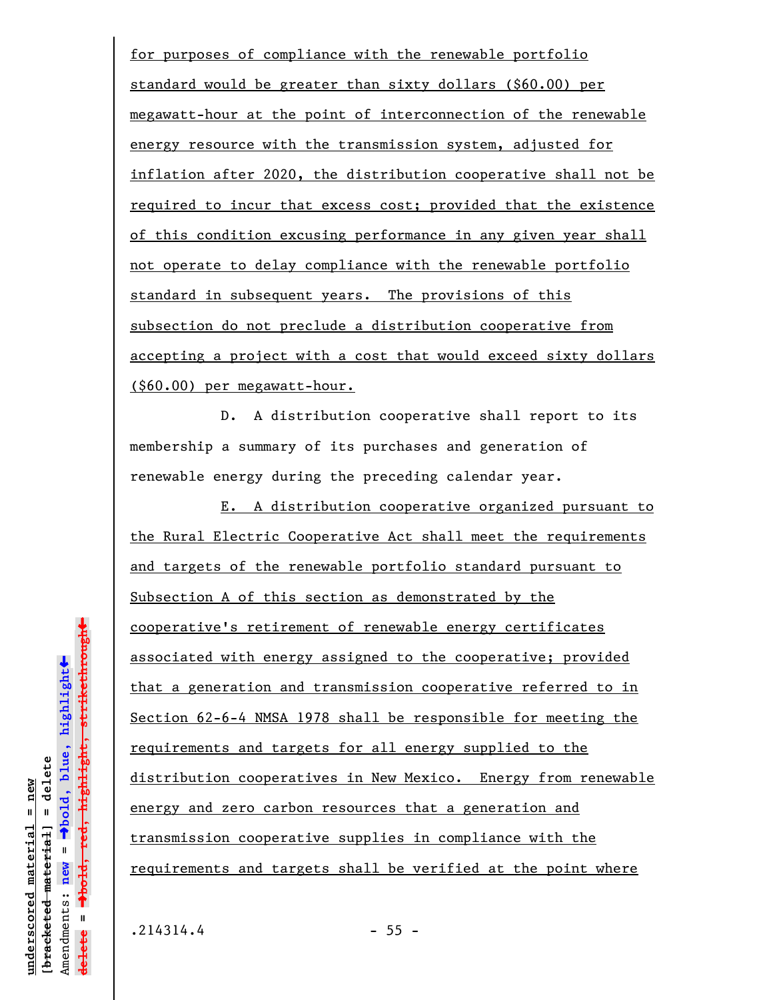for purposes of compliance with the renewable portfolio standard would be greater than sixty dollars (\$60.00) per megawatt-hour at the point of interconnection of the renewable energy resource with the transmission system, adjusted for inflation after 2020, the distribution cooperative shall not be required to incur that excess cost; provided that the existence of this condition excusing performance in any given year shall not operate to delay compliance with the renewable portfolio standard in subsequent years. The provisions of this subsection do not preclude a distribution cooperative from accepting a project with a cost that would exceed sixty dollars (\$60.00) per megawatt-hour.

D. A distribution cooperative shall report to its membership a summary of its purchases and generation of renewable energy during the preceding calendar year.

E. A distribution cooperative organized pursuant to the Rural Electric Cooperative Act shall meet the requirements and targets of the renewable portfolio standard pursuant to Subsection A of this section as demonstrated by the cooperative's retirement of renewable energy certificates associated with energy assigned to the cooperative; provided that a generation and transmission cooperative referred to in Section 62-6-4 NMSA 1978 shall be responsible for meeting the requirements and targets for all energy supplied to the distribution cooperatives in New Mexico. Energy from renewable energy and zero carbon resources that a generation and transmission cooperative supplies in compliance with the requirements and targets shall be verified at the point where

**underscored material = new [bracketed material] = delete**

 $b$ racketed material] = delete inderscored material = new

Amendments: **new** =

Amendments: new =  $\mathbf{u}$ 

**delete =**

**lelete** 

º**bold, blue, highlight**

º**bold, red, highlight, strikethrough**

 $\ddot{\bullet}$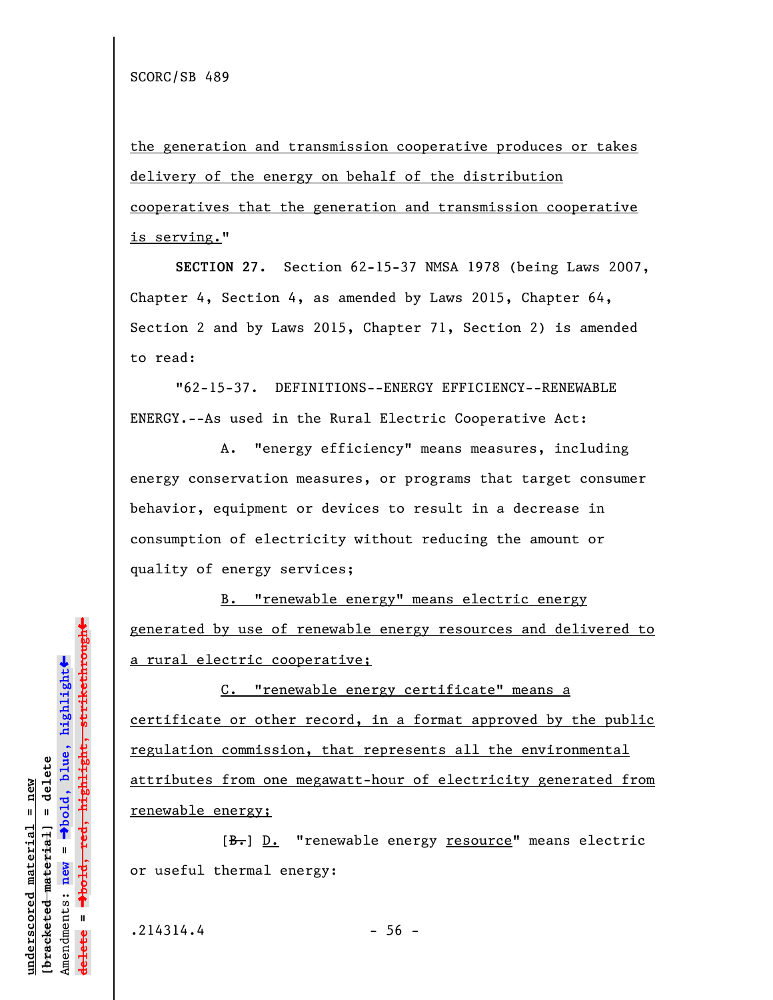the generation and transmission cooperative produces or takes delivery of the energy on behalf of the distribution cooperatives that the generation and transmission cooperative is serving."

**SECTION 27.** Section 62-15-37 NMSA 1978 (being Laws 2007, Chapter 4, Section 4, as amended by Laws 2015, Chapter 64, Section 2 and by Laws 2015, Chapter 71, Section 2) is amended to read:

"62-15-37. DEFINITIONS--ENERGY EFFICIENCY--RENEWABLE ENERGY.--As used in the Rural Electric Cooperative Act:

A. "energy efficiency" means measures, including energy conservation measures, or programs that target consumer behavior, equipment or devices to result in a decrease in consumption of electricity without reducing the amount or quality of energy services;

B. "renewable energy" means electric energy generated by use of renewable energy resources and delivered to a rural electric cooperative;

C. "renewable energy certificate" means a certificate or other record, in a format approved by the public regulation commission, that represents all the environmental attributes from one megawatt-hour of electricity generated from renewable energy;

[B.] D. "renewable energy resource" means electric or useful thermal energy:

 $.214314.4$  - 56 -

**underscored material = new [bracketed material] = delete**

bracketed material] = delete inderscored material = new

Amendments: **new** =

Amendments: new =

**delete =**

lelete

º**bold, blue, highlight**

º**bold, red, highlight, strikethrough**

 $\ddot{\bullet}$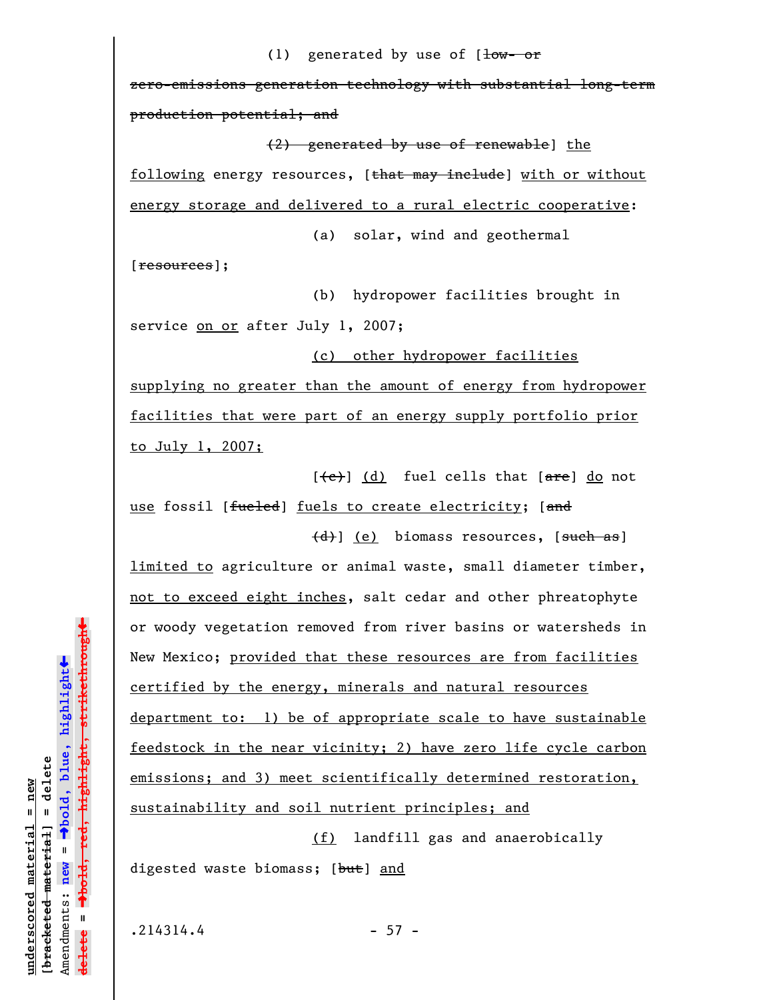## (1) generated by use of  $[\frac{1}{\text{ow}-\text{or}}]$

zero-emissions generation technology with substantial long-term production potential; and

(2) generated by use of renewable] the

following energy resources, [that may include] with or without energy storage and delivered to a rural electric cooperative:

(a) solar, wind and geothermal

[resources];

(b) hydropower facilities brought in service on or after July 1, 2007;

(c) other hydropower facilities supplying no greater than the amount of energy from hydropower facilities that were part of an energy supply portfolio prior to July 1, 2007;

 $[\text{e}]$  (d) fuel cells that  $[\text{are}]$  do not use fossil [fueled] fuels to create electricity; [and

 $\left(\frac{d}{d}\right)$  (e) biomass resources, [such as] limited to agriculture or animal waste, small diameter timber, not to exceed eight inches, salt cedar and other phreatophyte or woody vegetation removed from river basins or watersheds in New Mexico; provided that these resources are from facilities certified by the energy, minerals and natural resources department to: 1) be of appropriate scale to have sustainable feedstock in the near vicinity; 2) have zero life cycle carbon emissions; and 3) meet scientifically determined restoration, sustainability and soil nutrient principles; and

(f) landfill gas and anaerobically digested waste biomass; [but] and

 $.214314.4$  - 57 -

**underscored material = new [bracketed material] = delete**

bracketed material] = delete  $anderscored material = new$ 

Amendments: **new** =

Amendments: new =

**delete =**

<del>ielete</del>

º**bold, blue, highlight**

º**bold, red, highlight, strikethrough**

 $\ddot{\bullet}$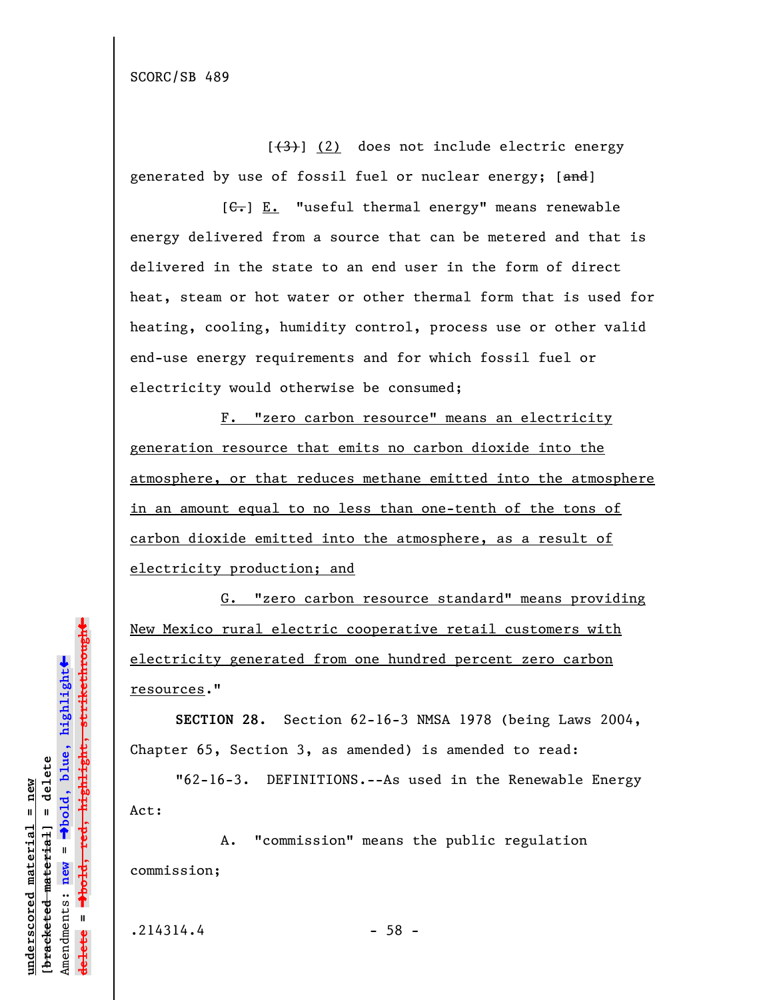$[\frac{1}{3}]$  (2) does not include electric energy generated by use of fossil fuel or nuclear energy; [and]

 $[G<sub>1</sub>]$  E. "useful thermal energy" means renewable energy delivered from a source that can be metered and that is delivered in the state to an end user in the form of direct heat, steam or hot water or other thermal form that is used for heating, cooling, humidity control, process use or other valid end-use energy requirements and for which fossil fuel or electricity would otherwise be consumed;

F. "zero carbon resource" means an electricity generation resource that emits no carbon dioxide into the atmosphere, or that reduces methane emitted into the atmosphere in an amount equal to no less than one-tenth of the tons of carbon dioxide emitted into the atmosphere, as a result of electricity production; and

G. "zero carbon resource standard" means providing New Mexico rural electric cooperative retail customers with electricity generated from one hundred percent zero carbon resources."

**SECTION 28.** Section 62-16-3 NMSA 1978 (being Laws 2004, Chapter 65, Section 3, as amended) is amended to read:

"62-16-3. DEFINITIONS.--As used in the Renewable Energy Act:

A. "commission" means the public regulation commission;

 $.214314.4$  - 58 -

**underscored material = new [bracketed material] = delete**

bracketed material] = delete inderscored material = new

Amendments: **new** =

Amendments: new

 $\mathbf{I}$ 

**delete =**

lelete

º**bold, blue, highlight**

º**bold, red, highlight, strikethrough**

 $\ddot{\bullet}$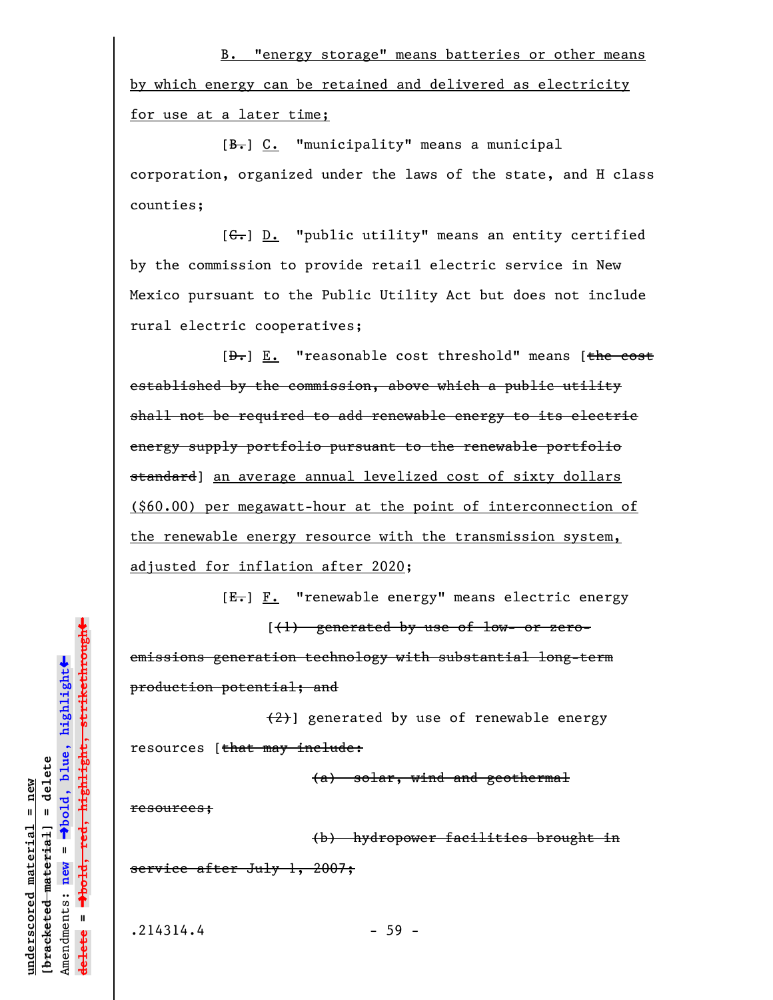B. "energy storage" means batteries or other means by which energy can be retained and delivered as electricity for use at a later time;

[B.] C. "municipality" means a municipal corporation, organized under the laws of the state, and H class counties;

[C.] D. "public utility" means an entity certified by the commission to provide retail electric service in New Mexico pursuant to the Public Utility Act but does not include rural electric cooperatives;

 $[D<sub>1</sub>] E.$  "reasonable cost threshold" means [the cost established by the commission, above which a public utility shall not be required to add renewable energy to its electric energy supply portfolio pursuant to the renewable portfolio standard] an average annual levelized cost of sixty dollars (\$60.00) per megawatt-hour at the point of interconnection of the renewable energy resource with the transmission system, adjusted for inflation after 2020;

[E.] F. "renewable energy" means electric energy

 $[$   $($   $\frac{1}{2}$   $)$  generated by use of low- or zeroemissions generation technology with substantial long-term production potential; and

(2)] generated by use of renewable energy resources [that may include:

(a) solar, wind and geothermal

resources;

(b) hydropower facilities brought in service after July 1, 2007;

 $.214314.4$  - 59 -

 $\ddag$ º**bold, red, highlight, strikethrough**  $\ddot{\bullet}$ º**bold, blue, highlight** bracketed material] = delete **[bracketed material] = delete**  $anderscored material = new$ **underscored material = new** Amendments: **new** = Amendments: new = **delete =**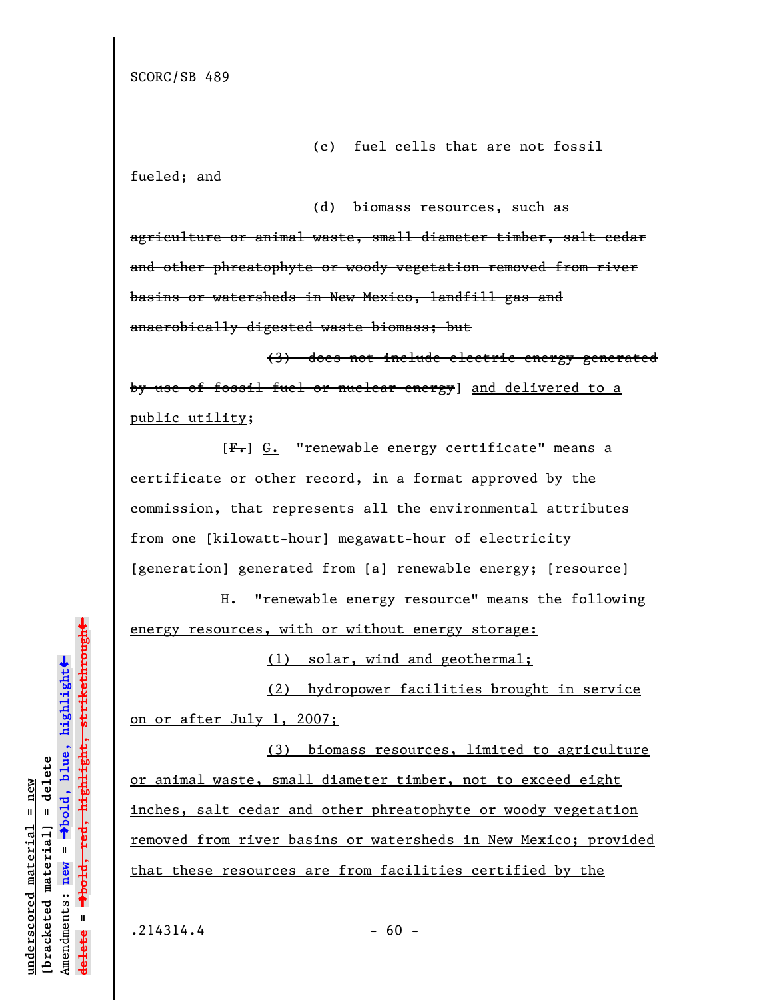(c) fuel cells that are not fossil

fueled; and

(d) biomass resources, such as agriculture or animal waste, small diameter timber, salt cedar and other phreatophyte or woody vegetation removed from river

basins or watersheds in New Mexico, landfill gas and anaerobically digested waste biomass; but

(3) does not include electric energy generated by use of fossil fuel or nuclear energy] and delivered to a public utility;

[ $F -$ ] G. "renewable energy certificate" means a certificate or other record, in a format approved by the commission, that represents all the environmental attributes from one [kilowatt-hour] megawatt-hour of electricity [generation] generated from [a] renewable energy; [resource]

H. "renewable energy resource" means the following energy resources, with or without energy storage:

(1) solar, wind and geothermal;

(2) hydropower facilities brought in service on or after July 1, 2007;

(3) biomass resources, limited to agriculture or animal waste, small diameter timber, not to exceed eight inches, salt cedar and other phreatophyte or woody vegetation removed from river basins or watersheds in New Mexico; provided that these resources are from facilities certified by the

**underscored material = new [bracketed material] = delete**

bracketed material] = delete  $nnderscored material = new$ 

Amendments: **new** =

Amendments: new

 $\mathbf{I}$ 

**delete =**

lelete

º**bold, blue, highlight**

º**bold, red, highlight, strikethrough**

 $\ddot{\bullet}$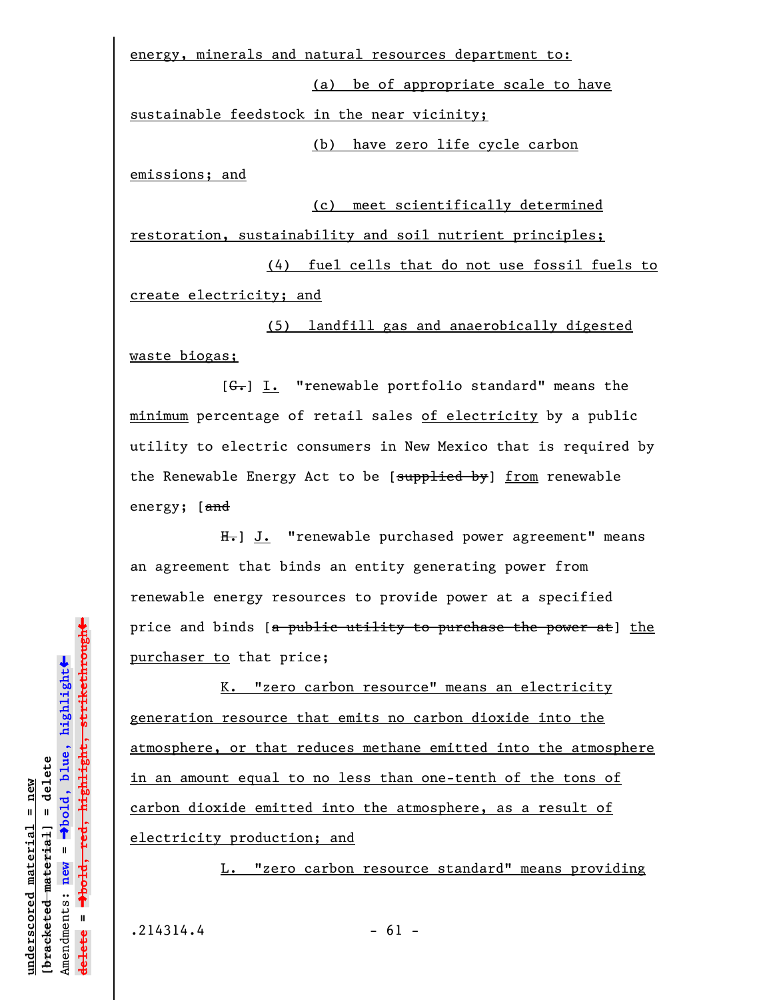energy, minerals and natural resources department to:

(a) be of appropriate scale to have sustainable feedstock in the near vicinity;

(b) have zero life cycle carbon

emissions; and

(c) meet scientifically determined

restoration, sustainability and soil nutrient principles;

(4) fuel cells that do not use fossil fuels to create electricity; and

(5) landfill gas and anaerobically digested waste biogas;

[ $G<sub>r</sub>$ ] I. "renewable portfolio standard" means the minimum percentage of retail sales of electricity by a public utility to electric consumers in New Mexico that is required by the Renewable Energy Act to be [supplied by] from renewable energy; [and

H<sub>r</sub>] J. "renewable purchased power agreement" means an agreement that binds an entity generating power from renewable energy resources to provide power at a specified price and binds [a public utility to purchase the power at] the purchaser to that price;

K. "zero carbon resource" means an electricity generation resource that emits no carbon dioxide into the atmosphere, or that reduces methane emitted into the atmosphere in an amount equal to no less than one-tenth of the tons of carbon dioxide emitted into the atmosphere, as a result of electricity production; and

L. "zero carbon resource standard" means providing

**underscored material = new [bracketed material] = delete**

bracketed material] = delete inderscored material = new

Amendments: **new** =

Amendments: new =

**delete =**

lelete

º**bold, blue, highlight**

º**bold, red, highlight, strikethrough**

 $\ddot{\bullet}$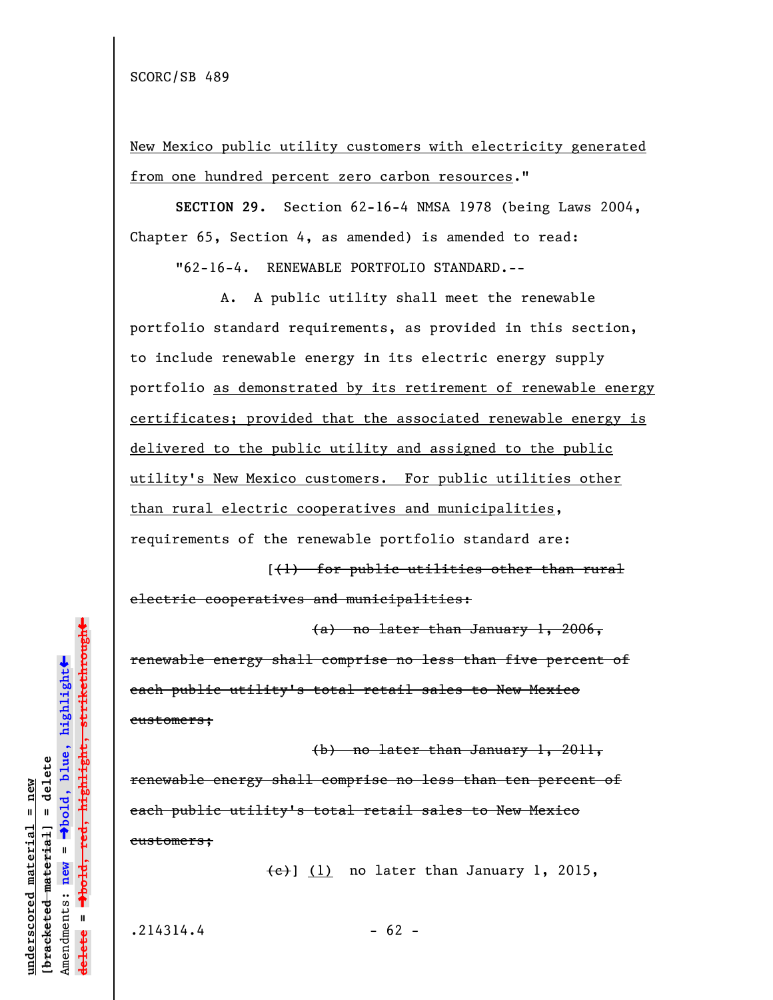New Mexico public utility customers with electricity generated from one hundred percent zero carbon resources."

**SECTION 29.** Section 62-16-4 NMSA 1978 (being Laws 2004, Chapter 65, Section 4, as amended) is amended to read:

"62-16-4. RENEWABLE PORTFOLIO STANDARD.--

A. A public utility shall meet the renewable portfolio standard requirements, as provided in this section, to include renewable energy in its electric energy supply portfolio as demonstrated by its retirement of renewable energy certificates; provided that the associated renewable energy is delivered to the public utility and assigned to the public utility's New Mexico customers. For public utilities other than rural electric cooperatives and municipalities, requirements of the renewable portfolio standard are:

[(1) for public utilities other than rural electric cooperatives and municipalities:

(a) no later than January 1, 2006, renewable energy shall comprise no less than five percent of each public utility's total retail sales to New Mexico customers;

(b) no later than January 1, 2011, renewable energy shall comprise no less than ten percent of each public utility's total retail sales to New Mexico customers;

 $\left(\frac{e}{f}\right)$  (1) no later than January 1, 2015,

 $.214314.4$  - 62 -

**underscored material = new [bracketed material] = delete**

bracketed material] = delete  $anderscored material = new$ 

Amendments: **new** =

Amendments: new

 $\mathbf{I}$ 

**delete =**

º**bold, blue, highlight**

º**bold, red, highlight, strikethrough**

 $\ddot{\bullet}$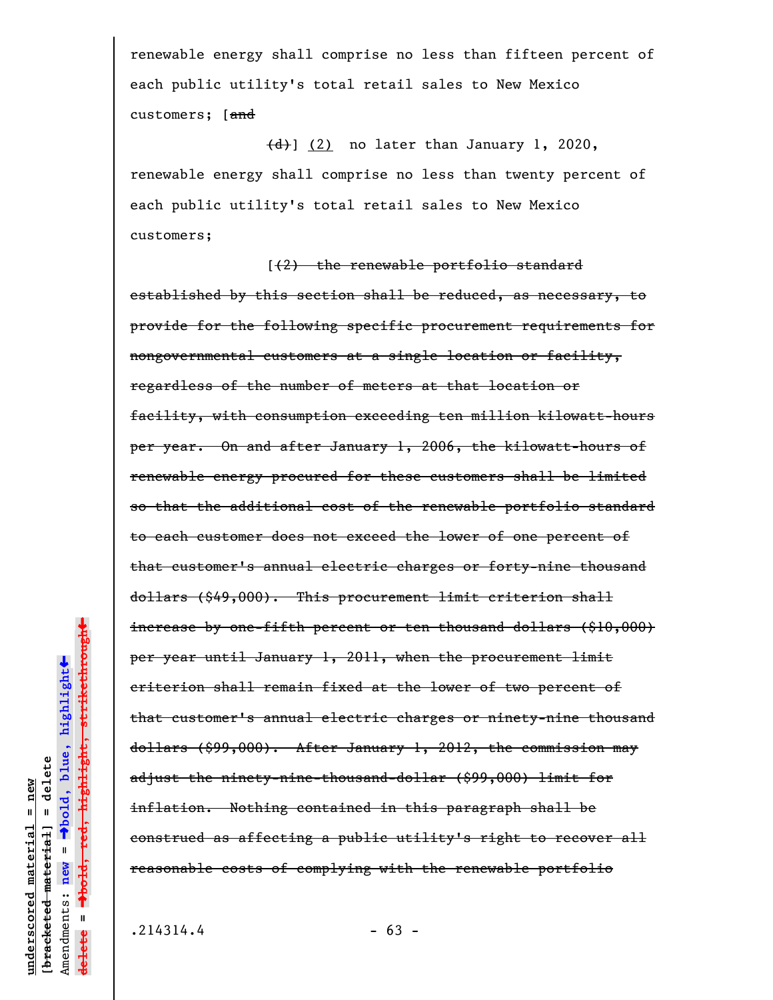renewable energy shall comprise no less than fifteen percent of each public utility's total retail sales to New Mexico customers; [and

 $\left(\frac{d}{d}\right)$  (2) no later than January 1, 2020, renewable energy shall comprise no less than twenty percent of each public utility's total retail sales to New Mexico customers;

[(2) the renewable portfolio standard established by this section shall be reduced, as necessary, to provide for the following specific procurement requirements for nongovernmental customers at a single location or facility, regardless of the number of meters at that location or facility, with consumption exceeding ten million kilowatt-hours per year. On and after January 1, 2006, the kilowatt-hours of renewable energy procured for these customers shall be limited so that the additional cost of the renewable portfolio standard to each customer does not exceed the lower of one percent of that customer's annual electric charges or forty-nine thousand dollars (\$49,000). This procurement limit criterion shall increase by one-fifth percent or ten thousand dollars (\$10,000) per year until January 1, 2011, when the procurement limit criterion shall remain fixed at the lower of two percent of that customer's annual electric charges or ninety-nine thousand dollars (\$99,000). After January 1, 2012, the commission may adjust the ninety-nine-thousand-dollar (\$99,000) limit for inflation. Nothing contained in this paragraph shall be construed as affecting a public utility's right to recover all reasonable costs of complying with the renewable portfolio

**underscored material = new [bracketed material] = delete**

 $b$ racketed material] = delete  $anderscored material = new$ 

Amendments: **new** =

Amendments: new =

**delete =**

lelete

º**bold, blue, highlight**

º**bold, red, highlight, strikethrough**

 $\ddot{\bullet}$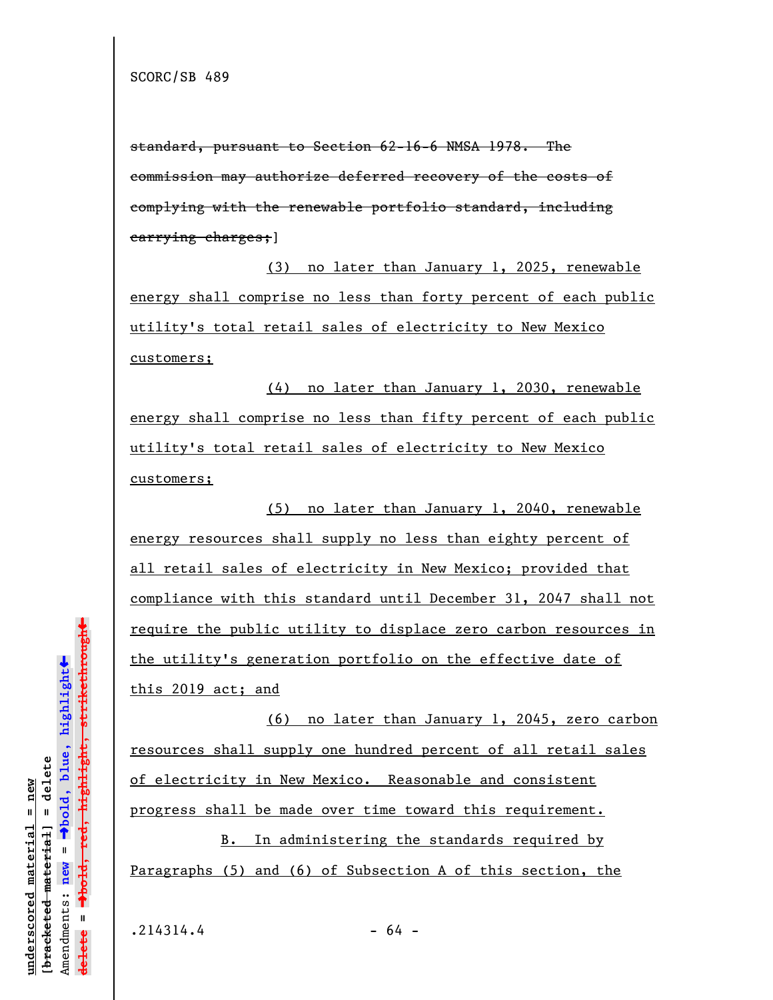standard, pursuant to Section 62-16-6 NMSA 1978. The commission may authorize deferred recovery of the costs of complying with the renewable portfolio standard, including carrying charges;]

(3) no later than January 1, 2025, renewable energy shall comprise no less than forty percent of each public utility's total retail sales of electricity to New Mexico customers;

(4) no later than January 1, 2030, renewable energy shall comprise no less than fifty percent of each public utility's total retail sales of electricity to New Mexico customers;

(5) no later than January 1, 2040, renewable energy resources shall supply no less than eighty percent of all retail sales of electricity in New Mexico; provided that compliance with this standard until December 31, 2047 shall not require the public utility to displace zero carbon resources in the utility's generation portfolio on the effective date of this 2019 act; and

(6) no later than January 1, 2045, zero carbon resources shall supply one hundred percent of all retail sales of electricity in New Mexico. Reasonable and consistent progress shall be made over time toward this requirement.

B. In administering the standards required by Paragraphs (5) and (6) of Subsection A of this section, the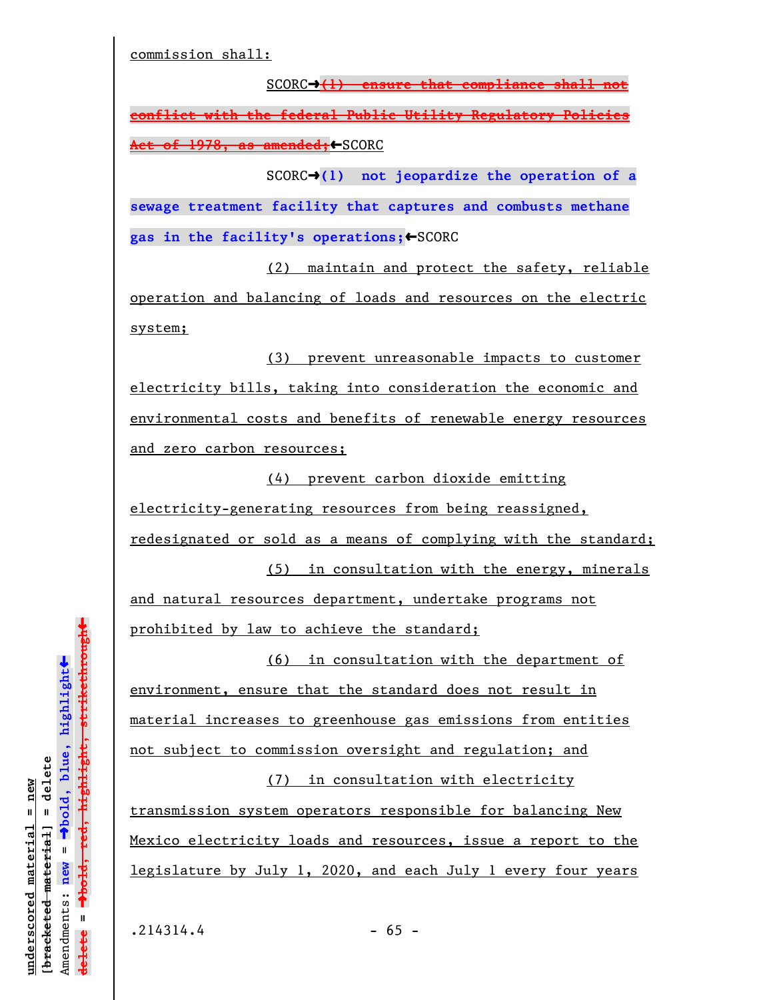commission shall:

SCORC→(1) ensure that compliance shall not **conflict with the federal Public Utility Regulatory Policies Act of 1978, as amended;**»SCORC

SCORC<sup>+</sup>(1) not jeopardize the operation of a **sewage treatment facility that captures and combusts methane** gas in the facility's operations; <SCORC

(2) maintain and protect the safety, reliable operation and balancing of loads and resources on the electric system;

(3) prevent unreasonable impacts to customer electricity bills, taking into consideration the economic and environmental costs and benefits of renewable energy resources and zero carbon resources;

(4) prevent carbon dioxide emitting electricity-generating resources from being reassigned, redesignated or sold as a means of complying with the standard;

(5) in consultation with the energy, minerals and natural resources department, undertake programs not prohibited by law to achieve the standard;

(6) in consultation with the department of environment, ensure that the standard does not result in material increases to greenhouse gas emissions from entities not subject to commission oversight and regulation; and

(7) in consultation with electricity transmission system operators responsible for balancing New Mexico electricity loads and resources, issue a report to the legislature by July 1, 2020, and each July 1 every four years

**underscored material = new [bracketed material] = delete**

bracketed material] = delete inderscored material = new

º**bold, blue, highlight**

 $\ddot{\bullet}$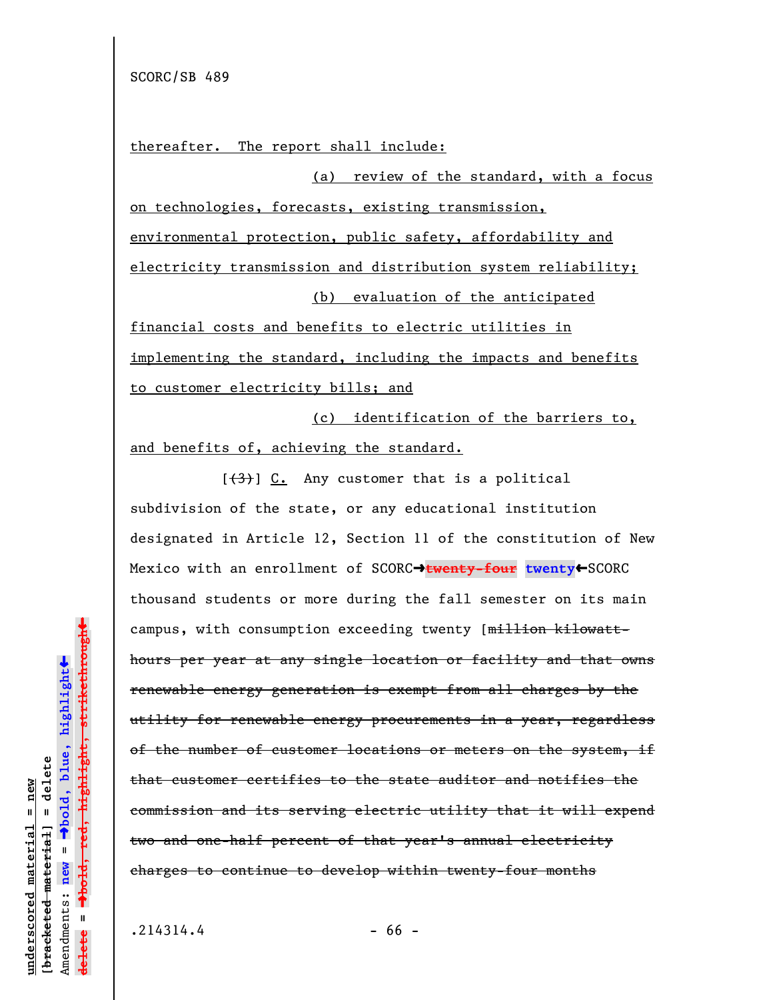thereafter. The report shall include:

(a) review of the standard, with a focus on technologies, forecasts, existing transmission, environmental protection, public safety, affordability and electricity transmission and distribution system reliability; (b) evaluation of the anticipated financial costs and benefits to electric utilities in

implementing the standard, including the impacts and benefits to customer electricity bills; and

(c) identification of the barriers to, and benefits of, achieving the standard.

 $[\frac{(3)}{2}]$  C. Any customer that is a political subdivision of the state, or any educational institution designated in Article 12, Section 11 of the constitution of New Mexico with an enrollment of SCORC->twenty-four twenty<SCORC thousand students or more during the fall semester on its main campus, with consumption exceeding twenty [million kilowatthours per year at any single location or facility and that owns renewable energy generation is exempt from all charges by the utility for renewable energy procurements in a year, regardless of the number of customer locations or meters on the system, if that customer certifies to the state auditor and notifies the commission and its serving electric utility that it will expend two and one-half percent of that year's annual electricity charges to continue to develop within twenty-four months

**underscored material = new [bracketed material] = delete**

bracketed material] = delete  $anderscored material = new$ 

Amendments: **new** =

Amendments: new =

**delete =**

lelete

º**bold, blue, highlight**

º**bold, red, highlight, strikethrough**

 $\ddot{\bullet}$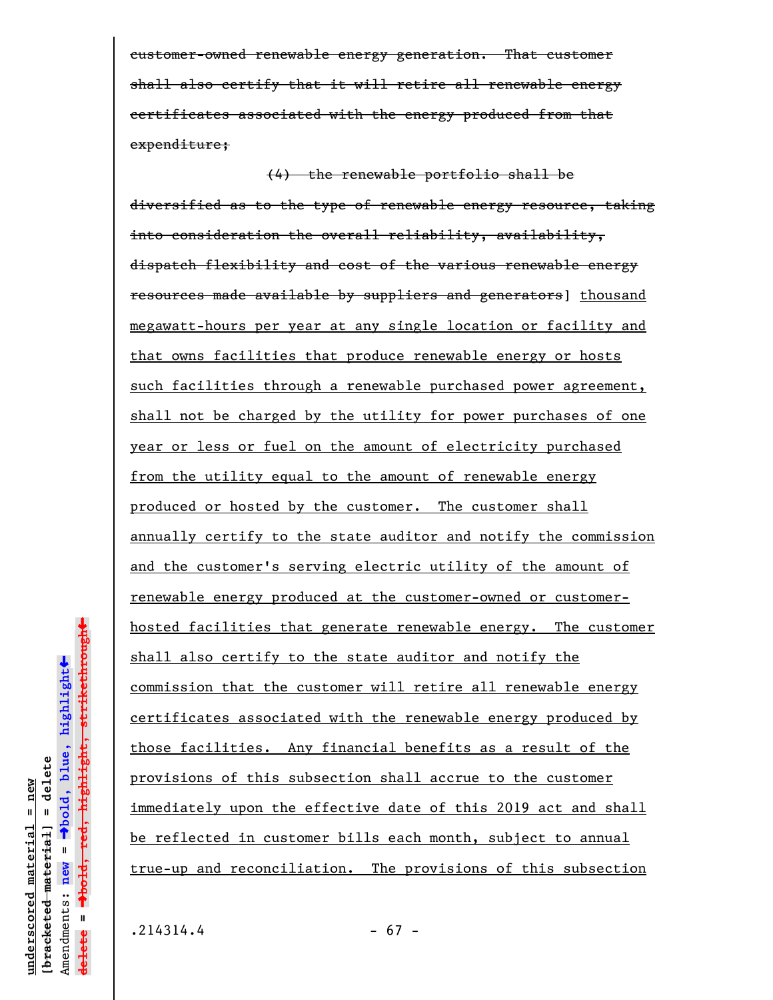customer-owned renewable energy generation. That customer shall also certify that it will retire all renewable energy certificates associated with the energy produced from that expenditure;

(4) the renewable portfolio shall be diversified as to the type of renewable energy resource, taking into consideration the overall reliability, availability, dispatch flexibility and cost of the various renewable energy resources made available by suppliers and generators] thousand megawatt-hours per year at any single location or facility and that owns facilities that produce renewable energy or hosts such facilities through a renewable purchased power agreement, shall not be charged by the utility for power purchases of one year or less or fuel on the amount of electricity purchased from the utility equal to the amount of renewable energy produced or hosted by the customer. The customer shall annually certify to the state auditor and notify the commission and the customer's serving electric utility of the amount of renewable energy produced at the customer-owned or customerhosted facilities that generate renewable energy. The customer shall also certify to the state auditor and notify the commission that the customer will retire all renewable energy certificates associated with the renewable energy produced by those facilities. Any financial benefits as a result of the provisions of this subsection shall accrue to the customer immediately upon the effective date of this 2019 act and shall be reflected in customer bills each month, subject to annual true-up and reconciliation. The provisions of this subsection

**underscored material = new [bracketed material] = delete**

bracketed material] = delete  $anderscored material = new$ 

Amendments: **new** =

Amendments: new =  $\mathbf{I}$ 

**delete =**

lelete

º**bold, blue, highlight**

º**bold, red, highlight, strikethrough**

 $\ddot{\bullet}$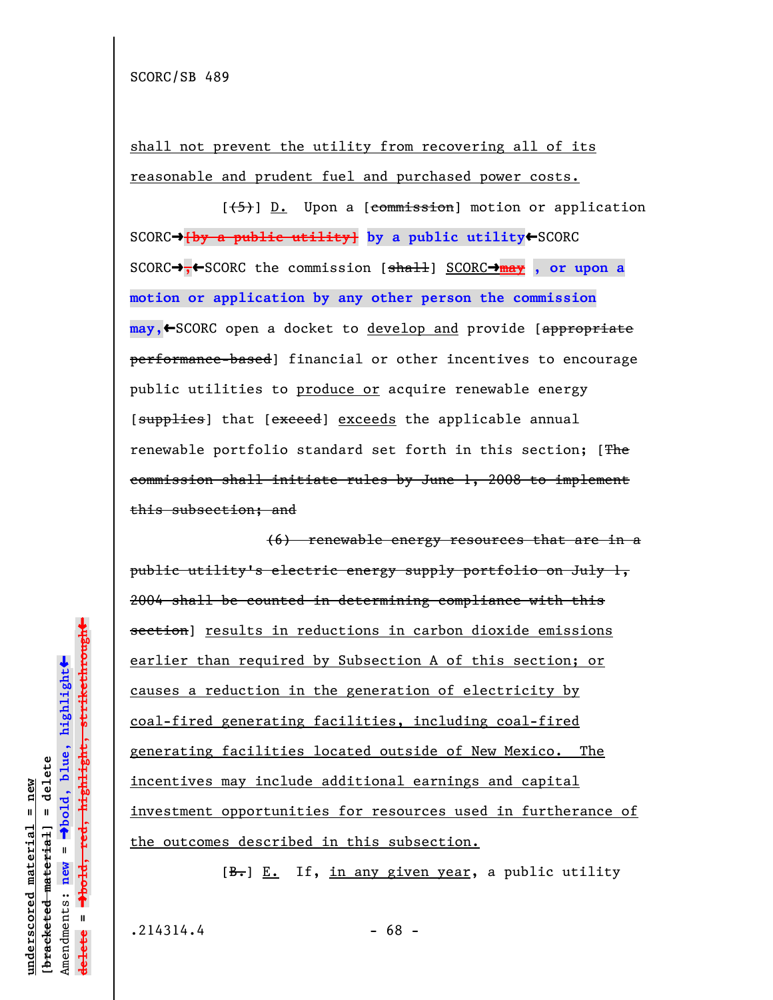shall not prevent the utility from recovering all of its reasonable and prudent fuel and purchased power costs.

 $[\frac{1}{5}]$  D. Upon a [commission] motion or application SCORC→ {by a public utility} by a public utility← SCORC SCORC→,←SCORC the commission [shall] SCORC→may, or upon a **motion or application by any other person the commission may,**»SCORC open a docket to develop and provide [appropriate performance-based] financial or other incentives to encourage public utilities to produce or acquire renewable energy [supplies] that [exceed] exceeds the applicable annual renewable portfolio standard set forth in this section; [The commission shall initiate rules by June 1, 2008 to implement this subsection; and

(6) renewable energy resources that are in a public utility's electric energy supply portfolio on July 1, 2004 shall be counted in determining compliance with this section] results in reductions in carbon dioxide emissions earlier than required by Subsection A of this section; or causes a reduction in the generation of electricity by coal-fired generating facilities, including coal-fired generating facilities located outside of New Mexico. The incentives may include additional earnings and capital investment opportunities for resources used in furtherance of the outcomes described in this subsection.

 $[\frac{B}{c}, E_{\cdot}]$  If, in any given year, a public utility

**underscored material = new [bracketed material] = delete**

bracketed material] = delete inderscored material = new

Amendments: **new** =

Amendments: new

 $\mathbf{I}$ 

**delete =**

lelete

º**bold, blue, highlight**

º**bold, red, highlight, strikethrough**

 $\ddot{\bullet}$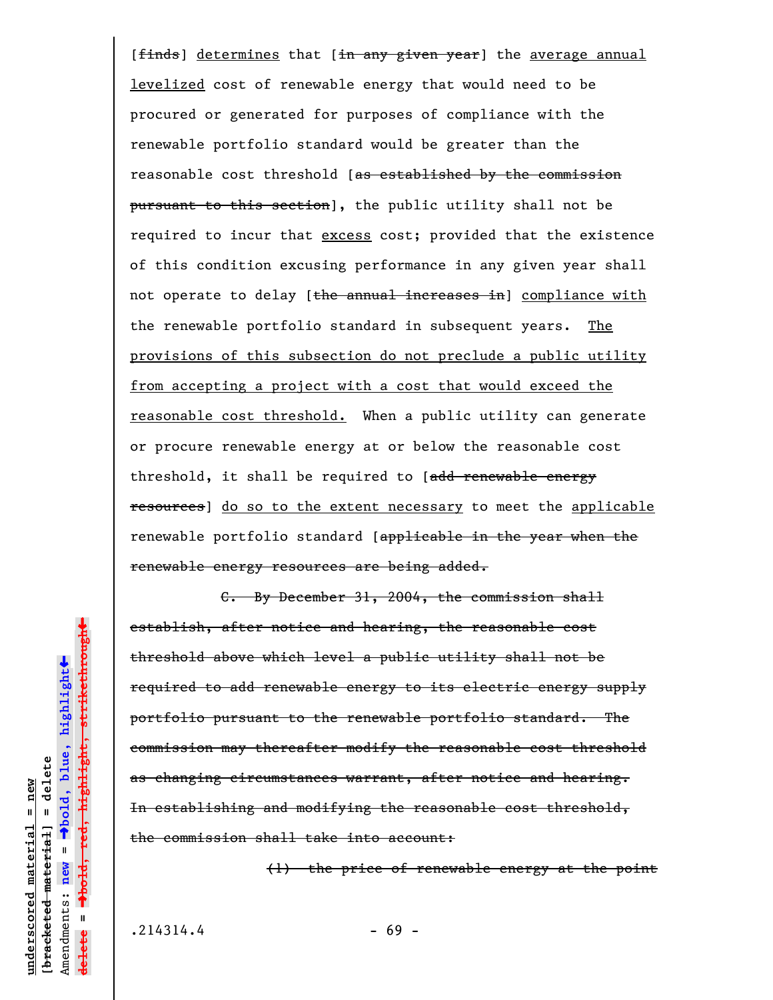[finds] determines that [in any given year] the average annual levelized cost of renewable energy that would need to be procured or generated for purposes of compliance with the renewable portfolio standard would be greater than the reasonable cost threshold [as established by the commission pursuant to this section], the public utility shall not be required to incur that excess cost; provided that the existence of this condition excusing performance in any given year shall not operate to delay [the annual increases in] compliance with the renewable portfolio standard in subsequent years. The provisions of this subsection do not preclude a public utility from accepting a project with a cost that would exceed the reasonable cost threshold. When a public utility can generate or procure renewable energy at or below the reasonable cost threshold, it shall be required to [add renewable energy resources] do so to the extent necessary to meet the applicable renewable portfolio standard [applicable in the year when the renewable energy resources are being added.

C. By December 31, 2004, the commission shall establish, after notice and hearing, the reasonable cost threshold above which level a public utility shall not be required to add renewable energy to its electric energy supply portfolio pursuant to the renewable portfolio standard. The commission may thereafter modify the reasonable cost threshold as changing circumstances warrant, after notice and hearing. In establishing and modifying the reasonable cost threshold, the commission shall take into account:

(1) the price of renewable energy at the point

**underscored material = new [bracketed material] = delete**

 $b$ racketed material] = delete  $anderscored material = new$ 

Amendments: **new** =

Amendments: new

 $\mathbf{I}$ 

**delete =**

º**bold, blue, highlight**

º**bold, red, highlight, strikethrough**

 $\ddot{\bullet}$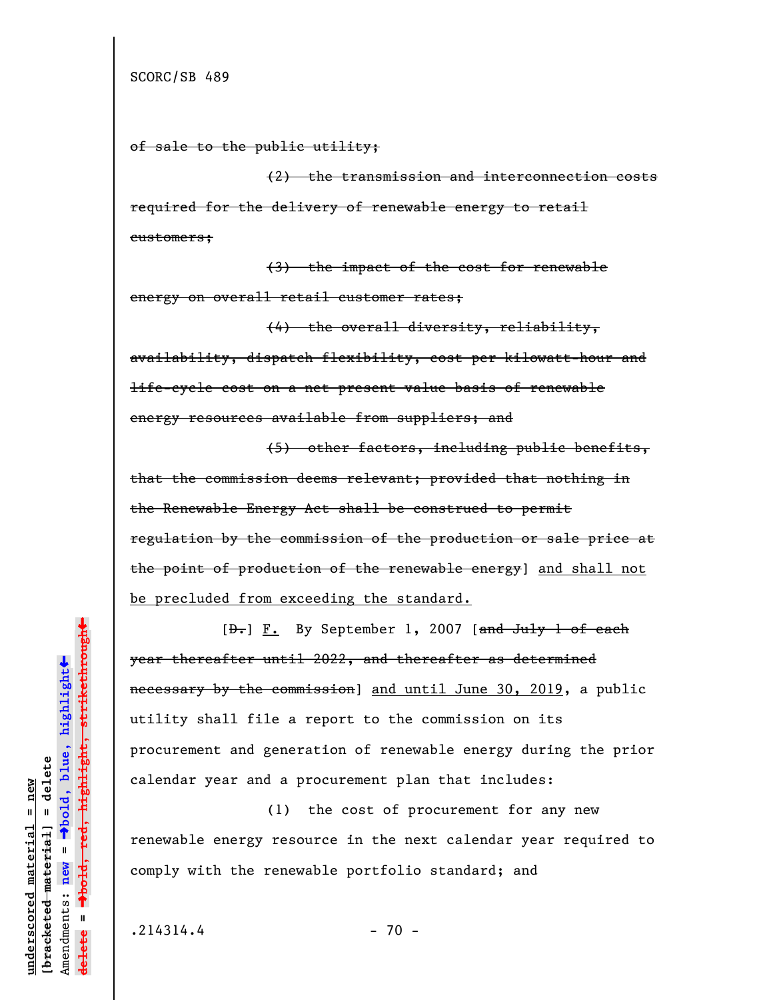```
of sale to the public utility;
```
(2) the transmission and interconnection costs required for the delivery of renewable energy to retail customers;

(3) the impact of the cost for renewable energy on overall retail customer rates;

(4) the overall diversity, reliability, availability, dispatch flexibility, cost per kilowatt-hour and life-cycle cost on a net present value basis of renewable energy resources available from suppliers; and

(5) other factors, including public benefits, that the commission deems relevant; provided that nothing in the Renewable Energy Act shall be construed to permit regulation by the commission of the production or sale price at the point of production of the renewable energy] and shall not be precluded from exceeding the standard.

[D.] F. By September 1, 2007 [and July 1 of each year thereafter until 2022, and thereafter as determined necessary by the commission] and until June 30, 2019, a public utility shall file a report to the commission on its procurement and generation of renewable energy during the prior calendar year and a procurement plan that includes:

(1) the cost of procurement for any new renewable energy resource in the next calendar year required to comply with the renewable portfolio standard; and

 $.214314.4$  - 70 -

**underscored material = new [bracketed material] = delete**

bracketed material] = delete  $anderscored material = new$ 

Amendments: **new** =

Amendments: new

 $\mathbf{u}$ 

**delete =**

º**bold, blue, highlight**

º**bold, red, highlight, strikethrough**  $\rightarrow$ bold, red, highlight, strikethrough

 $\ddot{\bullet}$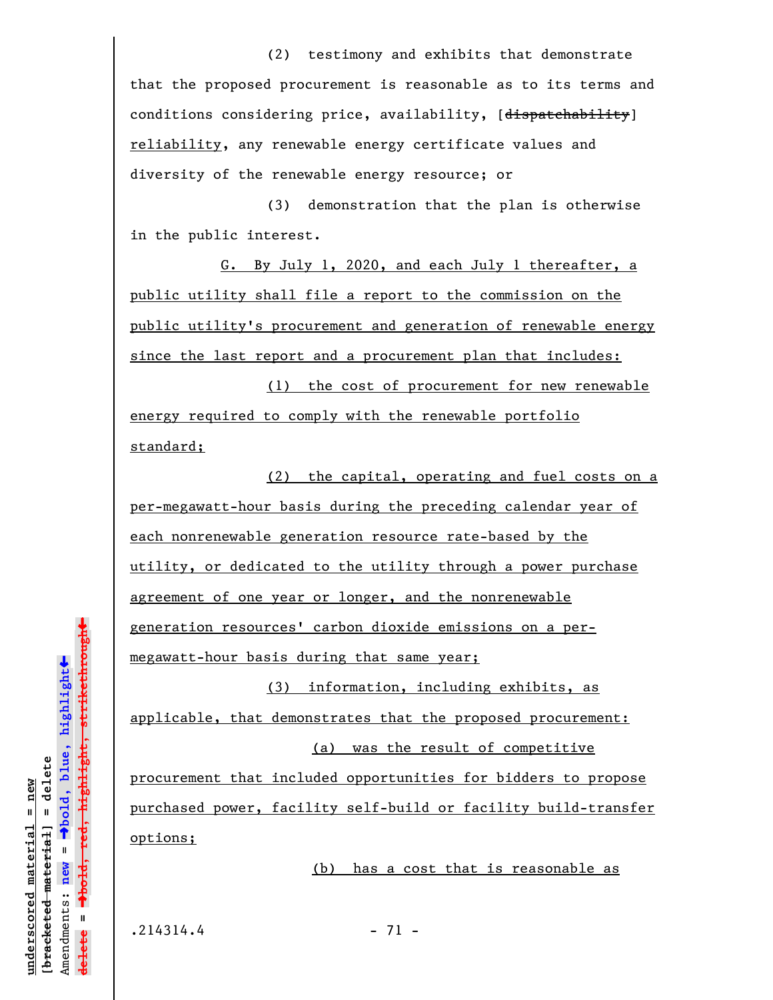(2) testimony and exhibits that demonstrate that the proposed procurement is reasonable as to its terms and conditions considering price, availability, [dispatchability] reliability, any renewable energy certificate values and diversity of the renewable energy resource; or

(3) demonstration that the plan is otherwise in the public interest.

G. By July 1, 2020, and each July 1 thereafter, a public utility shall file a report to the commission on the public utility's procurement and generation of renewable energy since the last report and a procurement plan that includes:

(1) the cost of procurement for new renewable energy required to comply with the renewable portfolio standard;

(2) the capital, operating and fuel costs on a per-megawatt-hour basis during the preceding calendar year of each nonrenewable generation resource rate-based by the utility, or dedicated to the utility through a power purchase agreement of one year or longer, and the nonrenewable generation resources' carbon dioxide emissions on a permegawatt-hour basis during that same year;

(3) information, including exhibits, as applicable, that demonstrates that the proposed procurement: (a) was the result of competitive

procurement that included opportunities for bidders to propose purchased power, facility self-build or facility build-transfer options;

(b) has a cost that is reasonable as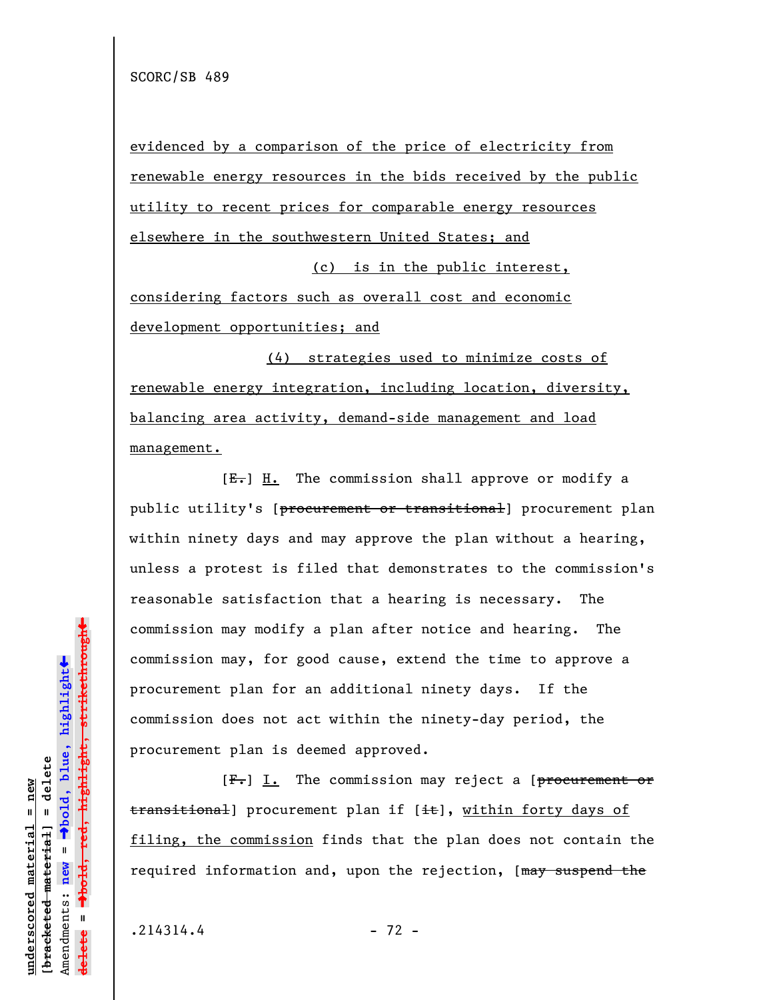evidenced by a comparison of the price of electricity from renewable energy resources in the bids received by the public utility to recent prices for comparable energy resources elsewhere in the southwestern United States; and

(c) is in the public interest,

considering factors such as overall cost and economic development opportunities; and

(4) strategies used to minimize costs of renewable energy integration, including location, diversity, balancing area activity, demand-side management and load management.

 $[E-]$  H. The commission shall approve or modify a public utility's [procurement or transitional] procurement plan within ninety days and may approve the plan without a hearing, unless a protest is filed that demonstrates to the commission's reasonable satisfaction that a hearing is necessary. The commission may modify a plan after notice and hearing. The commission may, for good cause, extend the time to approve a procurement plan for an additional ninety days. If the commission does not act within the ninety-day period, the procurement plan is deemed approved.

 $[F_{\bullet}]$  I. The commission may reject a [procurement or transitional] procurement plan if [it], within forty days of filing, the commission finds that the plan does not contain the required information and, upon the rejection, [may suspend the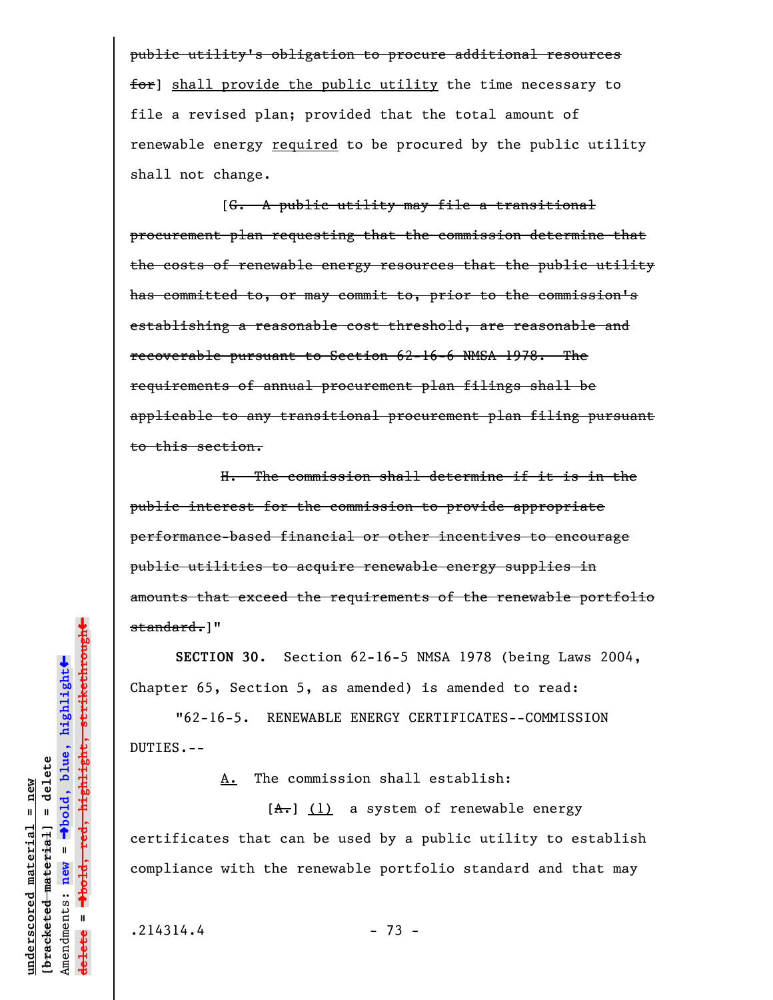public utility's obligation to procure additional resources for] shall provide the public utility the time necessary to file a revised plan; provided that the total amount of renewable energy required to be procured by the public utility shall not change.

[G. A public utility may file a transitional procurement plan requesting that the commission determine that the costs of renewable energy resources that the public utility has committed to, or may commit to, prior to the commission's establishing a reasonable cost threshold, are reasonable and recoverable pursuant to Section 62-16-6 NMSA 1978. The requirements of annual procurement plan filings shall be applicable to any transitional procurement plan filing pursuant to this section.

H. The commission shall determine if it is in the public interest for the commission to provide appropriate performance-based financial or other incentives to encourage public utilities to acquire renewable energy supplies in amounts that exceed the requirements of the renewable portfolio standard.]"

**SECTION 30.** Section 62-16-5 NMSA 1978 (being Laws 2004, Chapter 65, Section 5, as amended) is amended to read:

"62-16-5. RENEWABLE ENERGY CERTIFICATES--COMMISSION DUTIES.--

A. The commission shall establish:

 $[A<sub>1</sub>]$  (1) a system of renewable energy certificates that can be used by a public utility to establish compliance with the renewable portfolio standard and that may

**underscored material = new [bracketed material] = delete**

bracketed material] = delete  $anderscored material = new$ 

Amendments: **new** =

Amendments: new

 $\mathbf{u}$ 

**delete =**

º**bold, blue, highlight**

º**bold, red, highlight, strikethrough**

 $\ddot{\bullet}$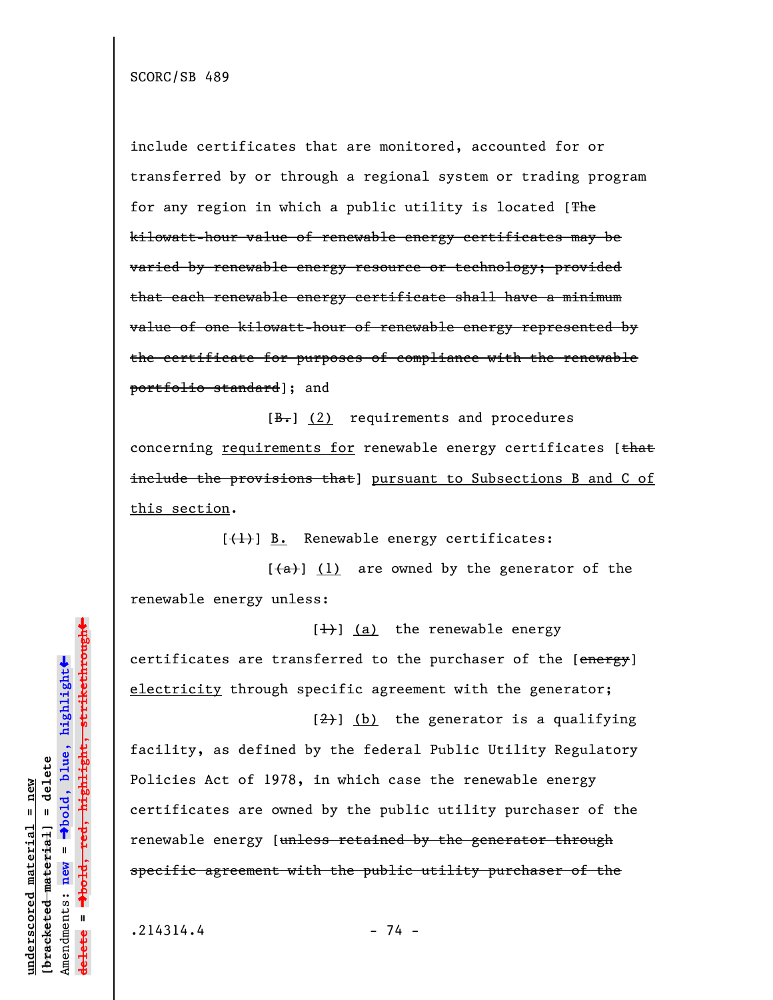SCORC/SB 489

include certificates that are monitored, accounted for or transferred by or through a regional system or trading program for any region in which a public utility is located [The kilowatt-hour value of renewable energy certificates may be varied by renewable energy resource or technology; provided that each renewable energy certificate shall have a minimum value of one kilowatt-hour of renewable energy represented by the certificate for purposes of compliance with the renewable portfolio standard]; and

 $[\frac{B-}{B}]$  (2) requirements and procedures concerning requirements for renewable energy certificates [that include the provisions that] pursuant to Subsections B and C of this section.

 $[\frac{1}{1}]$  B. Renewable energy certificates:

 $[\frac{a}{a}]$  (1) are owned by the generator of the renewable energy unless:

 $[\frac{1}{1}]$  (a) the renewable energy certificates are transferred to the purchaser of the [energy] electricity through specific agreement with the generator;

 $\left[\frac{2}{2}\right]$  (b) the generator is a qualifying facility, as defined by the federal Public Utility Regulatory Policies Act of 1978, in which case the renewable energy certificates are owned by the public utility purchaser of the renewable energy [unless retained by the generator through specific agreement with the public utility purchaser of the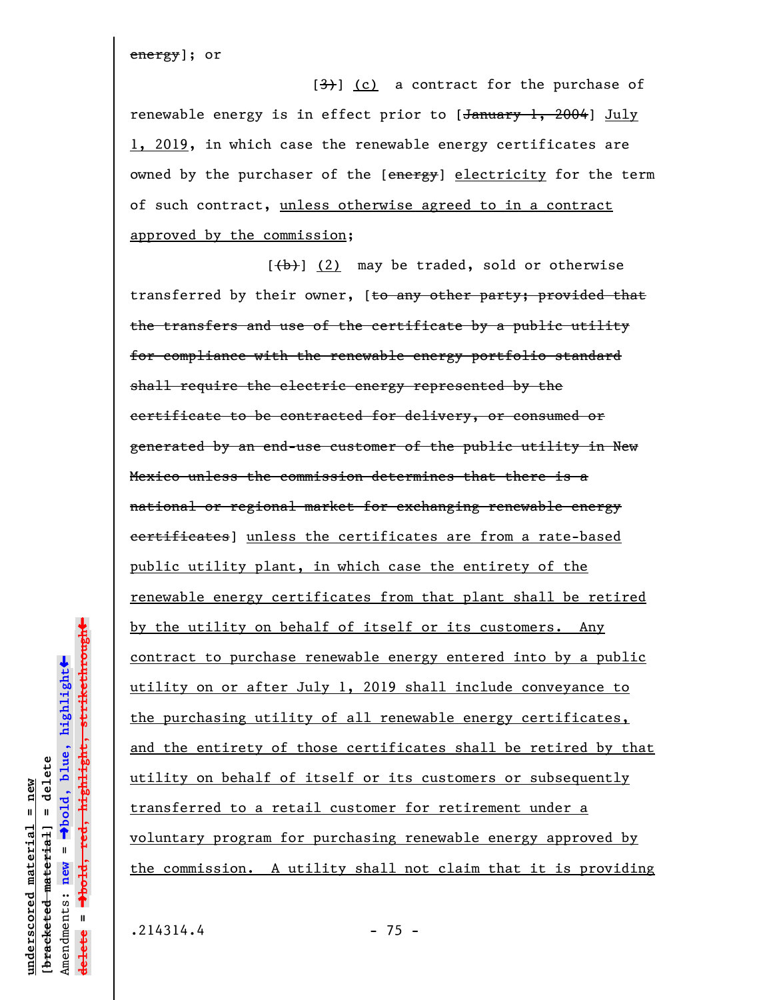energy]; or

 $[3]$  (c) a contract for the purchase of renewable energy is in effect prior to [January 1, 2004] July 1, 2019, in which case the renewable energy certificates are owned by the purchaser of the [energy] electricity for the term of such contract, unless otherwise agreed to in a contract approved by the commission;

 $\lceil$ (b)] (2) may be traded, sold or otherwise transferred by their owner, [<del>to any other party; provided that</del> the transfers and use of the certificate by a public utility for compliance with the renewable energy portfolio standard shall require the electric energy represented by the certificate to be contracted for delivery, or consumed or generated by an end-use customer of the public utility in New Mexico unless the commission determines that there is a national or regional market for exchanging renewable energy certificates] unless the certificates are from a rate-based public utility plant, in which case the entirety of the renewable energy certificates from that plant shall be retired by the utility on behalf of itself or its customers. Any contract to purchase renewable energy entered into by a public utility on or after July 1, 2019 shall include conveyance to the purchasing utility of all renewable energy certificates, and the entirety of those certificates shall be retired by that utility on behalf of itself or its customers or subsequently transferred to a retail customer for retirement under a voluntary program for purchasing renewable energy approved by the commission. A utility shall not claim that it is providing

 $\ddot{\bullet}$ 

 $\ddag$ 

 $.214314.4$  - 75 -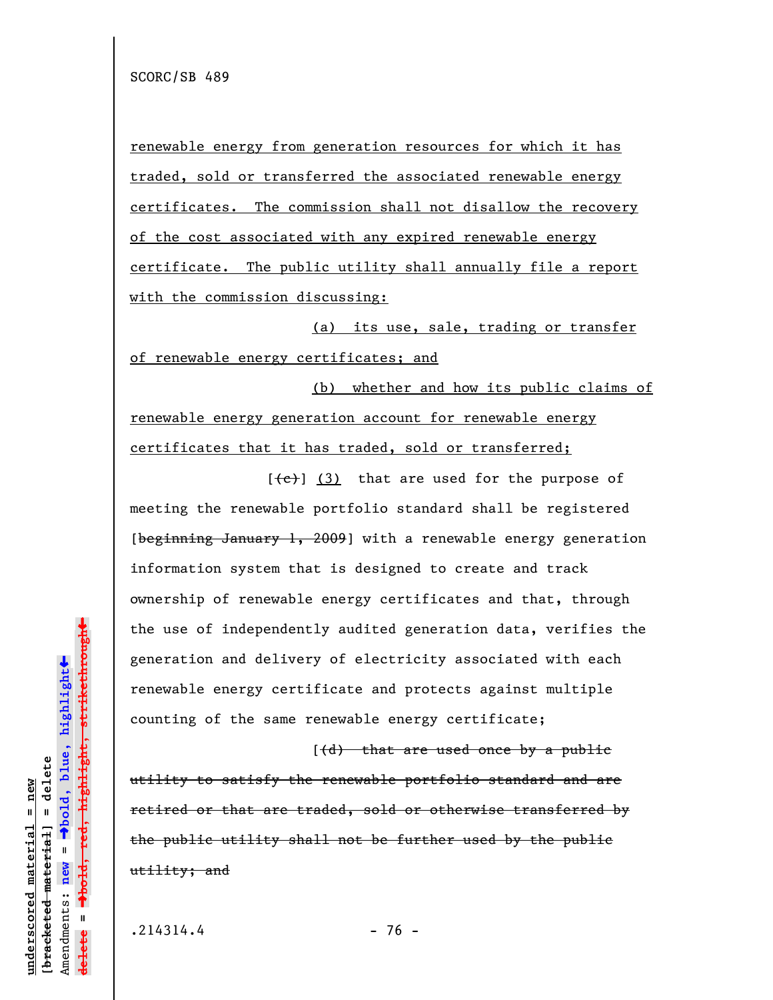renewable energy from generation resources for which it has traded, sold or transferred the associated renewable energy certificates. The commission shall not disallow the recovery of the cost associated with any expired renewable energy certificate. The public utility shall annually file a report with the commission discussing:

(a) its use, sale, trading or transfer of renewable energy certificates; and

(b) whether and how its public claims of renewable energy generation account for renewable energy certificates that it has traded, sold or transferred;

 $[$   $($   $\epsilon$   $)$   $]$   $($   $3)$  that are used for the purpose of meeting the renewable portfolio standard shall be registered [beginning January 1, 2009] with a renewable energy generation information system that is designed to create and track ownership of renewable energy certificates and that, through the use of independently audited generation data, verifies the generation and delivery of electricity associated with each renewable energy certificate and protects against multiple counting of the same renewable energy certificate;

 $($ (d) that are used once by a public utility to satisfy the renewable portfolio standard and are retired or that are traded, sold or otherwise transferred by the public utility shall not be further used by the public utility; and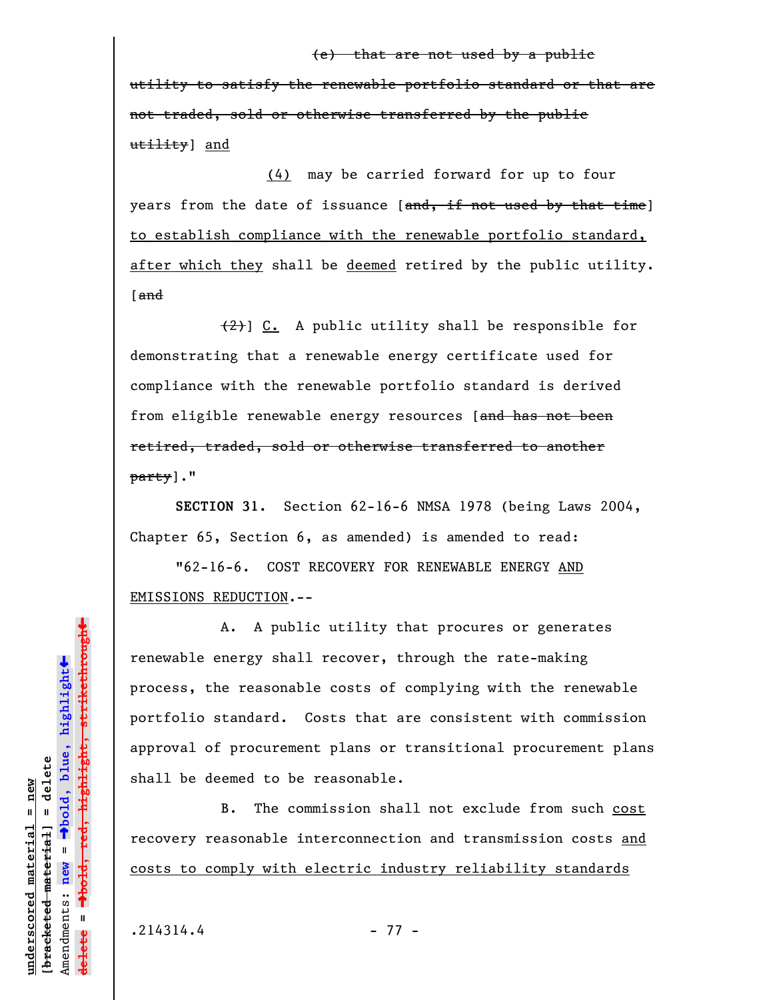## (e) that are not used by a public

utility to satisfy the renewable portfolio standard or that are not traded, sold or otherwise transferred by the public utility] and

(4) may be carried forward for up to four years from the date of issuance [and, if not used by that time] to establish compliance with the renewable portfolio standard, after which they shall be deemed retired by the public utility. [and

(2)] C. A public utility shall be responsible for demonstrating that a renewable energy certificate used for compliance with the renewable portfolio standard is derived from eligible renewable energy resources [and has not been retired, traded, sold or otherwise transferred to another party]."

**SECTION 31.** Section 62-16-6 NMSA 1978 (being Laws 2004, Chapter 65, Section 6, as amended) is amended to read:

"62-16-6. COST RECOVERY FOR RENEWABLE ENERGY AND EMISSIONS REDUCTION.--

A. A public utility that procures or generates renewable energy shall recover, through the rate-making process, the reasonable costs of complying with the renewable portfolio standard. Costs that are consistent with commission approval of procurement plans or transitional procurement plans shall be deemed to be reasonable.

B. The commission shall not exclude from such cost recovery reasonable interconnection and transmission costs and costs to comply with electric industry reliability standards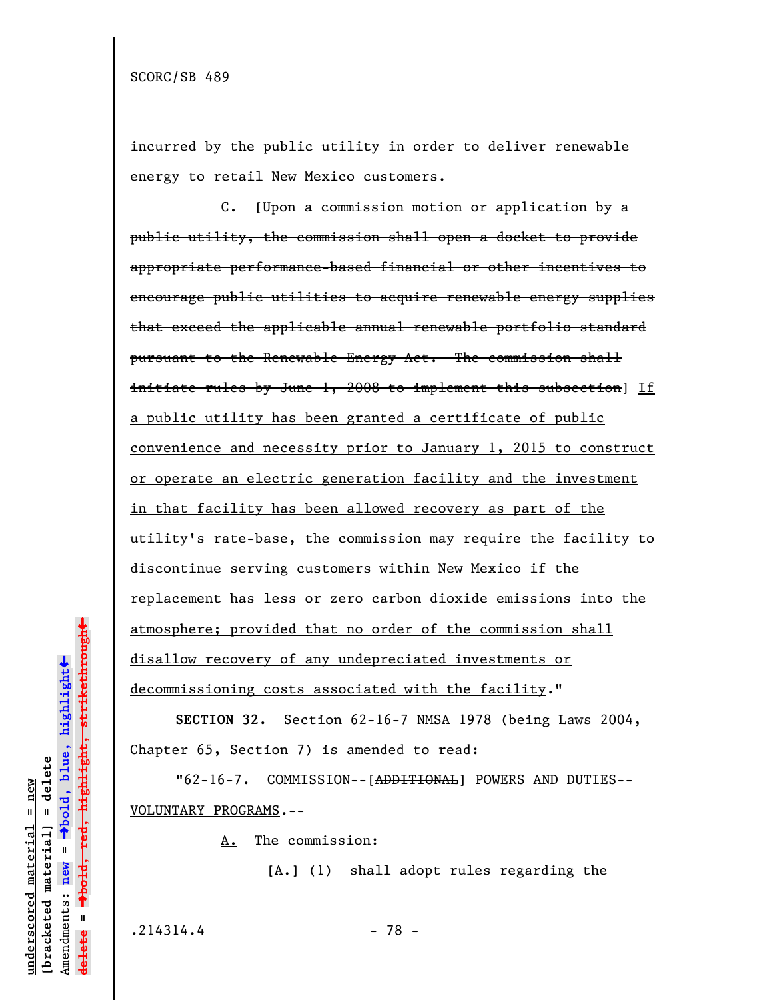incurred by the public utility in order to deliver renewable energy to retail New Mexico customers.

C. [Upon a commission motion or application by a public utility, the commission shall open a docket to provide appropriate performance-based financial or other incentives to encourage public utilities to acquire renewable energy supplies that exceed the applicable annual renewable portfolio standard pursuant to the Renewable Energy Act. The commission shall initiate rules by June 1, 2008 to implement this subsection]  $If$ a public utility has been granted a certificate of public convenience and necessity prior to January 1, 2015 to construct or operate an electric generation facility and the investment in that facility has been allowed recovery as part of the utility's rate-base, the commission may require the facility to discontinue serving customers within New Mexico if the replacement has less or zero carbon dioxide emissions into the atmosphere; provided that no order of the commission shall disallow recovery of any undepreciated investments or decommissioning costs associated with the facility."

**SECTION 32.** Section 62-16-7 NMSA 1978 (being Laws 2004, Chapter 65, Section 7) is amended to read:

"62-16-7. COMMISSION--[ADDITIONAL] POWERS AND DUTIES-- VOLUNTARY PROGRAMS.--

A. The commission:

 $[A<sub>+</sub>]$  (1) shall adopt rules regarding the

 $.214314.4$  - 78 -

**underscored material = new [bracketed material] = delete**

bracketed material] = delete inderscored material = new

Amendments: **new** =

Amendments: new

 $\mathbf{I}$ 

**delete =**

lelete

º**bold, blue, highlight**

º**bold, red, highlight, strikethrough**

 $\ddot{\bullet}$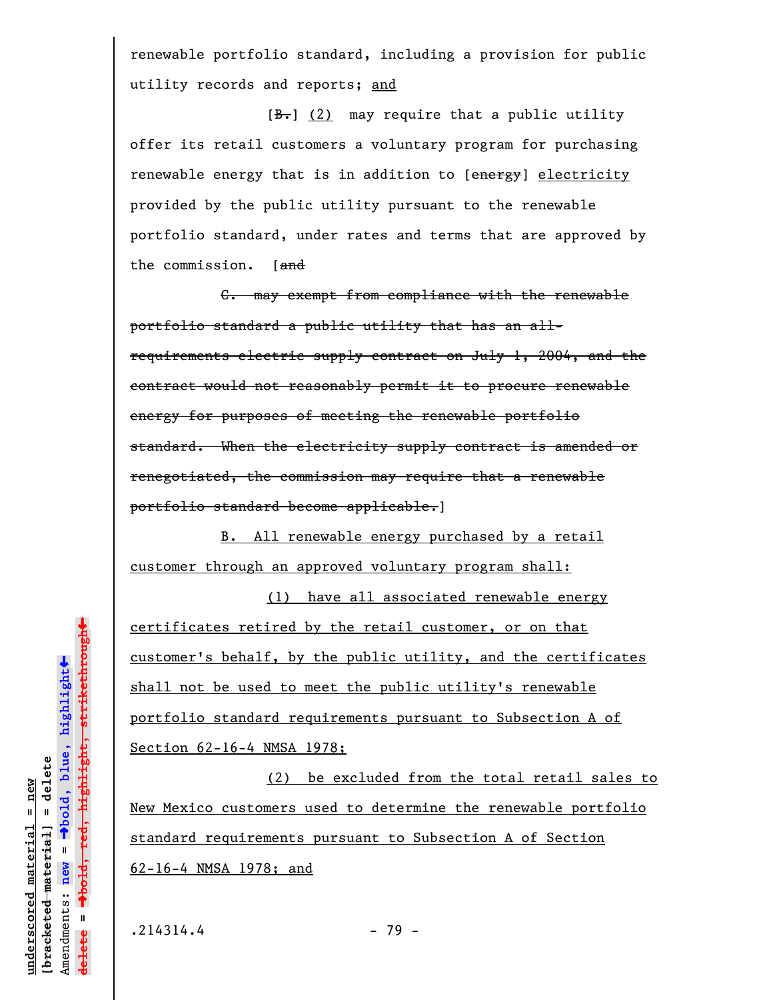renewable portfolio standard, including a provision for public utility records and reports; and

 $[\frac{B-}{2}]$  may require that a public utility offer its retail customers a voluntary program for purchasing renewable energy that is in addition to [energy] electricity provided by the public utility pursuant to the renewable portfolio standard, under rates and terms that are approved by the commission. [and

C. may exempt from compliance with the renewable portfolio standard a public utility that has an allrequirements electric supply contract on July 1, 2004, and the contract would not reasonably permit it to procure renewable energy for purposes of meeting the renewable portfolio standard. When the electricity supply contract is amended or renegotiated, the commission may require that a renewable portfolio standard become applicable.]

B. All renewable energy purchased by a retail customer through an approved voluntary program shall:

(1) have all associated renewable energy certificates retired by the retail customer, or on that customer's behalf, by the public utility, and the certificates shall not be used to meet the public utility's renewable portfolio standard requirements pursuant to Subsection A of Section 62-16-4 NMSA 1978;

(2) be excluded from the total retail sales to New Mexico customers used to determine the renewable portfolio standard requirements pursuant to Subsection A of Section 62-16-4 NMSA 1978; and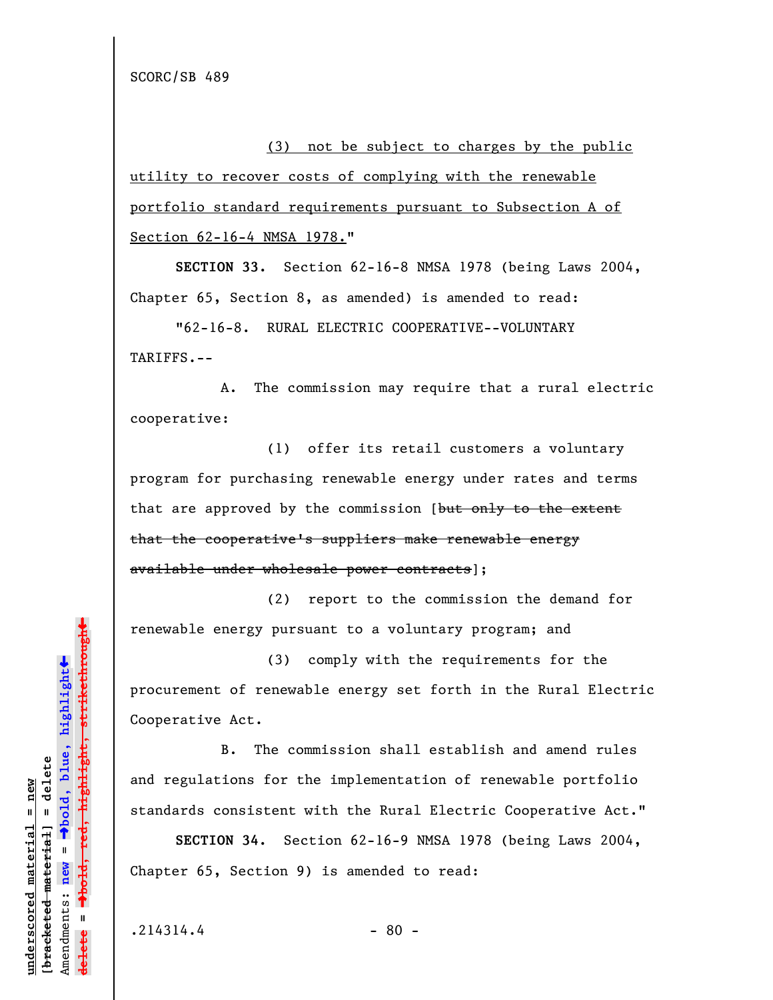(3) not be subject to charges by the public utility to recover costs of complying with the renewable portfolio standard requirements pursuant to Subsection A of Section 62-16-4 NMSA 1978."

**SECTION 33.** Section 62-16-8 NMSA 1978 (being Laws 2004, Chapter 65, Section 8, as amended) is amended to read:

"62-16-8. RURAL ELECTRIC COOPERATIVE--VOLUNTARY TARIFFS.--

A. The commission may require that a rural electric cooperative:

(1) offer its retail customers a voluntary program for purchasing renewable energy under rates and terms that are approved by the commission [but only to the extent that the cooperative's suppliers make renewable energy available under wholesale power contracts];

(2) report to the commission the demand for renewable energy pursuant to a voluntary program; and

(3) comply with the requirements for the procurement of renewable energy set forth in the Rural Electric Cooperative Act.

B. The commission shall establish and amend rules and regulations for the implementation of renewable portfolio standards consistent with the Rural Electric Cooperative Act."

**SECTION 34.** Section 62-16-9 NMSA 1978 (being Laws 2004, Chapter 65, Section 9) is amended to read:

 $.214314.4$  - 80 -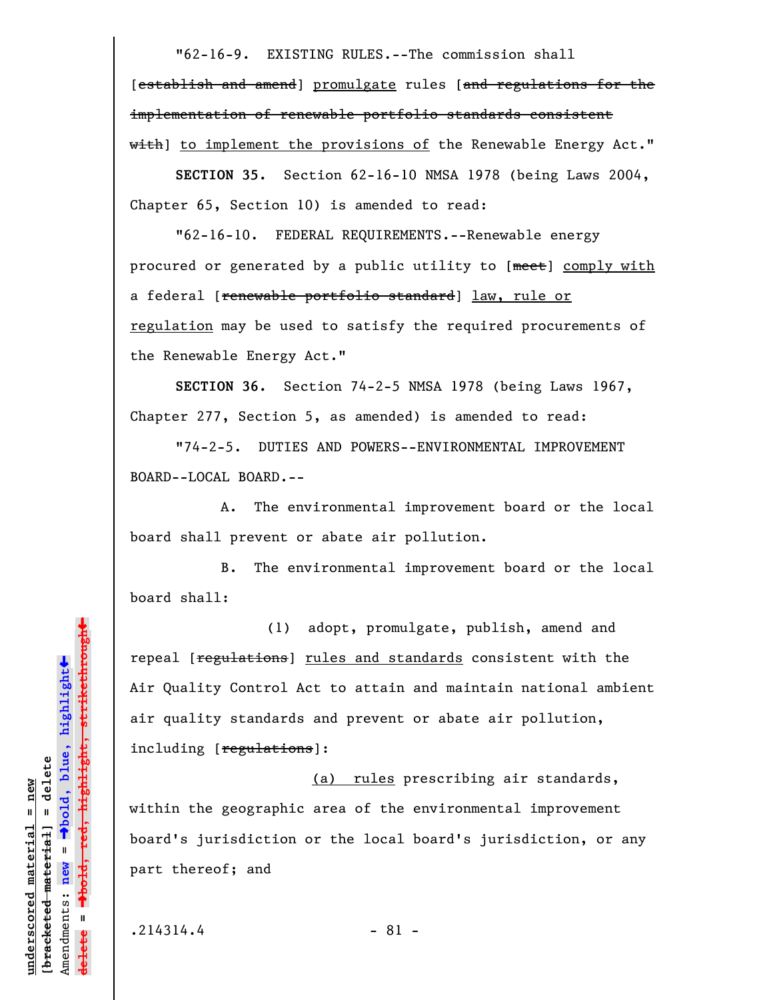"62-16-9. EXISTING RULES.--The commission shall [establish and amend] promulgate rules [and regulations for the implementation of renewable portfolio standards consistent with] to implement the provisions of the Renewable Energy Act."

**SECTION 35.** Section 62-16-10 NMSA 1978 (being Laws 2004, Chapter 65, Section 10) is amended to read:

"62-16-10. FEDERAL REQUIREMENTS.--Renewable energy procured or generated by a public utility to [meet] comply with a federal [renewable portfolio standard] law, rule or regulation may be used to satisfy the required procurements of the Renewable Energy Act."

**SECTION 36.** Section 74-2-5 NMSA 1978 (being Laws 1967, Chapter 277, Section 5, as amended) is amended to read:

"74-2-5. DUTIES AND POWERS--ENVIRONMENTAL IMPROVEMENT BOARD--LOCAL BOARD.--

A. The environmental improvement board or the local board shall prevent or abate air pollution.

B. The environmental improvement board or the local board shall:

(1) adopt, promulgate, publish, amend and repeal [regulations] rules and standards consistent with the Air Quality Control Act to attain and maintain national ambient air quality standards and prevent or abate air pollution, including [regulations]:

(a) rules prescribing air standards, within the geographic area of the environmental improvement board's jurisdiction or the local board's jurisdiction, or any part thereof; and

 $.214314.4$  - 81 -

**underscored material = new [bracketed material] = delete**

 $b$ racketed material] = delete inderscored material = new

Amendments: **new** =

Amendments: new

 $\mathbf{I}$ 

**delete =**

º**bold, blue, highlight**

º**bold, red, highlight, strikethrough**

 $\ddot{\bullet}$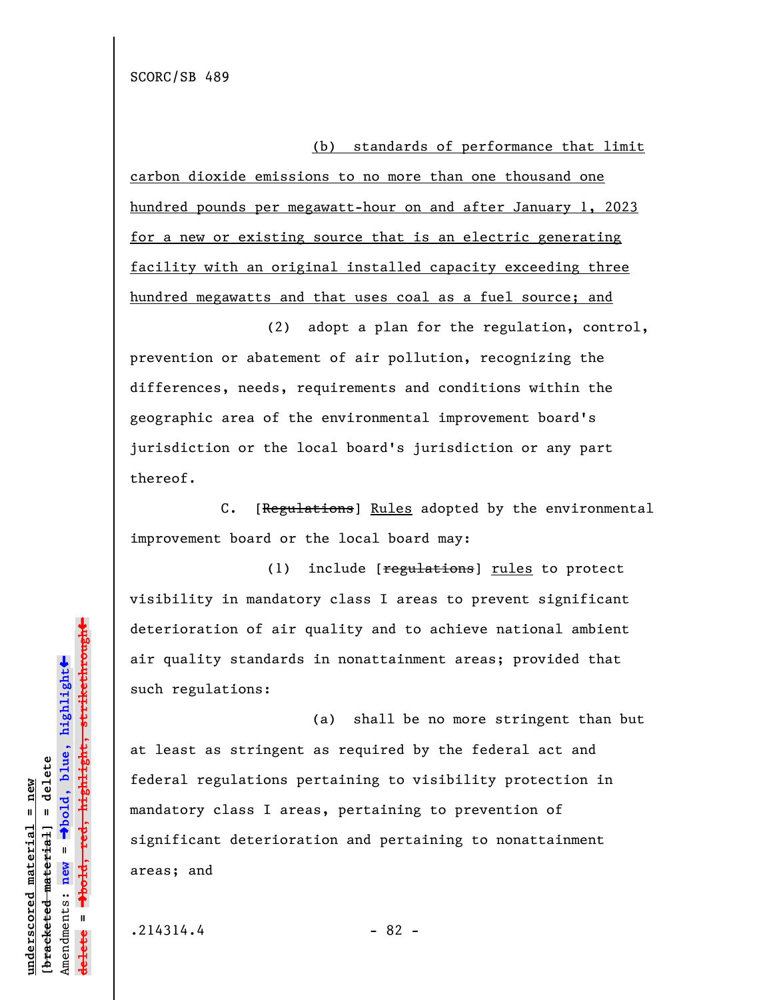(b) standards of performance that limit

carbon dioxide emissions to no more than one thousand one hundred pounds per megawatt-hour on and after January 1, 2023 for a new or existing source that is an electric generating facility with an original installed capacity exceeding three hundred megawatts and that uses coal as a fuel source; and

(2) adopt a plan for the regulation, control, prevention or abatement of air pollution, recognizing the differences, needs, requirements and conditions within the geographic area of the environmental improvement board's jurisdiction or the local board's jurisdiction or any part thereof.

C. [Regulations] Rules adopted by the environmental improvement board or the local board may:

(1) include [regulations] rules to protect visibility in mandatory class I areas to prevent significant deterioration of air quality and to achieve national ambient air quality standards in nonattainment areas; provided that such regulations:

(a) shall be no more stringent than but at least as stringent as required by the federal act and federal regulations pertaining to visibility protection in mandatory class I areas, pertaining to prevention of significant deterioration and pertaining to nonattainment areas; and

 $.214314.4$  - 82 -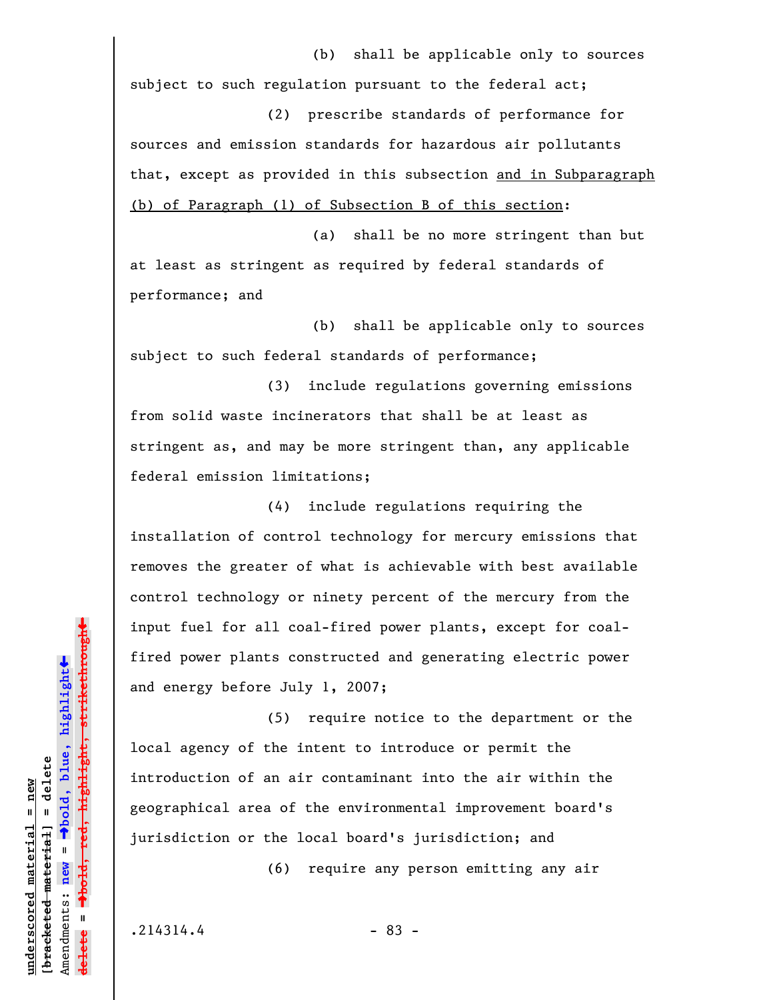(b) shall be applicable only to sources subject to such regulation pursuant to the federal act;

(2) prescribe standards of performance for sources and emission standards for hazardous air pollutants that, except as provided in this subsection and in Subparagraph (b) of Paragraph (1) of Subsection B of this section:

(a) shall be no more stringent than but at least as stringent as required by federal standards of performance; and

(b) shall be applicable only to sources subject to such federal standards of performance;

(3) include regulations governing emissions from solid waste incinerators that shall be at least as stringent as, and may be more stringent than, any applicable federal emission limitations;

(4) include regulations requiring the installation of control technology for mercury emissions that removes the greater of what is achievable with best available control technology or ninety percent of the mercury from the input fuel for all coal-fired power plants, except for coalfired power plants constructed and generating electric power and energy before July 1, 2007;

(5) require notice to the department or the local agency of the intent to introduce or permit the introduction of an air contaminant into the air within the geographical area of the environmental improvement board's jurisdiction or the local board's jurisdiction; and

(6) require any person emitting any air

 $.214314.4$  - 83 -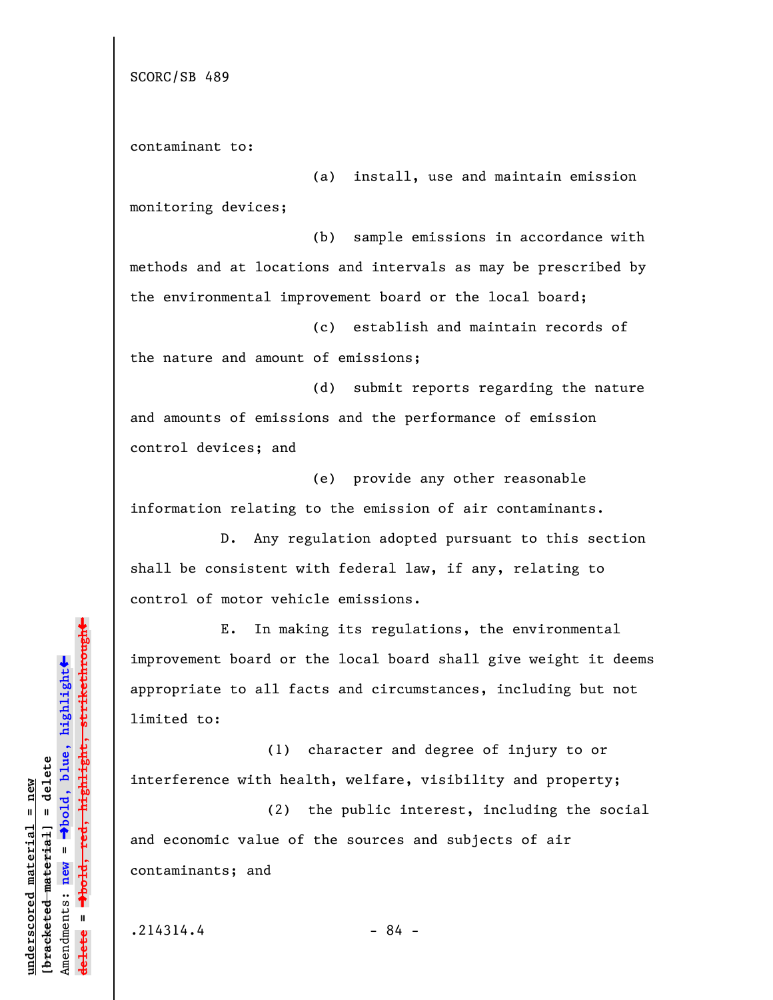SCORC/SB 489

contaminant to:

(a) install, use and maintain emission monitoring devices;

(b) sample emissions in accordance with methods and at locations and intervals as may be prescribed by the environmental improvement board or the local board;

(c) establish and maintain records of the nature and amount of emissions;

(d) submit reports regarding the nature and amounts of emissions and the performance of emission control devices; and

(e) provide any other reasonable information relating to the emission of air contaminants.

D. Any regulation adopted pursuant to this section shall be consistent with federal law, if any, relating to control of motor vehicle emissions.

E. In making its regulations, the environmental improvement board or the local board shall give weight it deems appropriate to all facts and circumstances, including but not limited to:

(1) character and degree of injury to or interference with health, welfare, visibility and property;

(2) the public interest, including the social and economic value of the sources and subjects of air contaminants; and

**underscored material = new [bracketed material] = delete**

bracketed material] = delete inderscored material = new

Amendments: **new** =

Amendments: new

 $\mathbf{I}$ 

**delete =**

º**bold, blue, highlight**

º**bold, red, highlight, strikethrough**

 $\ddot{\bullet}$